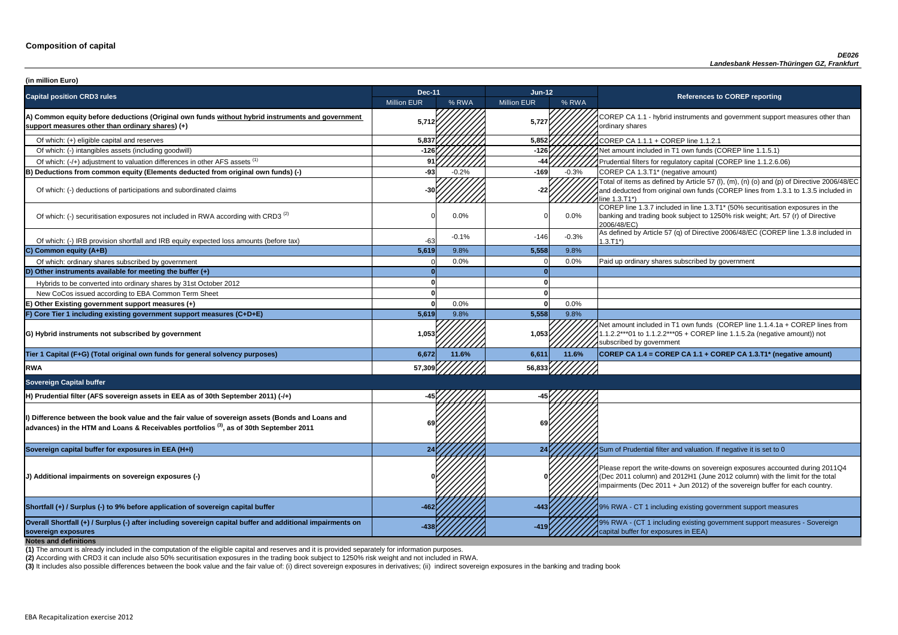**P CA 1.1 - hybrid instruments and government support measures other than** ry shares

of tial filters for regulatory capital (COREP line 1.1.2.6.06)

of items as defined by Article 57 (I), (m), (n) (o) and (p) of Directive 2006/48/EC educted from original own funds (COREP lines from 1.3.1 to 1.3.5 included in  $3.71^*$ 

 $\frac{1}{10}$  line 1.3.7 included in line 1.3.T1\* (50% securitisation exposures in the g and trading book subject to 1250% risk weight; Art. 57 (r) of Directive  $8/EC$ )

ned by Article 57 (q) of Directive 2006/48/EC (COREP line 1.3.8 included in

nount included in T1 own funds (COREP line 1.1.4.1a + COREP lines from  $2***01$  to 1.1.2.2\*\*\*05 + COREP line 1.1.5.2a (negative amount)) not ibed by government

**sovereign exposures -438 -419** 9% RWA - (CT 1 including existing government support measures - Sovereign buffer for exposures in EEA)

| (in million Euro)                                                                                                                                                                                    |                    |         |                    |         |                                                                                                                                                                                   |
|------------------------------------------------------------------------------------------------------------------------------------------------------------------------------------------------------|--------------------|---------|--------------------|---------|-----------------------------------------------------------------------------------------------------------------------------------------------------------------------------------|
| <b>Capital position CRD3 rules</b>                                                                                                                                                                   | <b>Dec-11</b>      |         | $Jun-12$           |         | <b>References to COREP reporting</b>                                                                                                                                              |
|                                                                                                                                                                                                      | <b>Million EUR</b> | % RWA   | <b>Million EUR</b> | % RWA   |                                                                                                                                                                                   |
| A) Common equity before deductions (Original own funds without hybrid instruments and government<br>support measures other than ordinary shares) (+)                                                 | 5,712              |         | 5,727              |         | COREP CA 1.1 - hybrid instruments and government suppo<br>ordinary shares                                                                                                         |
| Of which: (+) eligible capital and reserves                                                                                                                                                          | 5,837              |         | 5,852              |         | COREP CA 1.1.1 + COREP line 1.1.2.1                                                                                                                                               |
| Of which: (-) intangibles assets (including goodwill)                                                                                                                                                | -126               |         | $-126$             |         | Net amount included in T1 own funds (COREP line 1.1.5.1)                                                                                                                          |
| Of which: (-/+) adjustment to valuation differences in other AFS assets <sup>(1)</sup>                                                                                                               |                    |         | -44                |         | Prudential filters for regulatory capital (COREP line 1.1.2.6.                                                                                                                    |
| B) Deductions from common equity (Elements deducted from original own funds) (-)                                                                                                                     | $-931$             | $-0.2%$ | $-169$             | $-0.3%$ | COREP CA 1.3.T1* (negative amount)                                                                                                                                                |
| Of which: (-) deductions of participations and subordinated claims                                                                                                                                   |                    |         | -22                |         | Total of items as defined by Article 57 (I), (m), (n) (o) and (p<br>and deducted from original own funds (COREP lines from 1<br>line 1.3.T1*)                                     |
| Of which: (-) securitisation exposures not included in RWA according with CRD3 <sup>(2)</sup>                                                                                                        |                    | 0.0%    |                    | $0.0\%$ | COREP line 1.3.7 included in line 1.3.T1* (50% securitisation<br>banking and trading book subject to 1250% risk weight; Art.<br>2006/48/EC)                                       |
| Of which: (-) IRB provision shortfall and IRB equity expected loss amounts (before tax)                                                                                                              | $-63$              | $-0.1%$ | $-146$             | $-0.3%$ | As defined by Article 57 (q) of Directive 2006/48/EC (CORE<br>$1.3.T1*)$                                                                                                          |
| C) Common equity (A+B)                                                                                                                                                                               | 5,619              | 9.8%    | 5,558              | 9.8%    |                                                                                                                                                                                   |
| Of which: ordinary shares subscribed by government                                                                                                                                                   |                    | 0.0%    |                    | 0.0%    | Paid up ordinary shares subscribed by government                                                                                                                                  |
| D) Other instruments available for meeting the buffer $(+)$                                                                                                                                          |                    |         |                    |         |                                                                                                                                                                                   |
| Hybrids to be converted into ordinary shares by 31st October 2012                                                                                                                                    |                    |         |                    |         |                                                                                                                                                                                   |
| New CoCos issued according to EBA Common Term Sheet                                                                                                                                                  |                    |         |                    |         |                                                                                                                                                                                   |
| E) Other Existing government support measures (+)                                                                                                                                                    |                    | 0.0%    |                    | 0.0%    |                                                                                                                                                                                   |
| F) Core Tier 1 including existing government support measures (C+D+E)                                                                                                                                | 5,619              | 9.8%    | 5,558              | 9.8%    |                                                                                                                                                                                   |
| G) Hybrid instruments not subscribed by government                                                                                                                                                   | 1,053              |         | 1,053              |         | Net amount included in T1 own funds (COREP line 1.1.4.1a<br>1.1.2.2***01 to 1.1.2.2***05 + COREP line 1.1.5.2a (negativ<br>subscribed by government                               |
| Tier 1 Capital (F+G) (Total original own funds for general solvency purposes)                                                                                                                        | 6,672              | 11.6%   | 6,611              | 11.6%   | COREP CA 1.4 = COREP CA 1.1 + COREP CA 1.3.T1* (ne                                                                                                                                |
| <b>RWA</b>                                                                                                                                                                                           | 57,309             |         | 56,833             |         |                                                                                                                                                                                   |
| <b>Sovereign Capital buffer</b>                                                                                                                                                                      |                    |         |                    |         |                                                                                                                                                                                   |
| H) Prudential filter (AFS sovereign assets in EEA as of 30th September 2011) (-/+)                                                                                                                   |                    |         |                    |         |                                                                                                                                                                                   |
| I) Difference between the book value and the fair value of sovereign assets (Bonds and Loans and<br>$ $ advances) in the HTM and Loans & Receivables portfolios $^{(3)}$ , as of 30th September 2011 |                    |         |                    |         |                                                                                                                                                                                   |
| Sovereign capital buffer for exposures in EEA (H+I)                                                                                                                                                  |                    |         |                    |         | Sum of Prudential filter and valuation. If negative it is set to                                                                                                                  |
| J) Additional impairments on sovereign exposures (-)                                                                                                                                                 |                    |         |                    |         | Please report the write-downs on sovereign exposures acco<br>(Dec 2011 column) and 2012H1 (June 2012 column) with th<br>impairments (Dec 2011 + Jun 2012) of the sovereign buffer |
| Shortfall (+) / Surplus (-) to 9% before application of sovereign capital buffer                                                                                                                     | $-462$             |         | $-443$             |         | 9% RWA - CT 1 including existing government support mea                                                                                                                           |
| Overall Shortfall (+) / Surplus (-) after including sovereign capital buffer and additional impairments on<br>sovereign exposures<br><b>Notes and definitions</b>                                    |                    |         |                    |         | 9% RWA - (CT 1 including existing government support mea<br>capital buffer for exposures in EEA)                                                                                  |

**Tier 1 Capital (F+G) (Total original own funds for general solvency purposes) 6,672 11.6% 6,611 11.6% COREP CA 1.4 = COREP CA 1.1 + COREP CA 1.3.T1\* (negative amount)**

report the write-downs on sovereign exposures accounted during 2011Q4 (011 column) and 2012H1 (June 2012 column) with the limit for the total ments (Dec 2011 + Jun 2012) of the sovereign buffer for each country.

**A** - CT 1 including existing government support measures

**(2)** According with CRD3 it can include also 50% securitisation exposures in the trading book subject to 1250% risk weight and not included in RWA.

(3) It includes also possible differences between the book value and the fair value of: (i) direct sovereign exposures in derivatives; (ii) indirect sovereign exposures in the banking and trading book

**(1)** The amount is already included in the computation of the eligible capital and reserves and it is provided separately for information purposes.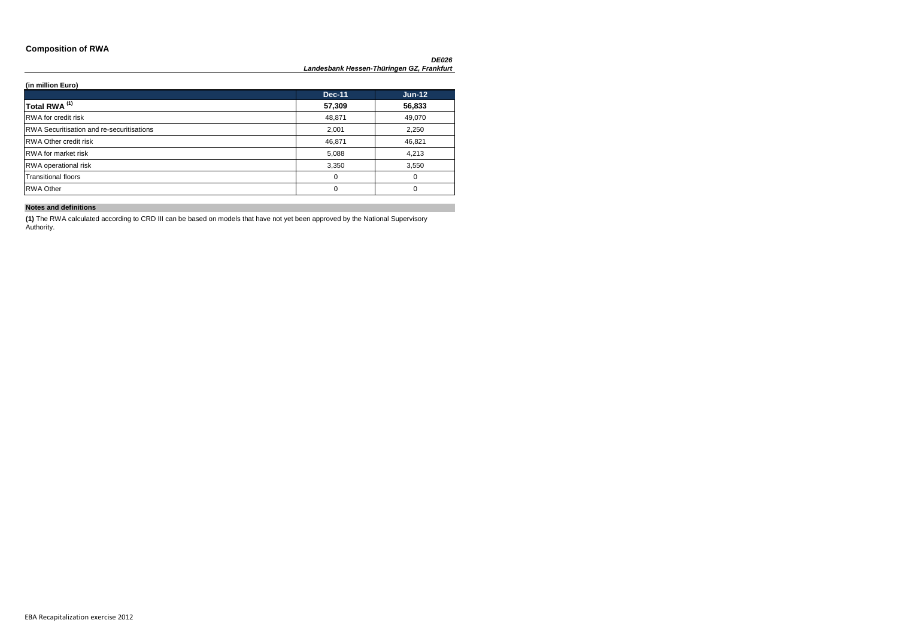### **Composition of RWA**

#### **(in million Euro)**

|                                                  | <b>Dec-11</b> | $Jun-12$ |
|--------------------------------------------------|---------------|----------|
| Total RWA <sup>(1)</sup>                         | 57,309        | 56,833   |
| <b>RWA</b> for credit risk                       | 48,871        | 49,070   |
| <b>RWA Securitisation and re-securitisations</b> | 2,001         | 2,250    |
| <b>RWA Other credit risk</b>                     | 46,871        | 46,821   |
| <b>RWA</b> for market risk                       | 5,088         | 4,213    |
| <b>RWA</b> operational risk                      | 3,350         | 3,550    |
| <b>Transitional floors</b>                       | 0             | $\Omega$ |
| <b>RWA Other</b>                                 | 0             | $\Omega$ |

### **Notes and definitions**

**(1)** The RWA calculated according to CRD III can be based on models that have not yet been approved by the National Supervisory Authority.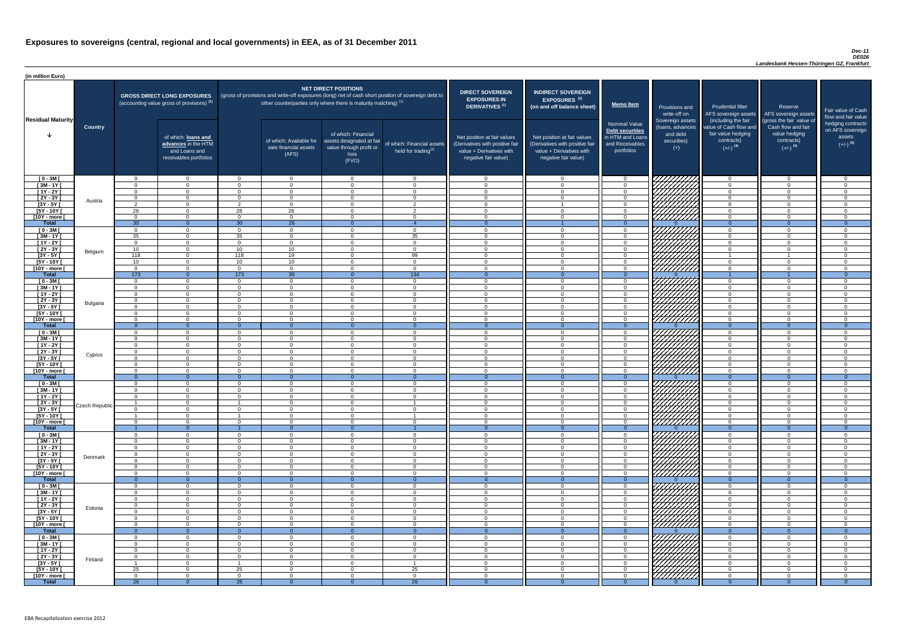#### *Dec-11 DE026*

| (in million Euro)                   |                |                            |                                                                                             |                      |                                                                   |                                                                                              |                                                                                                     |                                                                                                                    |                                                                                                                    |                                                                                       |                                                                          |                                                                                                             |                                                                                                         |                                                   |
|-------------------------------------|----------------|----------------------------|---------------------------------------------------------------------------------------------|----------------------|-------------------------------------------------------------------|----------------------------------------------------------------------------------------------|-----------------------------------------------------------------------------------------------------|--------------------------------------------------------------------------------------------------------------------|--------------------------------------------------------------------------------------------------------------------|---------------------------------------------------------------------------------------|--------------------------------------------------------------------------|-------------------------------------------------------------------------------------------------------------|---------------------------------------------------------------------------------------------------------|---------------------------------------------------|
|                                     |                |                            | <b>GROSS DIRECT LONG EXPOSURES</b><br>(accounting value gross of provisions) <sup>(1)</sup> |                      | other counterparties only where there is maturity matching) $(1)$ | <b>NET DIRECT POSITIONS</b>                                                                  | (gross of provisions and write-off exposures (long) net of cash short position of sovereign debt to | <b>DIRECT SOVEREIGN</b><br><b>EXPOSURES IN</b><br>DERIVATIVES <sup>(1)</sup>                                       | <b>INDIRECT SOVEREIGN</b><br><b>EXPOSURES<sup>(3)</sup></b><br>(on and off balance sheet)                          | <b>Memo Item</b>                                                                      | Provisions and<br>write-off on                                           | <b>Prudential filter</b><br>AFS sovereign assets                                                            | Reserve<br>AFS sovereign assets                                                                         | Fair value<br>flow and f                          |
| <b>Residual Maturity</b>            | <b>Country</b> |                            | of which: loans and<br>advances in the HTM<br>and Loans and<br>receivables portfolios       |                      | of which: Available for<br>sale financial assets<br>(AFS)         | of which: Financial<br>assets designated at fair<br>value through profit or<br>loss<br>(FVO) | of which: Financial assets<br>held for trading <sup>(2)</sup>                                       | Net position at fair values<br>(Derivatives with positive fair<br>value + Derivatives with<br>negative fair value) | Net position at fair values<br>(Derivatives with positive fair<br>value + Derivatives with<br>negative fair value) | Nominal Value<br>Debt securities<br>in HTM and Loans<br>and Receivables<br>portfolios | Sovereign assets<br>(loans, advances<br>and debt<br>securities)<br>$(+)$ | (including the fair<br>value of Cash flow and<br>fair value hedging<br>contracts)<br>$(+/-)$ <sup>(4)</sup> | (gross the fair value of<br>Cash flow and fair<br>value hedging<br>contracts)<br>$(+/-)$ <sup>(4)</sup> | hedging o<br>on AFS <sub>s</sub><br>ass<br>$(+/-$ |
| $[0 - 3M]$                          |                | $\cap$                     | $\overline{0}$                                                                              | $\Omega$             | $\mathbf{0}$                                                      | $\overline{0}$                                                                               | $\cap$                                                                                              | $\cap$                                                                                                             | $\Omega$                                                                                                           | - 0                                                                                   | 777777777                                                                | $\overline{0}$                                                                                              | $\overline{0}$                                                                                          |                                                   |
| $[3M - 1Y]$                         |                | $\cap$<br>$\Omega$         | $\Omega$                                                                                    | $\Omega$             | $\Omega$                                                          | $\Omega$                                                                                     | $\Omega$<br>$\Omega$                                                                                | $\Omega$<br>$\Omega$                                                                                               | $\Omega$<br>$\cap$                                                                                                 | $\overline{0}$                                                                        |                                                                          | $\Omega$                                                                                                    | $\Omega$                                                                                                |                                                   |
| $[1Y - 2Y]$<br>$[2Y - 3Y]$          |                | $\Omega$                   | $\Omega$<br>$\Omega$                                                                        | $\Omega$<br>$\Omega$ | $\Omega$<br>$\Omega$                                              | $\Omega$<br>$\Omega$                                                                         | $\Omega$                                                                                            | $\Omega$                                                                                                           | $\cap$                                                                                                             | $\Omega$<br>$\Omega$                                                                  |                                                                          | $\Omega$<br>$\Omega$                                                                                        | $\Omega$<br>$\Omega$                                                                                    |                                                   |
| $[3Y - 5Y]$                         | Austria        | $\overline{2}$             | $\Omega$                                                                                    | 2                    | $\overline{0}$                                                    | $\Omega$                                                                                     | $\overline{2}$                                                                                      | $\Omega$                                                                                                           |                                                                                                                    | $\overline{0}$                                                                        |                                                                          | $\Omega$                                                                                                    | $\Omega$                                                                                                |                                                   |
| $[5Y - 10Y]$                        |                | 28                         | $\Omega$                                                                                    | 28                   | 26                                                                | $\Omega$                                                                                     | $\mathcal{D}$                                                                                       | $\cap$                                                                                                             | $\Omega$                                                                                                           | $\Omega$                                                                              |                                                                          | $\Omega$                                                                                                    | $\Omega$                                                                                                |                                                   |
| [10Y - more [                       |                | $\Omega$                   | $\Omega$<br>$\cap$                                                                          | $\overline{0}$       | $\overline{0}$                                                    | $\Omega$<br>$\cap$                                                                           | $\Omega$                                                                                            | $\Omega$                                                                                                           | $\cap$                                                                                                             | $\overline{0}$<br>- 0                                                                 | 777777777                                                                | $\overline{0}$<br>$\Omega$                                                                                  | $\Omega$<br>$\Omega$                                                                                    |                                                   |
| <b>Total</b><br>$[0 - 3M]$          |                | 30<br>$\overline{0}$       | $\Omega$                                                                                    | 30<br>$\overline{0}$ | $\overline{26}$<br>$\overline{0}$                                 | $\Omega$                                                                                     | <b>0</b>                                                                                            | $\cap$                                                                                                             | $\Omega$                                                                                                           | $\overline{0}$                                                                        | 777777777                                                                | $\Omega$                                                                                                    | $\overline{0}$                                                                                          |                                                   |
| $[3M - 1Y]$                         |                | 35                         | $\Omega$                                                                                    | 35                   | $\overline{0}$                                                    | $\Omega$                                                                                     | 35                                                                                                  | $\Omega$                                                                                                           | $\Omega$                                                                                                           | $\Omega$                                                                              |                                                                          | $\Omega$                                                                                                    | $\overline{0}$                                                                                          |                                                   |
| $[1Y - 2Y]$                         |                | $\overline{0}$             | $\overline{0}$                                                                              | $\Omega$             | $\overline{0}$                                                    | $\overline{0}$                                                                               | $\Omega$                                                                                            | $\Omega$                                                                                                           | $\Omega$                                                                                                           | $\overline{0}$                                                                        |                                                                          | $\overline{0}$                                                                                              | $\overline{0}$                                                                                          |                                                   |
| $[2Y - 3Y]$                         | Belgium        | 10                         | $\Omega$                                                                                    | 10                   | 10                                                                | $\Omega$                                                                                     | $\cap$                                                                                              | $\Omega$                                                                                                           | $\Omega$                                                                                                           | $\overline{0}$                                                                        |                                                                          | $\Omega$                                                                                                    | $\Omega$                                                                                                |                                                   |
| $[3Y - 5Y]$<br>$[5Y - 10Y]$         |                | 118<br>10                  | $\Omega$<br>$\Omega$                                                                        | 118<br>10            | 19<br>10 <sup>°</sup>                                             | $\Omega$<br>$\Omega$                                                                         | 99                                                                                                  | $\Omega$                                                                                                           | $\cap$                                                                                                             | $\Omega$<br>$\Omega$                                                                  | <u>VIIII</u> IIIA                                                        | $\Omega$                                                                                                    | $\Omega$                                                                                                |                                                   |
| [10Y - more [                       |                | $\Omega$                   | $\Omega$                                                                                    | $\Omega$             | $\Omega$                                                          | $\Omega$                                                                                     | $\cap$                                                                                              |                                                                                                                    | $\cap$                                                                                                             | $\Omega$                                                                              | 777777777                                                                | $\Omega$                                                                                                    | $\Omega$                                                                                                |                                                   |
| <b>Total</b>                        |                | 173                        | $\Omega$                                                                                    | 173                  | $\overline{39}$                                                   | $\Omega$                                                                                     | 134                                                                                                 | $\Omega$                                                                                                           | $\Omega$                                                                                                           | $\overline{0}$                                                                        |                                                                          |                                                                                                             |                                                                                                         |                                                   |
| $[0 - 3M]$                          |                | $\Omega$                   | $\Omega$                                                                                    | $\Omega$             | $\overline{0}$                                                    | $\Omega$                                                                                     | $\cap$                                                                                              |                                                                                                                    | $\cap$                                                                                                             | $\Omega$                                                                              |                                                                          | $\overline{0}$                                                                                              | $\Omega$                                                                                                |                                                   |
| $[3M - 1Y]$<br>$[1Y - 2Y]$          |                | $\Omega$<br>$\Omega$       | $\Omega$<br>$\Omega$                                                                        | $\Omega$<br>$\Omega$ | $\Omega$<br>$\Omega$                                              | $\Omega$<br>$\Omega$                                                                         | $\cap$<br>$\cap$                                                                                    | $\cap$<br>$\cap$                                                                                                   | $\Omega$<br>$\cap$                                                                                                 | $\Omega$<br>$\Omega$                                                                  |                                                                          | $\overline{0}$<br>$\overline{0}$                                                                            | $\Omega$<br>$\Omega$                                                                                    |                                                   |
| $[2Y - 3Y]$                         |                | $\Omega$                   | $\Omega$                                                                                    | $\Omega$             | $\Omega$                                                          | $\Omega$                                                                                     | $\Omega$                                                                                            | $\cap$                                                                                                             | $\cap$                                                                                                             | $\Omega$                                                                              | <i>WAHAA</i>                                                             | $\Omega$                                                                                                    | $\overline{0}$                                                                                          |                                                   |
| [ $3Y - 5Y$ ]                       | Bulgaria       |                            |                                                                                             |                      |                                                                   |                                                                                              |                                                                                                     |                                                                                                                    |                                                                                                                    |                                                                                       |                                                                          |                                                                                                             |                                                                                                         |                                                   |
| $[5Y - 10Y]$                        |                | $\Omega$                   | $\Omega$                                                                                    | $\Omega$             | $\Omega$                                                          | $\Omega$                                                                                     |                                                                                                     |                                                                                                                    | $\Omega$                                                                                                           | $\Omega$                                                                              | \ <i>\HHHH\</i>                                                          | $\Omega$                                                                                                    | $\Omega$                                                                                                |                                                   |
| [10Y - more [<br><b>Total</b>       |                | $\Omega$<br>$\Omega$       | $\Omega$<br>$\Omega$                                                                        | $\Omega$<br>$\Omega$ | $\overline{0}$<br>$\Omega$                                        | $\Omega$<br>- 0                                                                              | $\Omega$                                                                                            |                                                                                                                    | ∩                                                                                                                  | $\Omega$<br>$\Omega$                                                                  | ////////                                                                 | $\Omega$<br>$\overline{0}$                                                                                  | $\Omega$<br>$\Omega$                                                                                    |                                                   |
| $[0 - 3M]$                          |                | $\Omega$                   | $\Omega$                                                                                    | $\Omega$             | $\Omega$                                                          | $\Omega$                                                                                     |                                                                                                     | ◠                                                                                                                  | $\Omega$                                                                                                           | $\cap$                                                                                |                                                                          | $\Omega$                                                                                                    | $\Omega$                                                                                                |                                                   |
| $[3M - 1Y]$                         |                | $\Omega$                   | $\Omega$                                                                                    | $\Omega$             | $\Omega$                                                          | $\Omega$                                                                                     |                                                                                                     |                                                                                                                    | ∩                                                                                                                  | $\Omega$                                                                              |                                                                          | $\Omega$                                                                                                    | $\Omega$                                                                                                |                                                   |
| $\sqrt{1Y-2Y}$                      |                |                            | $\Omega$                                                                                    | $\Omega$             | $\Omega$                                                          | $\Omega$                                                                                     |                                                                                                     |                                                                                                                    |                                                                                                                    | $\Omega$                                                                              | <b>17777</b>                                                             | $\Omega$                                                                                                    | $\Omega$                                                                                                |                                                   |
| $\overline{[2Y-3Y]}$                | Cyprus         | $\Omega$                   | $\Omega$                                                                                    | - ೧                  | $\Omega$                                                          | $\Omega$                                                                                     | $\Omega$                                                                                            | $\cap$                                                                                                             | $\Omega$                                                                                                           | - 0                                                                                   |                                                                          | $\Omega$                                                                                                    | $\Omega$                                                                                                |                                                   |
| $[3Y - 5Y]$<br>$[5Y - 10Y]$         |                | $\Omega$                   | $\Omega$<br>$\Omega$                                                                        | $\Omega$<br>$\Omega$ | $\Omega$<br>$\Omega$                                              | $\Omega$<br>$\Omega$                                                                         | $\cap$<br>$\Omega$                                                                                  |                                                                                                                    | $\Omega$<br>∩                                                                                                      | $\Omega$<br>$\Omega$                                                                  |                                                                          | $\Omega$<br>$\Omega$                                                                                        | $\Omega$<br>$\Omega$                                                                                    |                                                   |
| [10Y - more [                       |                | $\Omega$                   | $\Omega$                                                                                    | $\Omega$             | $\Omega$                                                          | $\Omega$                                                                                     | $\Omega$                                                                                            | $\Omega$                                                                                                           | $\Omega$                                                                                                           | $\Omega$                                                                              |                                                                          | $\overline{0}$                                                                                              | $\Omega$                                                                                                |                                                   |
| <b>Total</b>                        |                | $\Omega$                   |                                                                                             | $\Omega$             | - റ                                                               |                                                                                              |                                                                                                     |                                                                                                                    |                                                                                                                    | $\Omega$                                                                              |                                                                          | $\Omega$                                                                                                    | $\Omega$                                                                                                |                                                   |
| $[0 - 3M]$                          |                | $\Omega$                   | $\Omega$                                                                                    | $\Omega$             | $\Omega$                                                          | $\Omega$                                                                                     | $\Omega$                                                                                            |                                                                                                                    | $\Omega$                                                                                                           | $\cap$                                                                                |                                                                          | $\Omega$                                                                                                    | $\Omega$                                                                                                |                                                   |
| $\sqrt{3M-11}$<br>$[1Y - 2Y]$       |                | $\Omega$<br>$\Omega$       | $\overline{0}$<br>$\Omega$                                                                  | $\Omega$<br>$\Omega$ | $\overline{0}$<br>$\overline{0}$                                  | $\Omega$<br>$\Omega$                                                                         | $\Omega$<br>$\Omega$                                                                                | $\Omega$<br>$\Omega$                                                                                               | $\Omega$<br>$\Omega$                                                                                               | $\overline{0}$<br>$\Omega$                                                            | 777777777                                                                | $\overline{0}$<br>$\overline{0}$                                                                            | $\Omega$<br>$\overline{0}$                                                                              |                                                   |
| $[2Y - 3Y]$                         |                |                            | $\Omega$                                                                                    |                      | $\Omega$                                                          | $\Omega$                                                                                     |                                                                                                     |                                                                                                                    | $\Omega$                                                                                                           | $\Omega$                                                                              |                                                                          | $\Omega$                                                                                                    | $\Omega$                                                                                                |                                                   |
| $\overline{[3Y - 5Y]}$              | Czech Republic |                            | $\overline{0}$                                                                              | $\Omega$             | $\overline{0}$                                                    | $\Omega$                                                                                     |                                                                                                     |                                                                                                                    | $\Omega$                                                                                                           | $\Omega$                                                                              |                                                                          | $\overline{0}$                                                                                              | $\overline{0}$                                                                                          |                                                   |
| $[5Y - 10Y]$                        |                |                            | $\Omega$                                                                                    |                      | $\Omega$                                                          | $\Omega$                                                                                     |                                                                                                     |                                                                                                                    | $\Omega$                                                                                                           | $\Omega$                                                                              |                                                                          | $\Omega$                                                                                                    | $\Omega$                                                                                                |                                                   |
| [10Y - more [<br><b>Total</b>       |                |                            | $\Omega$<br>$\overline{0}$                                                                  | - 0                  | $\Omega$<br>$\Omega$                                              | $\Omega$<br>- 0                                                                              |                                                                                                     |                                                                                                                    | $\cap$                                                                                                             | $\cap$<br>$\Omega$                                                                    | 77777777                                                                 | $\Omega$<br>$\overline{0}$                                                                                  | $\Omega$<br>$\Omega$                                                                                    |                                                   |
| $[0 - 3M]$                          |                | $\cap$                     | $\Omega$                                                                                    | $\Omega$             | $\Omega$                                                          | $\Omega$                                                                                     | $\cap$                                                                                              | $\cap$                                                                                                             | $\Omega$                                                                                                           | $\Omega$                                                                              |                                                                          | $\Omega$                                                                                                    | $\Omega$                                                                                                |                                                   |
| $[3M - 1Y]$                         |                | $\cap$                     | $\Omega$                                                                                    | $\Omega$             | $\Omega$                                                          | $\Omega$                                                                                     | $\cap$                                                                                              | $\cap$                                                                                                             | $\cap$                                                                                                             | $\Omega$                                                                              |                                                                          | $\overline{0}$                                                                                              | $\Omega$                                                                                                |                                                   |
| $[1Y - 2Y]$                         |                | $\Omega$                   | $\overline{0}$                                                                              | $\Omega$             | $\overline{0}$                                                    | $\overline{0}$                                                                               | $\Omega$                                                                                            | $\Omega$                                                                                                           | $\cap$                                                                                                             | $\Omega$                                                                              |                                                                          | $\overline{0}$                                                                                              | $\Omega$                                                                                                |                                                   |
| $\overline{[2Y-3Y]}$<br>$[3Y - 5Y]$ | Denmark        | $\Omega$<br>$\Omega$       | $\Omega$<br>$\Omega$                                                                        | $\Omega$<br>$\Omega$ | $\overline{0}$<br>$\Omega$                                        | $\Omega$<br>$\Omega$                                                                         | $\Omega$<br>$\Omega$                                                                                | $\cap$<br>$\Omega$                                                                                                 | $\cap$<br>$\Omega$                                                                                                 | $\Omega$<br>$\Omega$                                                                  |                                                                          | $\overline{0}$<br>$\overline{0}$                                                                            | $\Omega$<br>$\Omega$                                                                                    |                                                   |
| $[5Y - 10Y]$                        |                | $\Omega$                   | $\overline{0}$                                                                              | $\Omega$             | $\overline{0}$                                                    | $\overline{0}$                                                                               | $\Omega$                                                                                            | $\Omega$                                                                                                           | $\Omega$                                                                                                           | $\Omega$                                                                              | UMM)                                                                     | $\overline{0}$                                                                                              | $\Omega$                                                                                                |                                                   |
| [10Y - more [                       |                | $\Omega$                   | $\Omega$                                                                                    | $\Omega$             | $\overline{0}$                                                    | $\Omega$                                                                                     | $\Omega$                                                                                            | $\Omega$                                                                                                           | $\Omega$                                                                                                           | $\Omega$                                                                              | 77777777                                                                 | $\overline{0}$                                                                                              | $\Omega$                                                                                                |                                                   |
| <b>Total</b>                        |                | $\overline{0}$             | $\overline{0}$                                                                              | $\Omega$             | $\Omega$                                                          | $\cap$                                                                                       | $\Omega$                                                                                            |                                                                                                                    | $\Omega$                                                                                                           | $\Omega$                                                                              |                                                                          | $\overline{0}$                                                                                              | $\Omega$                                                                                                |                                                   |
| $[0 - 3M]$                          |                | $\Omega$                   | $\Omega$                                                                                    | $\Omega$             | $\overline{0}$                                                    | $\Omega$                                                                                     |                                                                                                     |                                                                                                                    | $\Omega$                                                                                                           | $\Omega$                                                                              |                                                                          | $\Omega$                                                                                                    | $\Omega$                                                                                                |                                                   |
| $[3M - 1Y]$<br>$[1Y - 2Y]$          |                |                            | $\Omega$<br>$\Omega$                                                                        | $\Omega$<br>$\Omega$ | $\Omega$<br>$\Omega$                                              | $\Omega$<br>$\Omega$                                                                         |                                                                                                     |                                                                                                                    | $\Omega$                                                                                                           | $\Omega$<br>$\cap$                                                                    | 177                                                                      | $\Omega$<br>$\Omega$                                                                                        | $\Omega$<br>$\Omega$                                                                                    |                                                   |
| $[2Y - 3Y]$                         |                | $\cap$                     | $\Omega$                                                                                    | $\Omega$             | $\overline{0}$                                                    | $\Omega$                                                                                     | $\cap$                                                                                              |                                                                                                                    | $\Omega$                                                                                                           | $\cap$                                                                                | レンフフ                                                                     | $\Omega$                                                                                                    | $\Omega$                                                                                                |                                                   |
| $\overline{[3Y - 5Y]}$              | Estonia        | $\Omega$                   | $\Omega$                                                                                    | $\Omega$             | $\Omega$                                                          | $\Omega$                                                                                     | $\cap$                                                                                              |                                                                                                                    | $\Omega$                                                                                                           | $\Omega$                                                                              | レンナ                                                                      | $\Omega$                                                                                                    | $\Omega$                                                                                                |                                                   |
| $[5Y - 10Y]$                        |                | $\cap$<br>$\cap$           | $\Omega$                                                                                    | $\Omega$             | $\Omega$                                                          | $\Omega$                                                                                     | $\Omega$<br>$\cap$                                                                                  | $\cap$                                                                                                             | $\Omega$                                                                                                           | $\cap$                                                                                |                                                                          | $\Omega$                                                                                                    | $\Omega$                                                                                                |                                                   |
| [10Y - more [<br><b>Total</b>       |                | $\Omega$                   | $\Omega$                                                                                    | - 0<br>$\Omega$      | $\Omega$<br>$\Omega$                                              | റ                                                                                            |                                                                                                     |                                                                                                                    | $\Omega$                                                                                                           | $\cap$                                                                                | ' <i>///</i>                                                             | $\Omega$<br>$\Omega$                                                                                        | $\Omega$                                                                                                |                                                   |
| $[0 - 3M]$                          |                |                            | $\Omega$                                                                                    | $\cap$               | $\Omega$                                                          | $\Omega$                                                                                     |                                                                                                     |                                                                                                                    | $\cap$                                                                                                             | $\cap$                                                                                | WWWW                                                                     | $\Omega$                                                                                                    | $\Omega$                                                                                                |                                                   |
| $[3M - 1Y]$                         |                | $\Omega$                   | $\Omega$                                                                                    | $\Omega$             | $\overline{0}$                                                    | $\overline{0}$                                                                               | $\Omega$                                                                                            | $\Omega$                                                                                                           | $\Omega$                                                                                                           | $\Omega$                                                                              | <b>WITHIA</b>                                                            | $\overline{0}$                                                                                              | $\overline{0}$                                                                                          |                                                   |
| $[1Y - 2Y]$                         |                | $\Omega$                   | $\overline{0}$                                                                              | $\Omega$             | $\overline{0}$                                                    | $\overline{0}$                                                                               | $\Omega$                                                                                            | $\Omega$                                                                                                           | $\overline{0}$                                                                                                     | $\overline{0}$                                                                        |                                                                          | $\overline{0}$                                                                                              | $\overline{0}$                                                                                          |                                                   |
| $[2Y - 3Y]$<br>$[3Y - 5Y]$          | Finland        | $\Omega$<br>$\overline{1}$ | $\overline{0}$<br>$\overline{0}$                                                            | $\Omega$<br>- 1      | $\overline{0}$<br>$\overline{0}$                                  | $\overline{0}$<br>$\Omega$                                                                   | $\Omega$<br>$\overline{1}$                                                                          | $\Omega$<br>$\Omega$                                                                                               | $\Omega$<br>$\overline{0}$                                                                                         | $\overline{0}$<br>$\Omega$                                                            |                                                                          | $\overline{0}$<br>$\overline{0}$                                                                            | $\overline{0}$<br>$\Omega$                                                                              |                                                   |
| $[5Y - 10Y]$                        |                | 25                         | $\overline{0}$                                                                              | 25                   | $\overline{0}$                                                    | $\overline{0}$                                                                               | 25                                                                                                  |                                                                                                                    | $\Omega$                                                                                                           | $\Omega$                                                                              | William                                                                  | $\Omega$                                                                                                    | $\Omega$                                                                                                | $\cap$                                            |
| $[10Y - more]$                      |                | $\Omega$                   | $\overline{0}$                                                                              | $\Omega$             | $\Omega$                                                          | $\Omega$                                                                                     | $\Omega$                                                                                            |                                                                                                                    | $\Omega$                                                                                                           | $\Omega$                                                                              |                                                                          | $\Omega$                                                                                                    | $\Omega$                                                                                                |                                                   |
| <b>Total</b>                        |                | $\overline{26}$            | $\Omega$                                                                                    | $\overline{26}$      | $\Omega$                                                          | $\Omega$                                                                                     | $\overline{26}$                                                                                     |                                                                                                                    |                                                                                                                    |                                                                                       |                                                                          | $\Omega$                                                                                                    | $\Omega$                                                                                                |                                                   |

| <b>DIRECT SOVEREIGN</b><br><b>EXPOSURES IN</b><br><b>DERIVATIVES<sup>(1)</sup></b><br>Net position at fair values<br>(Derivatives with positive fair<br>value + Derivatives with<br>negative fair value) | <b>INDIRECT SOVEREIGN</b><br>EXPOSURES <sup>(3)</sup><br>(on and off balance sheet)<br>Net position at fair values<br>(Derivatives with positive fair<br>value + Derivatives with<br>negative fair value) | <b>Memo Item</b><br><b>Nominal Value</b><br>Debt securities<br>in HTM and Loans<br>and Receivables<br>portfolios | Provisions and<br>write-off on<br>Sovereign assets<br>(loans, advances<br>and debt<br>securities)<br>$(+)$ | <b>Prudential filter</b><br>AFS sovereign assets<br>(including the fair<br>value of Cash flow and<br>fair value hedging<br>contracts)<br>$(+/-)$ <sup>(4)</sup> | Reserve<br>AFS sovereign assets<br>(gross the fair value of<br>Cash flow and fair<br>value hedging<br>contracts)<br>$(+/-)$ <sup>(4)</sup> | Fair value of Cash<br>flow and fair value<br>hedging contracts<br>on AFS sovereign<br>assets<br>$(+/-)$ <sup>(4)</sup> |
|----------------------------------------------------------------------------------------------------------------------------------------------------------------------------------------------------------|-----------------------------------------------------------------------------------------------------------------------------------------------------------------------------------------------------------|------------------------------------------------------------------------------------------------------------------|------------------------------------------------------------------------------------------------------------|-----------------------------------------------------------------------------------------------------------------------------------------------------------------|--------------------------------------------------------------------------------------------------------------------------------------------|------------------------------------------------------------------------------------------------------------------------|
| $\mathbf 0$                                                                                                                                                                                              | 0                                                                                                                                                                                                         | $\mathbf 0$                                                                                                      |                                                                                                            | $\mathbf 0$                                                                                                                                                     | $\mathbf 0$                                                                                                                                | $\mathbf 0$                                                                                                            |
| $\mathbf 0$                                                                                                                                                                                              | $\mathbf 0$                                                                                                                                                                                               | $\boldsymbol{0}$                                                                                                 |                                                                                                            | $\mathbf 0$                                                                                                                                                     | 0                                                                                                                                          | $\mathbf 0$                                                                                                            |
| $\mathbf 0$                                                                                                                                                                                              | $\mathbf 0$                                                                                                                                                                                               | $\pmb{0}$                                                                                                        |                                                                                                            | $\mathbf 0$                                                                                                                                                     | $\mathbf 0$                                                                                                                                | $\mathbf 0$                                                                                                            |
| $\mathbf 0$                                                                                                                                                                                              | $\mathbf 0$                                                                                                                                                                                               | 0                                                                                                                |                                                                                                            | $\mathbf 0$                                                                                                                                                     | $\mathbf 0$                                                                                                                                | $\mathbf 0$                                                                                                            |
| $\mathbf 0$                                                                                                                                                                                              | 1                                                                                                                                                                                                         | $\boldsymbol{0}$                                                                                                 |                                                                                                            | $\mathbf 0$                                                                                                                                                     | $\mathbf 0$                                                                                                                                | $\mathbf 0$                                                                                                            |
| $\mathbf 0$                                                                                                                                                                                              | $\mathbf 0$                                                                                                                                                                                               | $\mathbf 0$                                                                                                      |                                                                                                            | $\mathbf 0$                                                                                                                                                     | $\mathbf 0$                                                                                                                                | $\mathbf 0$                                                                                                            |
| $\mathbf 0$                                                                                                                                                                                              | $\mathbf 0$                                                                                                                                                                                               | 0                                                                                                                |                                                                                                            | $\mathbf 0$                                                                                                                                                     | $\mathbf 0$                                                                                                                                | $\mathbf 0$                                                                                                            |
| $\overline{0}$                                                                                                                                                                                           |                                                                                                                                                                                                           | $\overline{0}$                                                                                                   | $\Omega$                                                                                                   | $\overline{0}$                                                                                                                                                  | $\overline{0}$                                                                                                                             | $\overline{0}$                                                                                                         |
| $\boldsymbol{0}$                                                                                                                                                                                         | $\mathbf 0$                                                                                                                                                                                               | $\pmb{0}$                                                                                                        |                                                                                                            | $\mathbf 0$                                                                                                                                                     | $\mathbf 0$                                                                                                                                | $\mathbf 0$                                                                                                            |
| $\pmb{0}$                                                                                                                                                                                                | $\mathbf 0$                                                                                                                                                                                               | $\mathbf 0$                                                                                                      |                                                                                                            | $\mathbf 0$                                                                                                                                                     | $\mathbf 0$                                                                                                                                | $\mathbf 0$                                                                                                            |
| $\pmb{0}$                                                                                                                                                                                                | $\mathbf 0$                                                                                                                                                                                               | $\mathbf 0$                                                                                                      |                                                                                                            | $\mathbf 0$                                                                                                                                                     | $\mathbf 0$                                                                                                                                | $\mathbf 0$                                                                                                            |
| $\mathbf 0$                                                                                                                                                                                              | $\mathbf 0$                                                                                                                                                                                               | $\mathbf 0$                                                                                                      |                                                                                                            | $\mathbf 0$                                                                                                                                                     | $\mathbf 0$                                                                                                                                | $\mathbf 0$                                                                                                            |
| $\mathbf 0$                                                                                                                                                                                              | $\mathbf 0$                                                                                                                                                                                               | $\overline{0}$                                                                                                   |                                                                                                            | $\overline{1}$                                                                                                                                                  | 1                                                                                                                                          | $\mathbf 0$                                                                                                            |
| $\mathbf 0$                                                                                                                                                                                              | $\mathbf 0$                                                                                                                                                                                               | $\mathbf 0$                                                                                                      |                                                                                                            | $\mathbf 0$                                                                                                                                                     | $\mathbf 0$                                                                                                                                | $\mathbf 0$                                                                                                            |
| $\pmb{0}$<br>$\overline{0}$                                                                                                                                                                              | $\pmb{0}$<br>$\overline{0}$                                                                                                                                                                               | $\mathbf 0$<br>$\overline{0}$                                                                                    | $\Omega$                                                                                                   | $\mathbf 0$                                                                                                                                                     | $\mathbf 0$                                                                                                                                | $\pmb{0}$<br>$\overline{0}$                                                                                            |
| $\mathbf 0$                                                                                                                                                                                              | $\mathbf 0$                                                                                                                                                                                               | $\boldsymbol{0}$                                                                                                 |                                                                                                            | $\mathbf 0$                                                                                                                                                     | $\mathbf 0$                                                                                                                                | $\mathbf 0$                                                                                                            |
| $\mathbf 0$                                                                                                                                                                                              | $\mathbf 0$                                                                                                                                                                                               | $\pmb{0}$                                                                                                        |                                                                                                            | $\mathbf 0$                                                                                                                                                     | $\overline{0}$                                                                                                                             | $\mathbf 0$                                                                                                            |
| $\mathbf 0$                                                                                                                                                                                              | $\mathbf 0$                                                                                                                                                                                               | $\mathbf 0$                                                                                                      |                                                                                                            | $\mathbf 0$                                                                                                                                                     | $\overline{0}$                                                                                                                             | $\mathbf 0$                                                                                                            |
| 0                                                                                                                                                                                                        | 0                                                                                                                                                                                                         | $\boldsymbol{0}$                                                                                                 |                                                                                                            | $\mathbf 0$                                                                                                                                                     | 0                                                                                                                                          | $\mathbf 0$                                                                                                            |
| $\mathbf 0$                                                                                                                                                                                              | $\mathbf 0$                                                                                                                                                                                               | $\mathbf 0$                                                                                                      |                                                                                                            | $\mathbf 0$                                                                                                                                                     | $\overline{0}$                                                                                                                             | $\mathbf 0$                                                                                                            |
| O                                                                                                                                                                                                        | O                                                                                                                                                                                                         | 0                                                                                                                |                                                                                                            | $\cup$                                                                                                                                                          | Ü                                                                                                                                          |                                                                                                                        |
| $\mathbf 0$                                                                                                                                                                                              | 0                                                                                                                                                                                                         | 0                                                                                                                |                                                                                                            | $\mathbf 0$                                                                                                                                                     | 0                                                                                                                                          | 0                                                                                                                      |
| $\mathbf{0}$                                                                                                                                                                                             | $\overline{0}$                                                                                                                                                                                            | $\boldsymbol{0}$                                                                                                 | $\overline{0}$                                                                                             | $\overline{0}$                                                                                                                                                  | $\overline{0}$                                                                                                                             | $\overline{0}$                                                                                                         |
| $\mathbf 0$                                                                                                                                                                                              | 0                                                                                                                                                                                                         | 0                                                                                                                |                                                                                                            | $\mathbf 0$                                                                                                                                                     | 0                                                                                                                                          | 0                                                                                                                      |
| $\mathbf 0$<br>$\mathbf 0$                                                                                                                                                                               | 0<br>$\mathbf 0$                                                                                                                                                                                          | 0<br>$\boldsymbol{0}$                                                                                            |                                                                                                            | 0<br>$\mathbf 0$                                                                                                                                                | 0<br>$\mathbf 0$                                                                                                                           | 0<br>0                                                                                                                 |
| $\mathbf 0$                                                                                                                                                                                              | $\mathbf 0$                                                                                                                                                                                               | $\mathbf 0$                                                                                                      |                                                                                                            | $\mathbf 0$                                                                                                                                                     | $\mathbf 0$                                                                                                                                | 0                                                                                                                      |
| 0                                                                                                                                                                                                        | 0                                                                                                                                                                                                         | 0                                                                                                                |                                                                                                            | 0                                                                                                                                                               | 0                                                                                                                                          | 0                                                                                                                      |
| 0                                                                                                                                                                                                        | 0                                                                                                                                                                                                         | 0                                                                                                                |                                                                                                            | 0                                                                                                                                                               | 0                                                                                                                                          | 0                                                                                                                      |
| $\mathbf 0$                                                                                                                                                                                              | 0                                                                                                                                                                                                         | 0                                                                                                                |                                                                                                            | 0                                                                                                                                                               | 0                                                                                                                                          | 0                                                                                                                      |
| $\overline{0}$                                                                                                                                                                                           | $\overline{0}$                                                                                                                                                                                            | $\overline{0}$                                                                                                   | $\overline{0}$                                                                                             | $\overline{0}$                                                                                                                                                  | $\overline{0}$                                                                                                                             | $\overline{0}$                                                                                                         |
| $\mathbf 0$                                                                                                                                                                                              | 0                                                                                                                                                                                                         | 0                                                                                                                |                                                                                                            | 0                                                                                                                                                               | 0                                                                                                                                          | $\mathbf 0$                                                                                                            |
| $\mathbf 0$                                                                                                                                                                                              | 0                                                                                                                                                                                                         | $\boldsymbol{0}$                                                                                                 |                                                                                                            | $\mathbf 0$                                                                                                                                                     | $\mathbf 0$                                                                                                                                | $\mathbf 0$                                                                                                            |
| $\mathbf 0$<br>$\mathbf 0$                                                                                                                                                                               | 0<br>$\mathbf 0$                                                                                                                                                                                          | 0<br>$\mathbf 0$                                                                                                 |                                                                                                            | 0                                                                                                                                                               | $\mathbf 0$<br>$\mathbf 0$                                                                                                                 | 0<br>$\mathbf 0$                                                                                                       |
| 0                                                                                                                                                                                                        | 0                                                                                                                                                                                                         | 0                                                                                                                |                                                                                                            | $\mathbf 0$<br>$\mathbf 0$                                                                                                                                      | $\overline{0}$                                                                                                                             | $\mathbf 0$                                                                                                            |
| 0                                                                                                                                                                                                        | 0                                                                                                                                                                                                         | 0                                                                                                                |                                                                                                            | $\mathbf 0$                                                                                                                                                     | $\Omega$                                                                                                                                   | 0                                                                                                                      |
| $\mathbf 0$                                                                                                                                                                                              | 0                                                                                                                                                                                                         | 0                                                                                                                |                                                                                                            | 0                                                                                                                                                               | 0                                                                                                                                          | 0                                                                                                                      |
| $\mathbf{0}$                                                                                                                                                                                             | $\overline{0}$                                                                                                                                                                                            | $\overline{0}$                                                                                                   | $\overline{0}$                                                                                             | $\overline{0}$                                                                                                                                                  | $\overline{0}$                                                                                                                             | $\overline{0}$                                                                                                         |
| $\mathbf 0$                                                                                                                                                                                              | 0                                                                                                                                                                                                         | 0                                                                                                                |                                                                                                            | 0                                                                                                                                                               | 0                                                                                                                                          | 0                                                                                                                      |
| 0                                                                                                                                                                                                        | 0                                                                                                                                                                                                         | 0                                                                                                                |                                                                                                            | 0                                                                                                                                                               | 0                                                                                                                                          | $\mathbf 0$                                                                                                            |
| 0                                                                                                                                                                                                        | 0                                                                                                                                                                                                         | 0                                                                                                                |                                                                                                            | 0                                                                                                                                                               | 0                                                                                                                                          | $\mathbf 0$                                                                                                            |
| $\mathbf 0$                                                                                                                                                                                              | 0                                                                                                                                                                                                         | 0<br>$\boldsymbol{0}$                                                                                            |                                                                                                            | 0                                                                                                                                                               | $\Omega$                                                                                                                                   | 0<br>0                                                                                                                 |
| $\mathbf 0$<br>$\mathbf 0$                                                                                                                                                                               | 0<br>0                                                                                                                                                                                                    | $\pmb{0}$                                                                                                        |                                                                                                            | $\mathbf 0$<br>$\mathbf 0$                                                                                                                                      | 0<br>0                                                                                                                                     | $\mathbf 0$                                                                                                            |
| $\mathbf 0$                                                                                                                                                                                              | 0                                                                                                                                                                                                         | 0                                                                                                                | <u>//////</u>                                                                                              | 0                                                                                                                                                               | 0                                                                                                                                          | 0                                                                                                                      |
| $\mathbf{0}$                                                                                                                                                                                             | $\overline{0}$                                                                                                                                                                                            | $\boldsymbol{0}$                                                                                                 | $\overline{0}$                                                                                             | $\overline{0}$                                                                                                                                                  | $\overline{0}$                                                                                                                             | $\overline{0}$                                                                                                         |
| 0                                                                                                                                                                                                        | 0                                                                                                                                                                                                         | 0                                                                                                                |                                                                                                            | $\mathbf 0$                                                                                                                                                     | 0                                                                                                                                          | 0                                                                                                                      |
| 0                                                                                                                                                                                                        | 0                                                                                                                                                                                                         | 0                                                                                                                |                                                                                                            | 0                                                                                                                                                               | 0                                                                                                                                          | 0                                                                                                                      |
| $\mathbf 0$                                                                                                                                                                                              | 0                                                                                                                                                                                                         | 0                                                                                                                |                                                                                                            | 0                                                                                                                                                               | 0                                                                                                                                          | 0                                                                                                                      |
| $\mathbf 0$                                                                                                                                                                                              | 0                                                                                                                                                                                                         | 0                                                                                                                |                                                                                                            | 0                                                                                                                                                               | 0                                                                                                                                          | 0                                                                                                                      |
| $\mathbf 0$                                                                                                                                                                                              | 0                                                                                                                                                                                                         | 0                                                                                                                |                                                                                                            | 0                                                                                                                                                               | 0                                                                                                                                          | 0                                                                                                                      |
| 0<br>0                                                                                                                                                                                                   | 0<br>0                                                                                                                                                                                                    | 0<br>0                                                                                                           |                                                                                                            | 0<br>0                                                                                                                                                          | 0<br>0                                                                                                                                     | 0<br>0                                                                                                                 |
| $\overline{0}$                                                                                                                                                                                           | $\overline{0}$                                                                                                                                                                                            | $\overline{0}$                                                                                                   | $\overline{0}$                                                                                             | $\overline{0}$                                                                                                                                                  | $\overline{0}$                                                                                                                             | $\overline{0}$                                                                                                         |
| $\mathbf 0$                                                                                                                                                                                              | 0                                                                                                                                                                                                         | 0                                                                                                                |                                                                                                            | 0                                                                                                                                                               | 0                                                                                                                                          | $\Omega$                                                                                                               |
| $\Omega$                                                                                                                                                                                                 | $\Omega$                                                                                                                                                                                                  | 0                                                                                                                |                                                                                                            | $\mathbf 0$                                                                                                                                                     | 0                                                                                                                                          | $\Omega$                                                                                                               |
| $\mathbf 0$                                                                                                                                                                                              | $\mathbf 0$                                                                                                                                                                                               | $\pmb{0}$                                                                                                        |                                                                                                            | $\overline{0}$                                                                                                                                                  | $\mathbf 0$                                                                                                                                | $\mathbf 0$                                                                                                            |
| $\mathbf 0$                                                                                                                                                                                              | $\overline{0}$                                                                                                                                                                                            | $\mathbf 0$                                                                                                      |                                                                                                            | $\overline{0}$                                                                                                                                                  | $\overline{0}$                                                                                                                             | $\overline{0}$                                                                                                         |
| $\mathbf 0$                                                                                                                                                                                              | $\mathbf 0$                                                                                                                                                                                               | $\mathbf 0$                                                                                                      |                                                                                                            | $\overline{0}$                                                                                                                                                  | $\overline{0}$                                                                                                                             | $\overline{0}$                                                                                                         |
| $\mathbf 0$                                                                                                                                                                                              | $\mathbf 0$                                                                                                                                                                                               | $\mathbf 0$                                                                                                      |                                                                                                            | $\overline{0}$                                                                                                                                                  | $\overline{0}$                                                                                                                             | $\overline{0}$                                                                                                         |
| $\mathbf 0$                                                                                                                                                                                              | $\mathbf 0$                                                                                                                                                                                               | $\mathbf 0$                                                                                                      |                                                                                                            | $\overline{0}$                                                                                                                                                  | $\overline{0}$                                                                                                                             | $\overline{0}$                                                                                                         |
| $\overline{0}$                                                                                                                                                                                           | $\overline{0}$                                                                                                                                                                                            | $\overline{0}$                                                                                                   | $\Omega$                                                                                                   | $\overline{0}$                                                                                                                                                  | $\overline{0}$                                                                                                                             | $\overline{0}$                                                                                                         |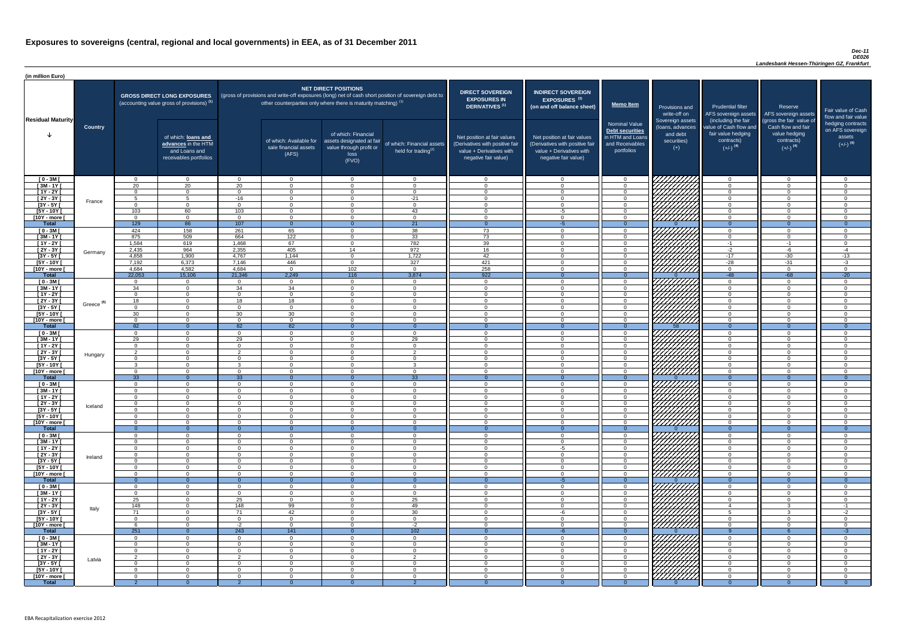#### *Dec-11 DE026*

| (in million Euro)             |                       |                                  |                                                                                             |                            |                                                                                                                                                                                   |                                                                                              |                                                      |                                                                                                                    |                                                                                                                    |                                                                                              |                                                                          |                                                                                                             |                                                                                                         |                                                                           |
|-------------------------------|-----------------------|----------------------------------|---------------------------------------------------------------------------------------------|----------------------------|-----------------------------------------------------------------------------------------------------------------------------------------------------------------------------------|----------------------------------------------------------------------------------------------|------------------------------------------------------|--------------------------------------------------------------------------------------------------------------------|--------------------------------------------------------------------------------------------------------------------|----------------------------------------------------------------------------------------------|--------------------------------------------------------------------------|-------------------------------------------------------------------------------------------------------------|---------------------------------------------------------------------------------------------------------|---------------------------------------------------------------------------|
| <b>Residual Maturity</b>      |                       |                                  | <b>GROSS DIRECT LONG EXPOSURES</b><br>(accounting value gross of provisions) <sup>(1)</sup> |                            | (gross of provisions and write-off exposures (long) net of cash short position of sovereign debt to<br>other counterparties only where there is maturity matching) <sup>(1)</sup> | <b>NET DIRECT POSITIONS</b>                                                                  |                                                      | <b>DIRECT SOVEREIGN</b><br><b>EXPOSURES IN</b><br><b>DERIVATIVES (1)</b>                                           | <b>INDIRECT SOVEREIGN</b><br><b>EXPOSURES<sup>(3)</sup></b><br>(on and off balance sheet)                          | <b>Memo Item</b>                                                                             | Provisions and<br>write-off on                                           | <b>Prudential filter</b><br>AFS sovereign assets AFS sovereign assets                                       | Reserve                                                                                                 | Fair value of Cash<br>flow and fair value                                 |
|                               | <b>Country</b>        |                                  | of which: loans and<br>advances in the HTM<br>and Loans and<br>receivables portfolios       |                            | of which: Available for<br>sale financial assets<br>(AFS)                                                                                                                         | of which: Financial<br>assets designated at fair<br>value through profit or<br>loss<br>(FVO) | of which: Financial assets<br>held for trading $(2)$ | Net position at fair values<br>(Derivatives with positive fair<br>value + Derivatives with<br>negative fair value) | Net position at fair values<br>(Derivatives with positive fair<br>value + Derivatives with<br>negative fair value) | <b>Nominal Value</b><br>Debt securities<br>in HTM and Loans<br>and Receivables<br>portfolios | Sovereign assets<br>(Ioans, advances<br>and debt<br>securities)<br>$(+)$ | (including the fair<br>value of Cash flow and<br>fair value hedging<br>contracts)<br>$(+/-)$ <sup>(4)</sup> | (gross the fair value of<br>Cash flow and fair<br>value hedging<br>contracts)<br>$(+/-)$ <sup>(4)</sup> | hedging contracts<br>on AFS sovereign<br>assets<br>$(+/-)$ <sup>(4)</sup> |
| $[0 - 3M]$                    |                       | $\Omega$                         | $\overline{0}$                                                                              | $\Omega$                   | $\overline{0}$                                                                                                                                                                    | $\Omega$                                                                                     | $\overline{0}$                                       | $\Omega$                                                                                                           | $\Omega$                                                                                                           | $\overline{0}$                                                                               | 7777777777                                                               | $\overline{0}$                                                                                              | $\Omega$                                                                                                | $\overline{0}$                                                            |
| $[3M - 1Y]$<br>$[1Y - 2Y]$    |                       | 20<br>$\Omega$                   | 20<br>$\Omega$                                                                              | 20<br>$\Omega$             | $\Omega$<br>$\Omega$                                                                                                                                                              | $\Omega$<br>$\Omega$                                                                         | $\Omega$<br>$\overline{0}$                           | $\cap$<br>$\cap$                                                                                                   | $\Omega$<br>$\Omega$                                                                                               | $\Omega$<br>$\Omega$                                                                         |                                                                          | $\Omega$<br>$\overline{0}$                                                                                  | $\Omega$<br>$\Omega$                                                                                    | $\cap$<br>$\Omega$                                                        |
| $[2Y - 3Y]$                   |                       | -5                               | -5                                                                                          | $-16$                      | $\overline{0}$                                                                                                                                                                    | $\Omega$                                                                                     | $-21$                                                | $\overline{0}$                                                                                                     | $\Omega$                                                                                                           | $\overline{0}$                                                                               |                                                                          | $\overline{0}$                                                                                              | $\Omega$                                                                                                | $\overline{0}$                                                            |
| $[3Y - 5Y]$                   | France                | $\Omega$                         | $\overline{0}$                                                                              | $\Omega$                   | $\Omega$                                                                                                                                                                          | $\Omega$                                                                                     | $\Omega$                                             | $\Omega$                                                                                                           | $\Omega$                                                                                                           | $\overline{0}$                                                                               | HAAAN KARENDARI KA                                                       | $\overline{0}$                                                                                              | $\Omega$                                                                                                | $\Omega$                                                                  |
| $[5Y - 10Y]$                  |                       | 103                              | 60                                                                                          | 103                        | $\Omega$                                                                                                                                                                          | $\Omega$                                                                                     | 43                                                   | $\Omega$                                                                                                           | -5                                                                                                                 | $\overline{0}$                                                                               |                                                                          | $\overline{0}$                                                                                              | $\Omega$                                                                                                | $\Omega$                                                                  |
| [10Y - more [                 |                       | $\Omega$                         | $\overline{0}$                                                                              | $\Omega$                   | $\overline{0}$                                                                                                                                                                    | $\Omega$                                                                                     | $\overline{0}$                                       | $\overline{0}$                                                                                                     | $\Omega$                                                                                                           | $\overline{0}$                                                                               | <u>UHHHH</u>                                                             | $\overline{0}$<br>$\overline{0}$                                                                            | $\Omega$                                                                                                | $\Omega$                                                                  |
| <b>Total</b><br>$[0 - 3M]$    |                       | 129<br>424                       | 86<br>158                                                                                   | 107<br>261                 | $\Omega$<br>65                                                                                                                                                                    | $\Omega$                                                                                     | $\overline{21}$<br>38                                | - 0<br>73                                                                                                          | -5<br>$\Omega$                                                                                                     | $\Omega$<br>$\Omega$                                                                         |                                                                          | $\overline{0}$                                                                                              | $\Omega$                                                                                                | $\overline{0}$<br>$\cap$                                                  |
| $[3M - 1Y]$                   |                       | 875                              | 509                                                                                         | 664                        | $\overline{122}$                                                                                                                                                                  | $\Omega$                                                                                     | 33                                                   | 73                                                                                                                 | $\cap$                                                                                                             | $\overline{0}$                                                                               |                                                                          | $\overline{0}$                                                                                              | $\Omega$                                                                                                | $\Omega$                                                                  |
| $[1Y - 2Y]$                   |                       | 1,584                            | 619                                                                                         | 1,468                      | 67                                                                                                                                                                                | $\Omega$                                                                                     | 782                                                  | 39                                                                                                                 |                                                                                                                    | $\Omega$                                                                                     |                                                                          | $-1$                                                                                                        | $-1$                                                                                                    | - 0                                                                       |
| [2Y - 3Y [                    | Germany               | 2,435                            | 964                                                                                         | 2,355                      | 405                                                                                                                                                                               | 14                                                                                           | 972                                                  | 16                                                                                                                 |                                                                                                                    | $\Omega$                                                                                     |                                                                          | $-2$                                                                                                        | -6                                                                                                      | $-4$                                                                      |
| $[3Y - 5Y]$<br>$[5Y - 10Y]$   |                       | 4,858                            | 1,900                                                                                       | 4,767<br>7,146             | 1,144                                                                                                                                                                             | $\Omega$                                                                                     | 1,722<br>327                                         | 42                                                                                                                 | $\cap$                                                                                                             | $\Omega$<br>$\Omega$                                                                         |                                                                          | $-17$                                                                                                       | $-30$                                                                                                   | $-13$                                                                     |
| [10Y - more [                 |                       | 7,192<br>4,684                   | 6,373<br>4,582                                                                              | 4,684                      | 446<br>$\Omega$                                                                                                                                                                   | $\Omega$<br>102                                                                              | $\overline{0}$                                       | 421<br>258                                                                                                         |                                                                                                                    | $\Omega$                                                                                     | 7777777777                                                               | $-28$<br>$\overline{0}$                                                                                     | $-31$<br>$\Omega$                                                                                       | $-3$<br>$\cap$                                                            |
| <b>Total</b>                  |                       | 22,053                           | 15,106                                                                                      | 21,346                     | 2,249                                                                                                                                                                             | 116                                                                                          | 3,874                                                | 922                                                                                                                |                                                                                                                    | $\Omega$                                                                                     |                                                                          | $-48$                                                                                                       | $-68$                                                                                                   | $-20$                                                                     |
| $[0 - 3M]$                    |                       | $\Omega$                         | $\overline{0}$                                                                              | $\Omega$                   | $\overline{0}$                                                                                                                                                                    | $\overline{0}$                                                                               | $\overline{0}$                                       | $\cap$                                                                                                             |                                                                                                                    | $\Omega$                                                                                     |                                                                          | $\Omega$                                                                                                    | $\Omega$                                                                                                | . വ                                                                       |
| $[3M - 1Y]$                   |                       | 34                               | $\overline{0}$                                                                              | 34                         | 34                                                                                                                                                                                | $\Omega$                                                                                     | $\overline{0}$                                       | $\cap$                                                                                                             |                                                                                                                    | $\Omega$                                                                                     |                                                                          | $\Omega$                                                                                                    | $\Omega$                                                                                                | $\Omega$                                                                  |
| $[1Y - 2Y]$<br>$[2Y - 3Y]$    |                       | $\Omega$<br>18                   | $\Omega$<br>$\Omega$                                                                        | $\Omega$<br>18             | $\Omega$<br>18                                                                                                                                                                    | $\Omega$<br>$\Omega$                                                                         | $\Omega$<br>$\Omega$                                 | $\cap$                                                                                                             |                                                                                                                    | $\Omega$<br>$\Omega$                                                                         | <i>ШША</i>                                                               | $\Omega$<br>$\Omega$                                                                                        | $\Omega$                                                                                                | $\cap$                                                                    |
| $[3Y - 5Y]$                   | Greece <sup>(5)</sup> |                                  |                                                                                             |                            |                                                                                                                                                                                   |                                                                                              |                                                      |                                                                                                                    |                                                                                                                    |                                                                                              |                                                                          |                                                                                                             |                                                                                                         |                                                                           |
| $[5Y - 10Y]$                  |                       | 30                               | $\Omega$                                                                                    | 30                         | 30                                                                                                                                                                                | $\Omega$                                                                                     | $\Omega$                                             |                                                                                                                    |                                                                                                                    | $\Omega$                                                                                     | HHHH                                                                     | $\Omega$                                                                                                    |                                                                                                         |                                                                           |
| $[10Y - more]$                |                       | - 0                              | $\cap$                                                                                      | $\Omega$                   | $\Omega$                                                                                                                                                                          | $\Omega$                                                                                     | $\Omega$                                             |                                                                                                                    |                                                                                                                    | $\Omega$                                                                                     | 777777777                                                                | $\Omega$                                                                                                    |                                                                                                         |                                                                           |
| <b>Total</b><br>$[0 - 3M]$    |                       | 82<br>- 0                        | $\Omega$<br>$\Omega$                                                                        | 82<br>$\Omega$             | 82<br>$\Omega$                                                                                                                                                                    | $\Omega$                                                                                     | $\Omega$<br>$\overline{0}$                           | $\cap$                                                                                                             | $\cap$                                                                                                             | $\Omega$<br>$\Omega$                                                                         | 58                                                                       | $\Omega$<br>$\overline{0}$                                                                                  | $\Omega$<br>$\Omega$                                                                                    | $\Omega$                                                                  |
| $[3M - 1Y]$                   |                       | 29                               | $\Omega$                                                                                    | 29                         | $\Omega$                                                                                                                                                                          | $\Omega$                                                                                     | 29                                                   | $\cap$                                                                                                             | $\cap$                                                                                                             | $\Omega$                                                                                     |                                                                          | $\Omega$                                                                                                    | $\Omega$                                                                                                | ി                                                                         |
| $[1Y - 2Y]$                   |                       | $\Omega$                         | $\Omega$                                                                                    | $\Omega$                   | $\overline{0}$                                                                                                                                                                    | $\Omega$                                                                                     | $\Omega$                                             | $\Omega$                                                                                                           | $\Omega$                                                                                                           | $\Omega$                                                                                     |                                                                          | $\overline{0}$                                                                                              | $\Omega$                                                                                                | $\Omega$                                                                  |
| $\overline{2Y - 3Y}$          | Hungary               | ົາ                               | $\Omega$                                                                                    | $\Omega$                   | $\Omega$                                                                                                                                                                          | $\Omega$                                                                                     | 2                                                    | $\Omega$                                                                                                           | $\Omega$                                                                                                           | $\Omega$                                                                                     |                                                                          | $\overline{0}$                                                                                              | $\Omega$                                                                                                | $\cap$                                                                    |
| $[3Y - 5Y]$<br>$[5Y - 10Y]$   |                       | $\Omega$<br>-3                   | $\overline{0}$<br>$\overline{0}$                                                            | $\Omega$<br>-3             | $\Omega$<br>$\Omega$                                                                                                                                                              | $\Omega$<br>$\Omega$                                                                         | $\Omega$<br>$\mathbf{3}$                             | $\Omega$<br>$\Omega$                                                                                               | $\Omega$<br>$\Omega$                                                                                               | $\Omega$<br>$\overline{0}$                                                                   | VIIIIIIII                                                                | $\overline{0}$<br>$\overline{0}$                                                                            | $\Omega$<br>$\Omega$                                                                                    | $\Omega$<br>$\Omega$                                                      |
| [10Y - more [                 |                       | $\Omega$                         | $\Omega$                                                                                    | $\overline{0}$             | $\Omega$                                                                                                                                                                          | $\Omega$                                                                                     | $\overline{0}$                                       | - 0                                                                                                                | $\Omega$                                                                                                           | $\overline{0}$                                                                               | <u>777777777</u>                                                         | $\overline{0}$                                                                                              | $\Omega$                                                                                                | $\Omega$                                                                  |
| <b>Total</b>                  |                       | 33                               | $\overline{0}$                                                                              | 33                         | $\Omega$                                                                                                                                                                          |                                                                                              | 33                                                   | $\Omega$                                                                                                           |                                                                                                                    | $\Omega$                                                                                     |                                                                          | $\overline{0}$                                                                                              | $\Omega$                                                                                                | $\Omega$                                                                  |
| $[0 - 3M]$                    |                       | $\overline{0}$                   | $\overline{0}$                                                                              | $\overline{0}$             | $\Omega$                                                                                                                                                                          | $\overline{0}$                                                                               | $\overline{0}$                                       | $\overline{0}$                                                                                                     | $\Omega$                                                                                                           | $\overline{0}$                                                                               |                                                                          | $\overline{0}$                                                                                              | $\mathbf{0}$                                                                                            | $\Omega$                                                                  |
| $1$ 3M - 1Y<br>$[1Y - 2Y]$    |                       | $\overline{0}$<br>$\overline{0}$ | $\overline{0}$<br>$\Omega$                                                                  | $\Omega$<br>$\Omega$       | $\Omega$<br>$\Omega$                                                                                                                                                              | $\Omega$<br>$\Omega$                                                                         | $\overline{0}$<br>$\Omega$                           | - 0<br>- 0                                                                                                         | $\Omega$                                                                                                           | $\Omega$<br>$\Omega$                                                                         |                                                                          | $\overline{0}$<br>$\overline{0}$                                                                            | $\Omega$<br>$\Omega$                                                                                    | $\cap$<br>$\cap$                                                          |
| $[2Y - 3Y]$                   |                       | $\overline{0}$                   | $\overline{0}$                                                                              | $\overline{0}$             | $\Omega$                                                                                                                                                                          | $\Omega$                                                                                     | $\overline{0}$                                       | - 0                                                                                                                | $\Omega$                                                                                                           | $\Omega$                                                                                     |                                                                          | $\overline{0}$                                                                                              | $\Omega$                                                                                                | - 0                                                                       |
| $[3Y - 5Y]$                   | Iceland               | $\Omega$                         | $\Omega$                                                                                    | $\Omega$                   | $\Omega$                                                                                                                                                                          | $\Omega$                                                                                     | $\overline{0}$                                       | - റ                                                                                                                | $\cap$                                                                                                             | $\Omega$                                                                                     |                                                                          | $\overline{0}$                                                                                              | $\Omega$                                                                                                | - 0                                                                       |
| $[5Y - 10Y]$                  |                       | $\Omega$                         | $\Omega$                                                                                    | $\Omega$                   | $\Omega$                                                                                                                                                                          | $\Omega$                                                                                     | $\overline{0}$                                       | റ                                                                                                                  | $\cap$                                                                                                             | $\Omega$                                                                                     | 777777777                                                                | $\overline{0}$                                                                                              | $\Omega$                                                                                                | $\cap$                                                                    |
| [10Y - more [<br><b>Total</b> |                       | $\Omega$<br>- റ                  | $\Omega$<br>$\overline{0}$                                                                  | $\Omega$<br>$\Omega$       | $\Omega$<br>$\Omega$                                                                                                                                                              | $\Omega$                                                                                     | $\overline{0}$<br>$\Omega$                           | റ<br>- ೧                                                                                                           | $\cap$                                                                                                             | $\Omega$<br>$\Omega$                                                                         | <u>VIIIIIII</u>                                                          | $\overline{0}$<br>$\Omega$                                                                                  | $\Omega$<br>$\overline{0}$                                                                              | റ<br>- 0                                                                  |
| $[0 - 3M]$                    |                       | $\Omega$                         | $\Omega$                                                                                    | $\Omega$                   | $\Omega$                                                                                                                                                                          | $\Omega$                                                                                     | $\Omega$                                             | $\Omega$                                                                                                           | $\Omega$                                                                                                           | $\Omega$                                                                                     | UNITA<br>UNITA                                                           | $\Omega$                                                                                                    | $\cap$                                                                                                  | $\Omega$                                                                  |
| $[3M - 1Y]$                   |                       | $\Omega$                         | $\overline{0}$                                                                              | $\Omega$                   | $\overline{0}$                                                                                                                                                                    | $\Omega$                                                                                     | $\overline{0}$                                       | $\Omega$                                                                                                           | $\cap$                                                                                                             | $\Omega$                                                                                     |                                                                          | $\overline{0}$                                                                                              | $\Omega$                                                                                                | $\cap$                                                                    |
| $[1Y - 2Y]$                   |                       | $\Omega$                         | $\Omega$                                                                                    | $\Omega$                   | $\Omega$                                                                                                                                                                          | $\Omega$                                                                                     | $\overline{0}$                                       | $\Omega$<br>$\cap$                                                                                                 | -5                                                                                                                 | $\Omega$<br>$\Omega$                                                                         |                                                                          | $\Omega$                                                                                                    | $\Omega$<br>$\Omega$                                                                                    | $\cap$                                                                    |
| $[2Y - 3Y]$<br>$[3Y - 5Y]$    | Ireland               | $\Omega$<br>$\Omega$             | $\Omega$<br>$\Omega$                                                                        | $\Omega$<br>$\Omega$       | $\Omega$<br>$\Omega$                                                                                                                                                              | $\Omega$<br>$\Omega$                                                                         | $\Omega$<br>$\Omega$                                 | $\cap$                                                                                                             |                                                                                                                    | $\Omega$                                                                                     |                                                                          | $\Omega$<br>$\Omega$                                                                                        | $\Omega$                                                                                                |                                                                           |
| $[5Y - 10Y]$                  |                       | $\Omega$                         | $\Omega$                                                                                    | $\Omega$                   | $\Omega$                                                                                                                                                                          | $\Omega$                                                                                     | $\Omega$                                             |                                                                                                                    |                                                                                                                    | $\Omega$                                                                                     |                                                                          | $\Omega$                                                                                                    | $\Omega$                                                                                                |                                                                           |
| [10Y - more [                 |                       | $\Omega$                         | $\Omega$                                                                                    | $\Omega$                   | $\Omega$                                                                                                                                                                          | $\cap$                                                                                       | $\Omega$                                             | $\cap$                                                                                                             |                                                                                                                    | $\cap$                                                                                       |                                                                          | $\Omega$                                                                                                    | $\Omega$                                                                                                |                                                                           |
| <b>Total</b>                  |                       | $\Omega$                         | $\Omega$<br>$\Omega$                                                                        | $\Omega$<br>$\Omega$       | $\Omega$<br>$\Omega$                                                                                                                                                              | $\Omega$<br>$\Omega$                                                                         | $\Omega$<br>$\Omega$                                 | $\cap$                                                                                                             | $-5$                                                                                                               | $\Omega$<br>$\Omega$                                                                         |                                                                          | $\Omega$<br>$\Omega$                                                                                        | $\Omega$<br>$\Omega$                                                                                    | $\Omega$                                                                  |
| $[0 - 3M]$<br>$[3M - 1Y]$     |                       | $\Omega$<br>$\Omega$             | $\Omega$                                                                                    | $\Omega$                   | $\Omega$                                                                                                                                                                          | $\Omega$                                                                                     | $\overline{0}$                                       | $\cap$                                                                                                             | $\Omega$                                                                                                           | $\Omega$                                                                                     |                                                                          | $\overline{0}$                                                                                              | $\Omega$                                                                                                | $\Omega$                                                                  |
| $[1Y - 2Y]$                   |                       | 25                               | $\Omega$                                                                                    | 25                         | $\Omega$                                                                                                                                                                          | $\Omega$                                                                                     | 25                                                   | $\cap$                                                                                                             | $\Omega$                                                                                                           | $\Omega$                                                                                     | UMMA                                                                     | $\overline{0}$                                                                                              | $\Omega$                                                                                                | $\Omega$                                                                  |
| $[2Y - 3Y]$                   | Italy                 | 148                              | $\Omega$                                                                                    | 148                        | 99                                                                                                                                                                                | $\Omega$                                                                                     | 49                                                   | $\cap$                                                                                                             | $\Omega$                                                                                                           | $\Omega$                                                                                     | ШША                                                                      | $\overline{4}$                                                                                              | -2                                                                                                      | -1                                                                        |
| $[3Y - 5Y]$                   |                       | 71                               | $\overline{0}$                                                                              | 71                         | 42                                                                                                                                                                                | $\Omega$                                                                                     | 30                                                   | $\Omega$                                                                                                           | -6                                                                                                                 | $\Omega$                                                                                     | VIIIIIIII                                                                | $5^{\circ}$                                                                                                 | વ                                                                                                       | $-2$                                                                      |
| $[5Y - 10Y]$<br>[10Y - more [ |                       | $\Omega$                         | $\overline{0}$<br>$\Omega$                                                                  | $\Omega$<br>$-2$           | $\overline{0}$<br>$\Omega$                                                                                                                                                        | $\Omega$<br>$\Omega$                                                                         | $\overline{0}$<br>$-2$                               | $\Omega$<br>$\cap$                                                                                                 | $\Omega$<br>$\Omega$                                                                                               | $\overline{0}$<br>$\Omega$                                                                   | ///////////                                                              | $\overline{0}$<br>$\overline{0}$                                                                            | $\Omega$<br>$\Omega$                                                                                    | $\Omega$<br>$\Omega$                                                      |
| <b>Total</b>                  |                       | 251                              | $\overline{0}$                                                                              | 243                        | $\overline{141}$                                                                                                                                                                  | $\Omega$                                                                                     | 102                                                  | $\Omega$                                                                                                           | $-6$                                                                                                               | $\Omega$                                                                                     |                                                                          | $\overline{Q}$                                                                                              |                                                                                                         | $-3$                                                                      |
| $[0 - 3M]$                    |                       | $\Omega$                         | $\Omega$                                                                                    | $\Omega$                   | $\Omega$                                                                                                                                                                          | $\Omega$                                                                                     | $\Omega$                                             | - 0                                                                                                                | $\Omega$                                                                                                           | $\Omega$                                                                                     | 1 <i>77777777</i> 71                                                     | $\Omega$                                                                                                    |                                                                                                         |                                                                           |
| $[3M-1Y]$                     |                       | $\overline{0}$                   | $\overline{0}$                                                                              | $\Omega$                   | $\Omega$                                                                                                                                                                          | $\overline{0}$                                                                               | $\overline{0}$                                       | - 0                                                                                                                | $\Omega$                                                                                                           | $\Omega$                                                                                     | HANG SANG                                                                | $\overline{0}$                                                                                              | $\Omega$                                                                                                | $\Omega$                                                                  |
| $[1Y - 2Y]$<br>[2Y - 3Y [     |                       | $\overline{0}$<br>2              | $\Omega$<br>$\overline{0}$                                                                  | $\Omega$<br>$\overline{2}$ | $\Omega$<br>$\Omega$                                                                                                                                                              | $\Omega$<br>$\overline{0}$                                                                   | $\overline{0}$<br>$\overline{2}$                     | $\Omega$<br>$\overline{\mathbf{0}}$                                                                                | $\Omega$<br>$\Omega$                                                                                               | $\overline{0}$<br>$\overline{0}$                                                             |                                                                          | $\overline{0}$<br>$\overline{0}$                                                                            | $\Omega$<br>$\Omega$                                                                                    | $\Omega$<br>- 0                                                           |
| $[3Y - 5Y]$                   | Latvia                | $\Omega$                         | $\overline{0}$                                                                              | $\overline{0}$             | $\Omega$                                                                                                                                                                          | $\overline{0}$                                                                               | $\overline{0}$                                       | $\overline{0}$                                                                                                     | $\Omega$                                                                                                           | $\overline{0}$                                                                               |                                                                          | $\overline{0}$                                                                                              | $\Omega$                                                                                                | - 0                                                                       |
| $[5Y - 10Y]$                  |                       | $\Omega$                         | $\overline{0}$                                                                              | $\Omega$                   | $\Omega$                                                                                                                                                                          | $\overline{0}$                                                                               | $\overline{0}$                                       | - 0                                                                                                                | $\cap$                                                                                                             | $\Omega$                                                                                     |                                                                          | $\overline{0}$                                                                                              | $\Omega$                                                                                                | - 0                                                                       |
| [10Y - more [                 |                       | $\Omega$                         | $\overline{0}$                                                                              | - 0                        | $\Omega$                                                                                                                                                                          | $\overline{0}$                                                                               | $\overline{0}$                                       | - റ                                                                                                                | $\cap$                                                                                                             | $\Omega$                                                                                     |                                                                          | $\Omega$                                                                                                    | $\Omega$                                                                                                | $\Omega$                                                                  |
| <b>Total</b>                  |                       |                                  | $\Omega$                                                                                    |                            |                                                                                                                                                                                   |                                                                                              |                                                      |                                                                                                                    |                                                                                                                    |                                                                                              |                                                                          | - റ                                                                                                         |                                                                                                         |                                                                           |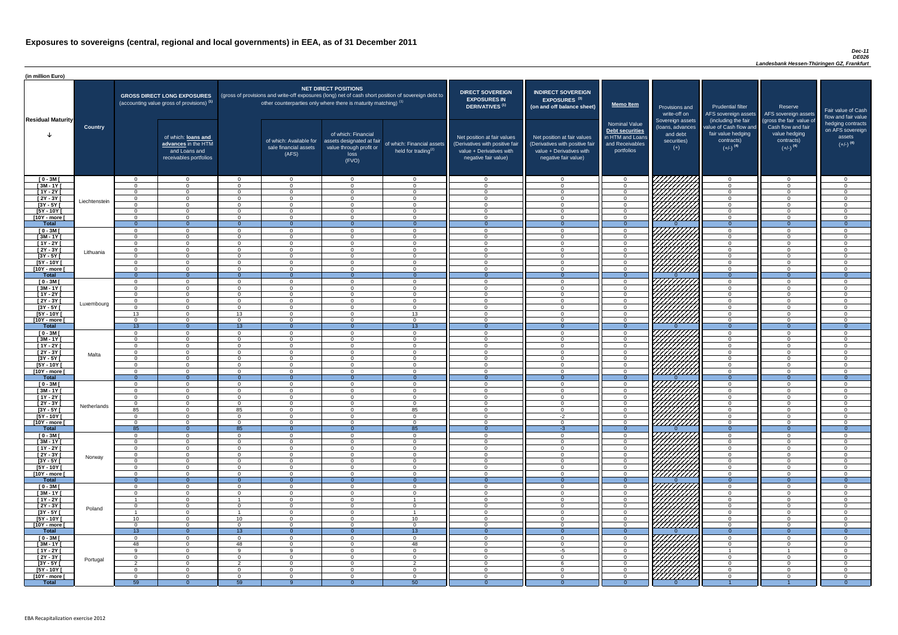#### *Dec-11 DE026*

| <b>DIRECT SOVEREIGN</b><br><b>EXPOSURES IN</b><br><b>DERIVATIVES<sup>(1)</sup></b><br>Net position at fair values<br>(Derivatives with positive fair<br>value + Derivatives with<br>negative fair value) | <b>INDIRECT SOVEREIGN</b><br>EXPOSURES <sup>(3)</sup><br>(on and off balance sheet)<br>Net position at fair values<br>(Derivatives with positive fair<br>value + Derivatives with<br>negative fair value) | <b>Memo Item</b><br><b>Nominal Value</b><br>Debt securities<br>in HTM and Loans<br>and Receivables<br>portfolios | Provisions and<br>write-off on<br>Sovereign assets<br>(loans, advances<br>and debt<br>securities)<br>$^{(+)}$ | <b>Prudential filter</b><br>AFS sovereign assets<br>(including the fair<br>value of Cash flow and<br>fair value hedging<br>contracts)<br>$(+/-)$ <sup>(4)</sup> | Reserve<br>AFS sovereign assets<br>(gross the fair value of<br>Cash flow and fair<br>value hedging<br>contracts)<br>$(+/-)$ <sup>(4)</sup> | Fair value of Cash<br>flow and fair value<br>hedging contracts<br>on AFS sovereign<br>assets<br>$(+/-)$ <sup>(4)</sup> |
|----------------------------------------------------------------------------------------------------------------------------------------------------------------------------------------------------------|-----------------------------------------------------------------------------------------------------------------------------------------------------------------------------------------------------------|------------------------------------------------------------------------------------------------------------------|---------------------------------------------------------------------------------------------------------------|-----------------------------------------------------------------------------------------------------------------------------------------------------------------|--------------------------------------------------------------------------------------------------------------------------------------------|------------------------------------------------------------------------------------------------------------------------|
| $\mathbf 0$                                                                                                                                                                                              | $\mathbf 0$                                                                                                                                                                                               | $\mathbf 0$                                                                                                      |                                                                                                               | $\mathbf 0$                                                                                                                                                     | $\mathbf 0$                                                                                                                                | $\mathbf 0$                                                                                                            |
| $\overline{0}$                                                                                                                                                                                           | $\mathbf 0$                                                                                                                                                                                               | $\mathbf 0$                                                                                                      |                                                                                                               | $\mathbf 0$                                                                                                                                                     | $\mathbf 0$                                                                                                                                | $\mathbf 0$                                                                                                            |
| $\mathbf 0$                                                                                                                                                                                              | $\mathbf 0$                                                                                                                                                                                               | $\mathbf 0$                                                                                                      |                                                                                                               | $\mathbf 0$                                                                                                                                                     | $\mathbf 0$                                                                                                                                | $\mathbf 0$                                                                                                            |
| $\mathbf 0$<br>$\mathbf 0$                                                                                                                                                                               | $\mathbf 0$<br>$\mathbf 0$                                                                                                                                                                                | $\mathbf 0$<br>$\pmb{0}$                                                                                         |                                                                                                               | $\mathbf 0$<br>$\mathbf 0$                                                                                                                                      | $\mathbf 0$<br>$\Omega$                                                                                                                    | $\mathbf 0$<br>$\mathbf 0$                                                                                             |
| $\pmb{0}$                                                                                                                                                                                                | $\mathbf 0$                                                                                                                                                                                               | $\mathbf 0$                                                                                                      |                                                                                                               | $\mathbf 0$                                                                                                                                                     | $\mathbf 0$                                                                                                                                | $\mathbf 0$                                                                                                            |
| $\pmb{0}$                                                                                                                                                                                                | $\mathbf 0$                                                                                                                                                                                               | $\mathbf 0$                                                                                                      |                                                                                                               | $\mathbf 0$                                                                                                                                                     | $\mathbf 0$                                                                                                                                | $\mathbf 0$                                                                                                            |
| $\overline{0}$                                                                                                                                                                                           | $\overline{0}$                                                                                                                                                                                            | $\overline{0}$                                                                                                   | 0                                                                                                             | $\overline{0}$                                                                                                                                                  | $\overline{0}$                                                                                                                             | $\overline{0}$                                                                                                         |
| $\mathbf 0$<br>$\mathbf 0$                                                                                                                                                                               | $\mathbf 0$<br>$\mathbf 0$                                                                                                                                                                                | $\mathbf 0$<br>$\mathbf 0$                                                                                       |                                                                                                               | $\mathbf 0$<br>$\mathbf 0$                                                                                                                                      | $\mathbf 0$<br>$\mathbf 0$                                                                                                                 | $\mathbf 0$<br>$\mathbf 0$                                                                                             |
| $\mathbf 0$                                                                                                                                                                                              | $\mathbf 0$                                                                                                                                                                                               | $\mathbf 0$                                                                                                      |                                                                                                               | $\mathbf 0$                                                                                                                                                     | $\overline{0}$                                                                                                                             | $\overline{0}$                                                                                                         |
| $\mathbf 0$                                                                                                                                                                                              | $\mathbf 0$                                                                                                                                                                                               | $\mathbf 0$                                                                                                      |                                                                                                               | $\mathbf 0$                                                                                                                                                     | $\mathbf 0$                                                                                                                                | $\pmb{0}$                                                                                                              |
| $\mathbf 0$                                                                                                                                                                                              | $\mathbf 0$                                                                                                                                                                                               | $\mathbf 0$                                                                                                      |                                                                                                               | $\mathbf 0$                                                                                                                                                     | $\mathbf 0$                                                                                                                                | $\mathbf 0$                                                                                                            |
| $\mathbf 0$                                                                                                                                                                                              | $\mathbf 0$                                                                                                                                                                                               | $\mathbf 0$                                                                                                      |                                                                                                               | $\mathbf 0$                                                                                                                                                     | $\overline{0}$                                                                                                                             | $\mathbf 0$<br>$\mathbf 0$                                                                                             |
| $\mathbf 0$<br>$\overline{0}$                                                                                                                                                                            | $\mathbf 0$<br>$\overline{0}$                                                                                                                                                                             | $\mathbf 0$<br>$\overline{0}$                                                                                    | $\Omega$                                                                                                      | $\mathbf 0$<br>$\overline{0}$                                                                                                                                   | $\mathbf 0$<br>$\overline{0}$                                                                                                              | $\overline{0}$                                                                                                         |
| $\mathbf 0$                                                                                                                                                                                              | $\mathbf 0$                                                                                                                                                                                               | $\pmb{0}$                                                                                                        |                                                                                                               | $\mathbf 0$                                                                                                                                                     | $\mathbf 0$                                                                                                                                | $\mathsf 0$                                                                                                            |
| $\mathbf 0$                                                                                                                                                                                              | $\mathbf 0$                                                                                                                                                                                               | $\mathbf 0$                                                                                                      |                                                                                                               | $\mathbf 0$                                                                                                                                                     | $\mathbf 0$                                                                                                                                | $\mathbf 0$                                                                                                            |
| $\mathbf 0$                                                                                                                                                                                              | $\mathbf 0$                                                                                                                                                                                               | $\mathbf 0$                                                                                                      |                                                                                                               | $\mathbf 0$                                                                                                                                                     | $\mathbf 0$                                                                                                                                | $\mathbf 0$                                                                                                            |
| $\mathbf 0$<br>$\mathbf 0$                                                                                                                                                                               | $\mathbf 0$<br>$\mathbf 0$                                                                                                                                                                                | $\mathbf 0$<br>$\mathbf 0$                                                                                       |                                                                                                               | $\mathbf 0$<br>$\mathbf{0}$                                                                                                                                     | $\mathbf 0$<br>$\mathbf 0$                                                                                                                 | $\mathbf 0$<br>$\mathbf 0$                                                                                             |
| $\cup$                                                                                                                                                                                                   | O                                                                                                                                                                                                         | 0                                                                                                                |                                                                                                               | O                                                                                                                                                               |                                                                                                                                            | $\left($                                                                                                               |
| $\mathbf 0$                                                                                                                                                                                              | 0                                                                                                                                                                                                         | $\mathbf 0$                                                                                                      |                                                                                                               | $\Omega$                                                                                                                                                        | $\Omega$                                                                                                                                   | $\mathbf 0$                                                                                                            |
| $\overline{0}$                                                                                                                                                                                           | $\overline{0}$                                                                                                                                                                                            | $\mathbf{0}$                                                                                                     | $\mathbf 0$                                                                                                   | $\overline{0}$                                                                                                                                                  | $\overline{0}$                                                                                                                             | $\overline{0}$                                                                                                         |
| $\mathbf 0$<br>0                                                                                                                                                                                         | 0<br>0                                                                                                                                                                                                    | 0<br>0                                                                                                           |                                                                                                               | 0<br>0                                                                                                                                                          | 0<br>0                                                                                                                                     | 0<br>$\mathbf 0$                                                                                                       |
| 0                                                                                                                                                                                                        | 0                                                                                                                                                                                                         | 0                                                                                                                |                                                                                                               | 0                                                                                                                                                               | $\Omega$                                                                                                                                   | $\mathbf 0$                                                                                                            |
| 0                                                                                                                                                                                                        | $\Omega$                                                                                                                                                                                                  | 0                                                                                                                |                                                                                                               | 0                                                                                                                                                               | $\Omega$                                                                                                                                   | 0                                                                                                                      |
| $\mathbf 0$                                                                                                                                                                                              | 0                                                                                                                                                                                                         | $\pmb{0}$                                                                                                        |                                                                                                               | 0                                                                                                                                                               | $\mathbf 0$                                                                                                                                | $\mathsf 0$                                                                                                            |
| $\mathbf 0$<br>$\pmb{0}$                                                                                                                                                                                 | 0<br>0                                                                                                                                                                                                    | $\pmb{0}$<br>$\pmb{0}$                                                                                           |                                                                                                               | $\mathbf 0$<br>0                                                                                                                                                | $\mathbf 0$<br>$\mathbf 0$                                                                                                                 | $\mathsf 0$<br>$\mathsf 0$                                                                                             |
| $\overline{0}$                                                                                                                                                                                           | $\overline{0}$                                                                                                                                                                                            | $\overline{0}$                                                                                                   | $\mathbf{0}$                                                                                                  | $\overline{0}$                                                                                                                                                  | $\overline{0}$                                                                                                                             | $\overline{0}$                                                                                                         |
| 0                                                                                                                                                                                                        | 0                                                                                                                                                                                                         | 0                                                                                                                |                                                                                                               | 0                                                                                                                                                               | $\mathbf 0$                                                                                                                                | 0                                                                                                                      |
| $\Omega$                                                                                                                                                                                                 | $\Omega$                                                                                                                                                                                                  | 0                                                                                                                |                                                                                                               | $\Omega$                                                                                                                                                        | $\mathbf 0$                                                                                                                                | $\mathbf 0$                                                                                                            |
| $\mathbf 0$<br>$\pmb{0}$                                                                                                                                                                                 | 0<br>$\mathbf 0$                                                                                                                                                                                          | 0<br>$\mathbf 0$                                                                                                 |                                                                                                               | $\mathbf 0$<br>$\mathbf 0$                                                                                                                                      | $\mathbf 0$<br>$\mathbf 0$                                                                                                                 | $\mathsf 0$<br>$\pmb{0}$                                                                                               |
| 0                                                                                                                                                                                                        | 0                                                                                                                                                                                                         | $\mathbf 0$                                                                                                      |                                                                                                               | $\mathbf 0$                                                                                                                                                     | $\mathbf 0$                                                                                                                                | $\mathsf 0$                                                                                                            |
| 0                                                                                                                                                                                                        | $-2$                                                                                                                                                                                                      | 0                                                                                                                |                                                                                                               | 0                                                                                                                                                               | $\mathbf 0$                                                                                                                                | $\mathsf 0$                                                                                                            |
| 0                                                                                                                                                                                                        | 0<br>$-3$                                                                                                                                                                                                 | 0                                                                                                                |                                                                                                               | 0                                                                                                                                                               | 0                                                                                                                                          | $\mathbf 0$<br>$\overline{0}$                                                                                          |
| $\mathbf{0}$<br>0                                                                                                                                                                                        | $\mathbf 0$                                                                                                                                                                                               | $\mathbf{0}$<br>0                                                                                                | $\overline{0}$                                                                                                | $\overline{0}$<br>0                                                                                                                                             | $\overline{0}$<br>0                                                                                                                        | 0                                                                                                                      |
| $\mathbf 0$                                                                                                                                                                                              | 0                                                                                                                                                                                                         | $\mathbf 0$                                                                                                      |                                                                                                               | 0                                                                                                                                                               | 0                                                                                                                                          | $\mathsf 0$                                                                                                            |
| 0                                                                                                                                                                                                        | 0                                                                                                                                                                                                         | 0                                                                                                                |                                                                                                               | 0                                                                                                                                                               | $\mathbf 0$                                                                                                                                | 0                                                                                                                      |
| 0<br>0                                                                                                                                                                                                   | 0<br>0                                                                                                                                                                                                    | 0<br>0                                                                                                           |                                                                                                               | 0<br>0                                                                                                                                                          | 0<br>0                                                                                                                                     | 0<br>0                                                                                                                 |
| 0                                                                                                                                                                                                        | 0                                                                                                                                                                                                         | 0                                                                                                                |                                                                                                               | $\Omega$                                                                                                                                                        | 0                                                                                                                                          | 0                                                                                                                      |
| $\mathbf 0$                                                                                                                                                                                              | 0                                                                                                                                                                                                         | 0                                                                                                                |                                                                                                               | 0                                                                                                                                                               | $\mathbf 0$                                                                                                                                | 0                                                                                                                      |
| $\overline{0}$                                                                                                                                                                                           | $\overline{0}$                                                                                                                                                                                            | $\mathbf{0}$                                                                                                     | $\mathbf 0$                                                                                                   | $\overline{0}$                                                                                                                                                  | $\overline{0}$                                                                                                                             | $\overline{0}$                                                                                                         |
| $\mathbf 0$                                                                                                                                                                                              | 0                                                                                                                                                                                                         | 0                                                                                                                |                                                                                                               | 0                                                                                                                                                               | 0                                                                                                                                          | 0                                                                                                                      |
| 0<br>0                                                                                                                                                                                                   | 0<br>0                                                                                                                                                                                                    | 0<br>0                                                                                                           |                                                                                                               | 0<br>0                                                                                                                                                          | $\Omega$<br>$\Omega$                                                                                                                       | 0<br>0                                                                                                                 |
| $\mathbf{0}$                                                                                                                                                                                             | $\Omega$                                                                                                                                                                                                  | 0                                                                                                                |                                                                                                               | $\Omega$                                                                                                                                                        | $\Omega$                                                                                                                                   | 0                                                                                                                      |
| $\mathbf 0$                                                                                                                                                                                              | 0                                                                                                                                                                                                         | 0                                                                                                                |                                                                                                               | 0                                                                                                                                                               | $\mathbf 0$                                                                                                                                | $\mathsf 0$                                                                                                            |
| $\boldsymbol{0}$                                                                                                                                                                                         | $\mathbf 0$                                                                                                                                                                                               | $\boldsymbol{0}$                                                                                                 |                                                                                                               | $\mathbf 0$                                                                                                                                                     | $\mathbf 0$                                                                                                                                | $\mathsf 0$                                                                                                            |
| $\mathbf 0$<br>$\overline{0}$                                                                                                                                                                            | 0<br>$\overline{0}$                                                                                                                                                                                       | 0<br>$\mathbf{0}$                                                                                                | $\mathbf{0}$                                                                                                  | 0<br>$\overline{0}$                                                                                                                                             | $\mathbf 0$<br>$\overline{0}$                                                                                                              | 0<br>$\overline{0}$                                                                                                    |
| $\mathbf 0$                                                                                                                                                                                              | 0                                                                                                                                                                                                         | 0                                                                                                                |                                                                                                               | 0                                                                                                                                                               | 0                                                                                                                                          | $\mathbf 0$                                                                                                            |
| $\Omega$                                                                                                                                                                                                 | $\mathbf{0}$                                                                                                                                                                                              | $\Omega$                                                                                                         |                                                                                                               | $\mathbf 0$                                                                                                                                                     | $\mathbf 0$                                                                                                                                | $\overline{0}$                                                                                                         |
| $\mathbf 0$                                                                                                                                                                                              | $-5$                                                                                                                                                                                                      | 0                                                                                                                |                                                                                                               | $\mathbf 1$                                                                                                                                                     |                                                                                                                                            | 0                                                                                                                      |
| $\mathbf 0$<br>$\pmb{0}$                                                                                                                                                                                 | $\mathbf 0$<br>6                                                                                                                                                                                          | $\mathbf 0$<br>$\mathbf 0$                                                                                       |                                                                                                               | $\mathbf 0$<br>$\mathbf 0$                                                                                                                                      | $\overline{0}$<br>$\mathbf 0$                                                                                                              | $\overline{0}$<br>$\overline{0}$                                                                                       |
| $\pmb{0}$                                                                                                                                                                                                | $\mathbf 0$                                                                                                                                                                                               | $\mathbf 0$                                                                                                      |                                                                                                               | $\mathbf 0$                                                                                                                                                     | $\mathbf 0$                                                                                                                                | $\mathbf 0$                                                                                                            |
| $\mathbf 0$                                                                                                                                                                                              | $\mathbf 0$                                                                                                                                                                                               | $\mathbf 0$                                                                                                      |                                                                                                               | $\mathbf 0$                                                                                                                                                     | $\overline{0}$                                                                                                                             | $\overline{0}$                                                                                                         |
| $\overline{0}$                                                                                                                                                                                           | $\overline{0}$                                                                                                                                                                                            | $\overline{0}$                                                                                                   | $\overline{0}$                                                                                                |                                                                                                                                                                 |                                                                                                                                            | $\overline{0}$                                                                                                         |

| (in million Euro)                   |                |                            |                                                                                       |                      |                                                                   |                                                                                              |                                                                                                     |                                                                                                                    |                                                                                                                    |                                                                                              |                                                                          |                                                                                                             |                                                                                                         |                                                   |
|-------------------------------------|----------------|----------------------------|---------------------------------------------------------------------------------------|----------------------|-------------------------------------------------------------------|----------------------------------------------------------------------------------------------|-----------------------------------------------------------------------------------------------------|--------------------------------------------------------------------------------------------------------------------|--------------------------------------------------------------------------------------------------------------------|----------------------------------------------------------------------------------------------|--------------------------------------------------------------------------|-------------------------------------------------------------------------------------------------------------|---------------------------------------------------------------------------------------------------------|---------------------------------------------------|
|                                     |                |                            | <b>GROSS DIRECT LONG EXPOSURES</b><br>(accounting value gross of provisions) (1)      |                      | other counterparties only where there is maturity matching) $(1)$ | <b>NET DIRECT POSITIONS</b>                                                                  | (gross of provisions and write-off exposures (long) net of cash short position of sovereign debt to | <b>DIRECT SOVEREIGN</b><br><b>EXPOSURES IN</b><br><b>DERIVATIVES<sup>(1)</sup></b>                                 | <b>INDIRECT SOVEREIGN</b><br><b>EXPOSURES<sup>(3)</sup></b><br>(on and off balance sheet)                          | <b>Memo Item</b>                                                                             | Provisions and<br>write-off on                                           | <b>Prudential filter</b><br>AFS sovereign assets                                                            | Reserve<br>AFS sovereign assets                                                                         | Fair value<br>flow and t                          |
| <b>Residual Maturity</b>            | <b>Country</b> |                            | of which: loans and<br>advances in the HTM<br>and Loans and<br>receivables portfolios |                      | of which: Available for<br>sale financial assets<br>(AFS)         | of which: Financial<br>assets designated at fair<br>value through profit or<br>loss<br>(FVO) | of which: Financial assets<br>held for trading <sup>(2)</sup>                                       | Net position at fair values<br>(Derivatives with positive fair<br>value + Derivatives with<br>negative fair value) | Net position at fair values<br>(Derivatives with positive fair<br>value + Derivatives with<br>negative fair value) | <b>Nominal Value</b><br>Debt securities<br>in HTM and Loans<br>and Receivables<br>portfolios | Sovereign assets<br>(loans, advances<br>and debt<br>securities)<br>$(+)$ | (including the fair<br>value of Cash flow and<br>fair value hedging<br>contracts)<br>$(+/-)$ <sup>(4)</sup> | (gross the fair value of<br>Cash flow and fair<br>value hedging<br>contracts)<br>$(+/-)$ <sup>(4)</sup> | hedging o<br>on AFS <sub>s</sub><br>ass<br>$(+/-$ |
| $[0 - 3M]$                          |                | $\Omega$                   | $\Omega$                                                                              | $\Omega$             | $\Omega$                                                          | $\overline{0}$                                                                               | $\cap$                                                                                              | $\Omega$                                                                                                           | $\Omega$                                                                                                           | $\Omega$                                                                                     |                                                                          | $\Omega$                                                                                                    | $\Omega$                                                                                                |                                                   |
| $[3M-1Y]$                           |                | $\cap$                     | $\Omega$                                                                              | $\Omega$             | $\Omega$                                                          | $\Omega$                                                                                     | $\cap$                                                                                              |                                                                                                                    | $\cap$                                                                                                             | $\Omega$                                                                                     |                                                                          | $\Omega$                                                                                                    | $\Omega$                                                                                                |                                                   |
| $[1Y - 2Y]$<br>$\overline{2Y-3Y}$   |                | $\cap$<br>$\Omega$         | $\Omega$<br>$\Omega$                                                                  | $\Omega$<br>$\Omega$ | $\Omega$<br>$\Omega$                                              | $\Omega$<br>$\Omega$                                                                         | $\Omega$<br>$\Omega$                                                                                | $\Omega$<br>$\Omega$                                                                                               | $\cap$<br>$\Omega$                                                                                                 | $\overline{0}$<br>$\Omega$                                                                   |                                                                          | $\overline{0}$<br>$\overline{0}$                                                                            | $\Omega$<br>$\Omega$                                                                                    |                                                   |
| $[3Y - 5Y]$                         | Liechtenstein  | $\Omega$                   | $\Omega$                                                                              | $\Omega$             | $\Omega$                                                          | $\Omega$                                                                                     | $\Omega$                                                                                            | $\Omega$                                                                                                           | $\Omega$                                                                                                           | $\overline{0}$                                                                               | HAAAA<br>HAAAA                                                           | $\overline{0}$                                                                                              | $\Omega$                                                                                                |                                                   |
| $[5Y - 10Y]$                        |                | $\Omega$                   | $\Omega$                                                                              | $\Omega$             | $\Omega$                                                          | $\Omega$                                                                                     | $\Omega$                                                                                            | $\Omega$                                                                                                           | $\cap$                                                                                                             | $\overline{0}$                                                                               |                                                                          | $\Omega$                                                                                                    | $\Omega$                                                                                                |                                                   |
| [10Y - more [<br><b>Total</b>       |                | $\Omega$<br>$\overline{0}$ | $\Omega$<br>$\Omega$                                                                  | $\Omega$<br>- 0      | $\Omega$<br>$\Omega$                                              | $\Omega$<br>- വ                                                                              | $\Omega$<br>$\Omega$                                                                                | $\Omega$                                                                                                           | $\Omega$                                                                                                           | $\Omega$<br>$\overline{0}$                                                                   |                                                                          | $\overline{0}$<br>$\overline{0}$                                                                            | $\Omega$<br>$\Omega$                                                                                    |                                                   |
| $[0 - 3M]$                          |                | $\Omega$                   | $\Omega$                                                                              | $\Omega$             | $\overline{0}$                                                    | $\Omega$                                                                                     | $\Omega$                                                                                            |                                                                                                                    | $\cap$                                                                                                             | $\Omega$                                                                                     |                                                                          | $\overline{0}$                                                                                              | $\Omega$                                                                                                |                                                   |
| $[3M - 1Y]$                         |                | $\Omega$                   | $\Omega$                                                                              | $\Omega$             | $\overline{0}$                                                    | $\Omega$                                                                                     | $\Omega$                                                                                            |                                                                                                                    | $\Omega$                                                                                                           | $\overline{0}$                                                                               |                                                                          | $\overline{0}$                                                                                              | $\Omega$                                                                                                |                                                   |
| $[1Y - 2Y]$                         |                | $\cap$                     | $\Omega$                                                                              | $\Omega$             | $\Omega$                                                          | $\Omega$                                                                                     |                                                                                                     | $\Omega$                                                                                                           | $\Omega$                                                                                                           | $\Omega$                                                                                     |                                                                          | $\Omega$                                                                                                    | $\Omega$                                                                                                |                                                   |
| $[2Y - 3Y]$                         | Lithuania      | $\Omega$<br>$\cap$         | $\Omega$                                                                              | $\Omega$             | $\Omega$                                                          | $\Omega$                                                                                     |                                                                                                     |                                                                                                                    | $\cap$                                                                                                             | $\cap$<br>$\Omega$                                                                           | VIIIIIII                                                                 | $\Omega$<br>$\Omega$                                                                                        | $\Omega$                                                                                                |                                                   |
| $[3Y - 5Y]$<br>$[5Y - 10Y]$         |                | $\cap$                     | $\Omega$<br>$\Omega$                                                                  | $\Omega$<br>$\Omega$ | $\overline{0}$<br>$\Omega$                                        | $\Omega$<br>$\Omega$                                                                         |                                                                                                     | $\cap$                                                                                                             | $\Omega$<br>$\Omega$                                                                                               | $\Omega$                                                                                     |                                                                          | $\Omega$                                                                                                    | $\Omega$<br>$\Omega$                                                                                    |                                                   |
| [10Y - more [                       |                | $\cap$                     | $\Omega$                                                                              | $\Omega$             | $\Omega$                                                          | $\Omega$                                                                                     |                                                                                                     | $\Omega$                                                                                                           | $\cap$                                                                                                             | $\Omega$                                                                                     | /////////                                                                | $\overline{0}$                                                                                              | $\Omega$                                                                                                |                                                   |
| <b>Total</b>                        |                | $\overline{0}$             | റ                                                                                     | - റ                  | $\Omega$                                                          | $\Omega$                                                                                     | $\Omega$                                                                                            |                                                                                                                    | $\Omega$                                                                                                           | - റ                                                                                          |                                                                          | $\Omega$                                                                                                    | $\Omega$                                                                                                |                                                   |
| $[0 - 3M]$                          |                | $\cap$<br>$\cap$           | $\Omega$<br>$\Omega$                                                                  | $\Omega$<br>$\Omega$ | $\Omega$<br>$\Omega$                                              | $\Omega$<br>$\Omega$                                                                         | $\cap$                                                                                              | $\cap$<br>$\Omega$                                                                                                 | റ<br>$\cap$                                                                                                        | . വ<br>$\Omega$                                                                              |                                                                          | $\overline{0}$<br>$\Omega$                                                                                  | $\Omega$<br>$\Omega$                                                                                    |                                                   |
| $[3M - 1Y]$<br>$[1Y - 2Y]$          |                | $\Omega$                   | $\Omega$                                                                              | $\Omega$             | $\Omega$                                                          | $\Omega$                                                                                     |                                                                                                     | $\Omega$                                                                                                           | $\Omega$                                                                                                           | $\Omega$                                                                                     | <u>VIIIIIII</u>                                                          | $\overline{0}$                                                                                              | $\overline{0}$                                                                                          |                                                   |
| $[2Y - 3Y]$                         |                | $\Omega$                   | $\Omega$                                                                              | $\Omega$             | $\Omega$                                                          | $\Omega$                                                                                     | $\cap$                                                                                              | $\cap$                                                                                                             | $\Omega$                                                                                                           | $\Omega$                                                                                     | VAAAAA                                                                   | $\Omega$                                                                                                    | $\Omega$                                                                                                |                                                   |
| [3Y - 5Y                            | Luxembourg     |                            |                                                                                       |                      |                                                                   |                                                                                              |                                                                                                     |                                                                                                                    |                                                                                                                    |                                                                                              | VIIIII II                                                                |                                                                                                             |                                                                                                         |                                                   |
| $[5Y - 10Y]$<br>$[10Y - more]$      |                | 13<br>$\Omega$             | $\Omega$<br>$\Omega$                                                                  | 13<br>- 0            | $\mathbf 0$<br>$\Omega$                                           | $\Omega$<br>$\Omega$                                                                         | 13<br>$\Omega$                                                                                      |                                                                                                                    | ∩                                                                                                                  | $\Omega$<br>$\cap$                                                                           | 7777777777                                                               | $\Omega$<br>$\Omega$                                                                                        | $\Omega$<br>$\Omega$                                                                                    |                                                   |
| <b>Total</b>                        |                | 13                         | $\Omega$                                                                              | 13                   | $\Omega$                                                          |                                                                                              | 13                                                                                                  |                                                                                                                    | $\Omega$                                                                                                           | $\Omega$                                                                                     |                                                                          | $\overline{0}$                                                                                              | $\Omega$                                                                                                |                                                   |
| $[0 - 3M]$                          |                | $\Omega$                   | $\overline{0}$                                                                        | - റ                  | $\overline{0}$                                                    | $\Omega$                                                                                     | $\Omega$                                                                                            |                                                                                                                    | $\Omega$                                                                                                           | $\Omega$                                                                                     |                                                                          | $\Omega$                                                                                                    | $\Omega$                                                                                                |                                                   |
| $[3M - 1Y]$                         |                | $\Omega$                   | $\Omega$                                                                              | $\Omega$             | $\overline{0}$                                                    | $\Omega$                                                                                     | $\Omega$                                                                                            |                                                                                                                    | $\Omega$                                                                                                           | $\Omega$                                                                                     | トンプ                                                                      | $\Omega$                                                                                                    | $\Omega$                                                                                                |                                                   |
| $[1Y - 2Y]$<br>$[2Y - 3Y]$          |                | $\Omega$<br>$\cap$         | $\Omega$<br>$\Omega$                                                                  | $\Omega$<br>$\Omega$ | $\overline{0}$<br>$\Omega$                                        | $\Omega$<br>$\Omega$                                                                         | $\Omega$<br>$\Omega$                                                                                | $\Omega$<br>$\Omega$                                                                                               | $\Omega$<br>$\Omega$                                                                                               | $\Omega$<br>$\Omega$                                                                         |                                                                          | $\Omega$<br>$\Omega$                                                                                        | $\Omega$<br>$\Omega$                                                                                    |                                                   |
| $[3Y - 5Y]$                         | Malta          | $\cap$                     | $\Omega$                                                                              | $\Omega$             | $\overline{0}$                                                    | $\Omega$                                                                                     | $\Omega$                                                                                            | $\Omega$                                                                                                           | $\Omega$                                                                                                           | $\Omega$                                                                                     |                                                                          | $\Omega$                                                                                                    | $\Omega$                                                                                                |                                                   |
| $[5Y - 10Y]$                        |                | $\Omega$                   | $\Omega$                                                                              | $\Omega$             | $\overline{0}$                                                    | $\Omega$                                                                                     | $\Omega$                                                                                            | $\Omega$                                                                                                           | $\Omega$                                                                                                           | $\overline{0}$                                                                               | HHHHA                                                                    | $\overline{0}$                                                                                              | $\Omega$                                                                                                |                                                   |
| [10Y - more [                       |                | $\Omega$                   | $\Omega$                                                                              | $\Omega$             | $\Omega$                                                          | $\Omega$                                                                                     | $\Omega$                                                                                            | $\Omega$                                                                                                           | $\Omega$                                                                                                           | $\Omega$                                                                                     |                                                                          | $\overline{0}$                                                                                              | $\Omega$                                                                                                |                                                   |
| <b>Total</b><br>$[0 - 3M]$          |                | $\overline{0}$<br>$\Omega$ | $\Omega$<br>$\overline{0}$                                                            | $\Omega$<br>$\Omega$ | $\Omega$<br>$\overline{0}$                                        | $\Omega$<br>$\overline{0}$                                                                   | $\overline{0}$<br>$\Omega$                                                                          | $\Omega$                                                                                                           | $\Omega$<br>$\Omega$                                                                                               | $\overline{0}$<br>$\overline{0}$                                                             |                                                                          | $\overline{0}$<br>$\overline{0}$                                                                            | $\Omega$<br>$\overline{0}$                                                                              |                                                   |
| $[3M - 1Y]$                         |                | $\Omega$                   | $\Omega$                                                                              | - റ                  | $\Omega$                                                          | $\Omega$                                                                                     | $\cap$                                                                                              |                                                                                                                    | $\Omega$                                                                                                           | $\Omega$                                                                                     |                                                                          | $\Omega$                                                                                                    | $\Omega$                                                                                                |                                                   |
| $[1Y - 2Y]$                         |                | $\Omega$                   | $\Omega$                                                                              | $\Omega$             | $\Omega$                                                          | $\Omega$                                                                                     |                                                                                                     |                                                                                                                    | $\Omega$                                                                                                           | $\Omega$                                                                                     |                                                                          | $\Omega$                                                                                                    | $\Omega$                                                                                                |                                                   |
| $\overline{[2Y-3Y]}$                | Netherlands    | $\Omega$                   | $\overline{0}$                                                                        | $\Omega$             | $\mathbf 0$                                                       | $\Omega$                                                                                     | $\Omega$                                                                                            |                                                                                                                    | $\Omega$                                                                                                           | $\Omega$                                                                                     |                                                                          | $\Omega$                                                                                                    | $\Omega$                                                                                                |                                                   |
| $[3Y - 5Y]$<br>$[5Y - 10Y]$         |                | 85<br>$\cap$               | $\Omega$<br>$\Omega$                                                                  | 85<br>$\Omega$       | $\overline{0}$<br>$\overline{0}$                                  | $\Omega$<br>$\Omega$                                                                         | 85                                                                                                  |                                                                                                                    | $\Omega$<br>$-2$                                                                                                   | $\cap$<br>$\cap$                                                                             |                                                                          | $\Omega$<br>$\Omega$                                                                                        | $\Omega$<br>$\Omega$                                                                                    |                                                   |
| [10Y - more [                       |                | $\Omega$                   | $\overline{0}$                                                                        | $\Omega$             | $\overline{0}$                                                    | $\Omega$                                                                                     | $\Omega$                                                                                            |                                                                                                                    | $\Omega$                                                                                                           | $\Omega$                                                                                     | /////////                                                                | $\overline{0}$                                                                                              | $\Omega$                                                                                                |                                                   |
| <b>Total</b>                        |                | 85                         | -0                                                                                    | 85                   | $\Omega$                                                          | - 0                                                                                          | 85                                                                                                  |                                                                                                                    | $-3$                                                                                                               | $\Omega$                                                                                     |                                                                          | $\overline{0}$                                                                                              | - ೧                                                                                                     |                                                   |
| $[0 - 3M]$                          |                | $\cap$                     | $\Omega$                                                                              | $\Omega$             | $\overline{0}$                                                    | $\Omega$                                                                                     | $\cap$                                                                                              |                                                                                                                    | $\cap$                                                                                                             | $\cap$                                                                                       |                                                                          | $\Omega$                                                                                                    | $\Omega$                                                                                                |                                                   |
| $[3M - 1Y]$<br>$[1Y - 2Y]$          |                | $\overline{0}$<br>$\Omega$ | $\overline{0}$<br>$\Omega$                                                            | $\Omega$<br>$\Omega$ | $\overline{0}$<br>$\overline{0}$                                  | $\overline{0}$<br>$\Omega$                                                                   | $\Omega$<br>$\Omega$                                                                                | $\Omega$<br>$\Omega$                                                                                               | $\Omega$<br>$\Omega$                                                                                               | $\overline{0}$<br>$\Omega$                                                                   | VIIIIIIII                                                                | $\overline{0}$<br>$\overline{0}$                                                                            | $\Omega$<br>$\Omega$                                                                                    |                                                   |
| $[2Y - 3Y]$                         |                | $\Omega$                   | $\Omega$                                                                              | $\Omega$             | $\overline{0}$                                                    | $\Omega$                                                                                     | $\Omega$                                                                                            | $\Omega$                                                                                                           | $\Omega$                                                                                                           | $\Omega$                                                                                     |                                                                          | $\Omega$                                                                                                    | $\Omega$                                                                                                |                                                   |
| $[3Y - 5Y]$                         | Norway         | $\Omega$                   | $\overline{0}$                                                                        | $\Omega$             | $\overline{0}$                                                    | $\overline{0}$                                                                               | $\Omega$                                                                                            | $\Omega$                                                                                                           | $\Omega$                                                                                                           | $\overline{0}$                                                                               |                                                                          | $\overline{0}$                                                                                              | $\Omega$                                                                                                |                                                   |
| $[5Y - 10Y]$                        |                | $\Omega$                   | $\Omega$                                                                              | - 0                  | $\Omega$                                                          | $\Omega$                                                                                     | $\cap$                                                                                              | $\cap$                                                                                                             | $\Omega$                                                                                                           | $\Omega$                                                                                     |                                                                          | $\overline{0}$                                                                                              | $\Omega$                                                                                                |                                                   |
| [10Y - more [<br><b>Total</b>       |                | $\cap$<br>$\Omega$         | $\Omega$<br>$\Omega$                                                                  | $\Omega$<br>$\Omega$ | $\Omega$<br>$\Omega$                                              | $\Omega$                                                                                     | $\Omega$                                                                                            |                                                                                                                    | $\cap$                                                                                                             | $\cap$<br>$\Omega$                                                                           | 7777777                                                                  | $\Omega$<br>$\Omega$                                                                                        | $\Omega$<br>- റ                                                                                         |                                                   |
| $[0 - 3M]$                          |                |                            | $\Omega$                                                                              | $\Omega$             | $\overline{0}$                                                    | $\Omega$                                                                                     |                                                                                                     |                                                                                                                    | $\Omega$                                                                                                           | $\Omega$                                                                                     |                                                                          | $\Omega$                                                                                                    | $\Omega$                                                                                                |                                                   |
| $[3M - 1Y]$                         |                |                            | $\Omega$                                                                              | - 0                  | $\Omega$                                                          | $\Omega$                                                                                     | $\cap$                                                                                              |                                                                                                                    | $\Omega$                                                                                                           | $\cap$                                                                                       |                                                                          | $\Omega$                                                                                                    | $\Omega$                                                                                                |                                                   |
| $\overline{[1Y-2Y]}$                |                |                            | $\Omega$                                                                              |                      | $\overline{0}$                                                    | $\Omega$                                                                                     |                                                                                                     |                                                                                                                    | $\Omega$                                                                                                           | $\Omega$                                                                                     |                                                                          | $\overline{0}$                                                                                              | $\Omega$                                                                                                |                                                   |
| $\overline{2Y - 3Y}$<br>$[3Y - 5Y]$ | Poland         | റ                          | $\Omega$<br>$\Omega$                                                                  | $\Omega$             | $\Omega$<br>$\Omega$                                              | - റ<br>$\Omega$                                                                              | $\Omega$<br>$\overline{\mathbf{1}}$                                                                 | ∩<br>$\cap$                                                                                                        | $\Omega$<br>$\Omega$                                                                                               | $\Omega$<br>$\Omega$                                                                         |                                                                          | $\Omega$<br>$\overline{0}$                                                                                  | $\Omega$<br>$\Omega$                                                                                    |                                                   |
| $[5Y - 10Y]$                        |                | 10                         | $\Omega$                                                                              | 10                   | $\Omega$                                                          | $\Omega$                                                                                     | 10                                                                                                  | $\Omega$                                                                                                           | $\Omega$                                                                                                           | $\Omega$                                                                                     | УННА                                                                     | $\overline{0}$                                                                                              | $\Omega$                                                                                                |                                                   |
| [10Y - more                         |                | $\Omega$                   | $\Omega$                                                                              | $\Omega$             | $\Omega$                                                          | $\Omega$                                                                                     | $\Omega$                                                                                            | ∩                                                                                                                  | $\Omega$                                                                                                           | $\Omega$                                                                                     | 7777777777                                                               | $\Omega$                                                                                                    | $\Omega$                                                                                                |                                                   |
| <b>Total</b>                        |                | 13                         | $\cap$                                                                                | 13                   | $\Omega$                                                          | - 0                                                                                          | 13                                                                                                  |                                                                                                                    |                                                                                                                    | $\Omega$                                                                                     |                                                                          | $\overline{0}$                                                                                              | $\Omega$                                                                                                |                                                   |
| $[0 - 3M]$<br>$[3M - 1Y]$           |                | $\Omega$<br>48             | $\Omega$<br>$\overline{0}$                                                            | $\Omega$<br>48       | $\overline{0}$<br>$\Omega$                                        | $\Omega$<br>$\overline{0}$                                                                   | $\Omega$<br>48                                                                                      |                                                                                                                    | $\Omega$<br>$\Omega$                                                                                               | $\Omega$<br>$\overline{0}$                                                                   | I <i>V/////////</i> //                                                   | $\Omega$<br>$\Omega$                                                                                        | $\Omega$<br>$\Omega$                                                                                    |                                                   |
| $[1Y - 2Y]$                         |                | റ                          | $\overline{0}$                                                                        | 9                    | 9                                                                 | $\overline{0}$                                                                               | $\Omega$                                                                                            | $\Omega$                                                                                                           | $-5$                                                                                                               | $\Omega$                                                                                     | $\sqrt{\frac{2}{2}}$                                                     |                                                                                                             |                                                                                                         |                                                   |
| $[2Y - 3Y]$                         | Portugal       | $\Omega$                   | $\overline{0}$                                                                        | $\Omega$             | $\overline{0}$                                                    | $\overline{0}$                                                                               | $\cap$                                                                                              | $\Omega$                                                                                                           | $\Omega$                                                                                                           | $\Omega$                                                                                     |                                                                          | $\overline{0}$                                                                                              | $\Omega$                                                                                                | $\cap$                                            |
| $[3Y - 5Y]$                         |                | ົດ                         | $\overline{0}$                                                                        | -2                   | $\overline{0}$                                                    | $\overline{0}$                                                                               | $\overline{2}$                                                                                      |                                                                                                                    | 6                                                                                                                  | $\Omega$                                                                                     |                                                                          | $\Omega$                                                                                                    | $\Omega$                                                                                                |                                                   |
| $[5Y - 10Y]$<br>[10Y - more [       |                | $\Omega$<br>$\Omega$       | $\overline{0}$<br>$\overline{0}$                                                      | $\Omega$<br>$\Omega$ | $\overline{0}$<br>$\overline{0}$                                  | $\overline{0}$<br>$\Omega$                                                                   | $\Omega$<br>- വ                                                                                     | $\Omega$<br>$\cap$                                                                                                 | $\Omega$<br>$\Omega$                                                                                               | $\Omega$<br>$\cap$                                                                           | <i>Chillin</i>                                                           | $\Omega$<br>$\Omega$                                                                                        | $\Omega$<br>$\Omega$                                                                                    | $\Omega$                                          |
| <b>Total</b>                        |                | 59                         | -0                                                                                    | 59                   | - വ                                                               | $\Omega$                                                                                     | 50                                                                                                  |                                                                                                                    |                                                                                                                    |                                                                                              |                                                                          |                                                                                                             |                                                                                                         |                                                   |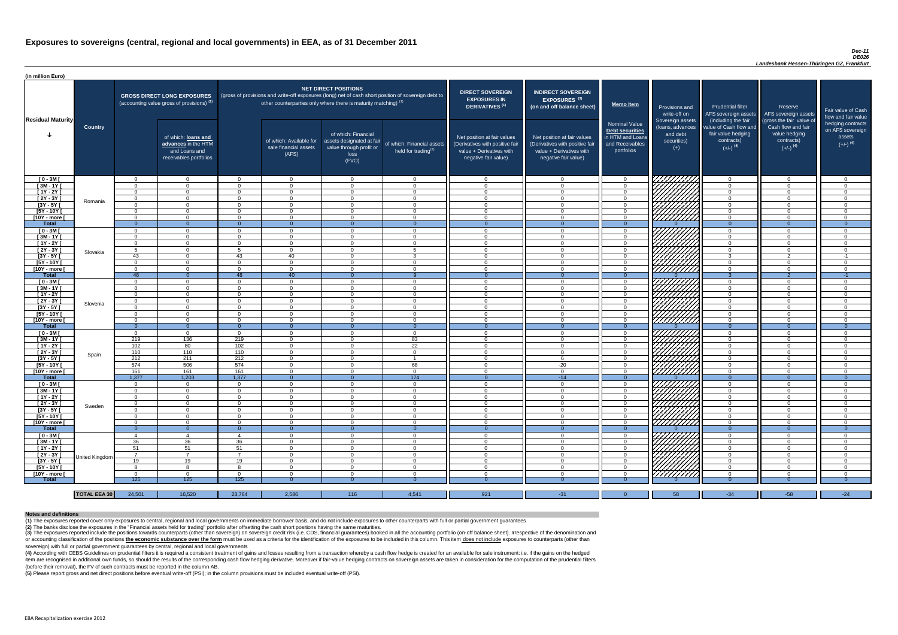#### *Dec-11 DE026*

*Landesbank Hessen-Thüringen GZ, Frankfurt*

(4) According with CEBS Guidelines on prudential filters it is required a consistent treatment of gains and losses resulting from a transaction whereby a cash flow hedge is created for an available for sale instrument: i.e item are recognised in additional own funds, so should the results of the corresponding cash flow hedging derivative. Moreover if fair-value hedging contracts on sovereign assets are taken in consideration for the computat (before their removal), the FV of such contracts must be reported in the column AB.

| (in million Euro)             |                     |                            |                                                                                             |                      |                                                                                                                                                                                   |                                                                                              |                                                               |                                                                                                                    |                                                                                                                    |                                                                                              |                                                                                                                                                                                                                                  |                                                                                      |                                                                                                         |                                                                           |
|-------------------------------|---------------------|----------------------------|---------------------------------------------------------------------------------------------|----------------------|-----------------------------------------------------------------------------------------------------------------------------------------------------------------------------------|----------------------------------------------------------------------------------------------|---------------------------------------------------------------|--------------------------------------------------------------------------------------------------------------------|--------------------------------------------------------------------------------------------------------------------|----------------------------------------------------------------------------------------------|----------------------------------------------------------------------------------------------------------------------------------------------------------------------------------------------------------------------------------|--------------------------------------------------------------------------------------|---------------------------------------------------------------------------------------------------------|---------------------------------------------------------------------------|
| <b>Residual Maturity</b>      |                     |                            | <b>GROSS DIRECT LONG EXPOSURES</b><br>(accounting value gross of provisions) <sup>(1)</sup> |                      | (gross of provisions and write-off exposures (long) net of cash short position of sovereign debt to<br>other counterparties only where there is maturity matching) <sup>(1)</sup> | <b>NET DIRECT POSITIONS</b>                                                                  |                                                               | <b>DIRECT SOVEREIGN</b><br><b>EXPOSURES IN</b><br><b>DERIVATIVES (1)</b>                                           | <b>INDIRECT SOVEREIGN</b><br><b>EXPOSURES<sup>(3)</sup></b><br>(on and off balance sheet)                          | <b>Memo Item</b>                                                                             | Provisions and<br>write-off on                                                                                                                                                                                                   | Prudential filter<br>AFS sovereign assets<br>(including the fair)                    | Reserve<br>AFS sovereign assets                                                                         | Fair value of Cash<br>flow and fair value                                 |
|                               | <b>Country</b>      |                            | of which: loans and<br>advances in the HTM<br>and Loans and<br>receivables portfolios       |                      | of which: Available for<br>sale financial assets<br>(AFS)                                                                                                                         | of which: Financial<br>assets designated at fair<br>value through profit or<br>loss<br>(FVO) | of which: Financial assets<br>held for trading <sup>(2)</sup> | Net position at fair values<br>(Derivatives with positive fair<br>value + Derivatives with<br>negative fair value) | Net position at fair values<br>(Derivatives with positive fair<br>value + Derivatives with<br>negative fair value) | <b>Nominal Value</b><br>Debt securities<br>in HTM and Loans<br>and Receivables<br>portfolios | Sovereign assets<br>(loans, advances<br>and debt<br>securities)<br>$(+)$                                                                                                                                                         | value of Cash flow and<br>fair value hedging<br>contracts)<br>$(+/-)$ <sup>(4)</sup> | (gross the fair value of<br>Cash flow and fair<br>value hedging<br>contracts)<br>$(+/-)$ <sup>(4)</sup> | hedging contracts<br>on AFS sovereign<br>assets<br>$(+/-)$ <sup>(4)</sup> |
| $[0 - 3M]$                    |                     | $\Omega$                   | $\Omega$                                                                                    | _റ                   | $\overline{0}$                                                                                                                                                                    | $\Omega$                                                                                     | $\Omega$                                                      | റ                                                                                                                  |                                                                                                                    | $\Omega$                                                                                     | ' <i>Willia</i>                                                                                                                                                                                                                  | $\overline{0}$                                                                       | $\cap$                                                                                                  | $\overline{0}$                                                            |
| $[3M - 1Y]$                   |                     | $\Omega$                   | $\Omega$                                                                                    | $\Omega$             | $\Omega$                                                                                                                                                                          | $\Omega$                                                                                     | $\overline{0}$                                                | $\sqrt{ }$                                                                                                         |                                                                                                                    | $\overline{0}$                                                                               |                                                                                                                                                                                                                                  | $\overline{0}$                                                                       | $\sqrt{ }$                                                                                              | $\Omega$                                                                  |
| $[1Y - 2Y]$                   |                     | $\Omega$                   | $\Omega$                                                                                    | $\Omega$             | $\Omega$                                                                                                                                                                          | $\Omega$                                                                                     | $\Omega$                                                      | $\cap$                                                                                                             |                                                                                                                    | $\Omega$                                                                                     |                                                                                                                                                                                                                                  | $\overline{0}$                                                                       |                                                                                                         | $\Omega$                                                                  |
| [2Y - 3Y]                     | Romania             | $\Omega$                   | $\Omega$                                                                                    | $\Omega$             | $\Omega$                                                                                                                                                                          | $\Omega$                                                                                     | $\Omega$                                                      | $\cap$                                                                                                             |                                                                                                                    | $\Omega$                                                                                     |                                                                                                                                                                                                                                  | $\overline{0}$                                                                       |                                                                                                         | $\Omega$                                                                  |
| $[3Y - 5Y]$                   |                     | $\Omega$                   | $\Omega$<br>$\cap$                                                                          | $\Omega$<br>$\Omega$ | $\Omega$                                                                                                                                                                          | $\Omega$<br>$\Omega$                                                                         | $\Omega$                                                      | റ<br>$\cap$                                                                                                        |                                                                                                                    | $\Omega$                                                                                     |                                                                                                                                                                                                                                  | $\overline{0}$                                                                       |                                                                                                         | $\Omega$                                                                  |
| $[5Y - 10Y]$<br>[10Y - more [ |                     | $\Omega$<br>$\Omega$       | $\Omega$                                                                                    | $\Omega$             | $\Omega$<br>$\Omega$                                                                                                                                                              | $\Omega$                                                                                     | $\Omega$<br>$\Omega$                                          | - 0                                                                                                                |                                                                                                                    | $\Omega$<br>$\Omega$                                                                         | VIIIIIII                                                                                                                                                                                                                         | $\overline{0}$<br>$\overline{0}$                                                     |                                                                                                         | $\Omega$<br>$\Omega$                                                      |
| Total                         |                     | $\Omega$                   | $\Omega$                                                                                    |                      | $\Omega$                                                                                                                                                                          |                                                                                              | $\Omega$                                                      | $\Omega$                                                                                                           |                                                                                                                    | $\Omega$                                                                                     |                                                                                                                                                                                                                                  | $\Omega$                                                                             | $\Omega$                                                                                                | $\Omega$                                                                  |
| $[0 - 3M]$                    |                     | $\Omega$                   | $\Omega$                                                                                    | $\Omega$             | $\Omega$                                                                                                                                                                          | $\Omega$                                                                                     | $\Omega$                                                      | $\cap$                                                                                                             | $\Omega$                                                                                                           | $\Omega$                                                                                     |                                                                                                                                                                                                                                  | $\overline{0}$                                                                       |                                                                                                         | $\Omega$                                                                  |
| $[3M-1Y]$                     |                     | $\Omega$                   | $\Omega$                                                                                    | $\Omega$             | $\Omega$                                                                                                                                                                          | $\Omega$                                                                                     | $\Omega$                                                      | $\cap$                                                                                                             | $\Omega$                                                                                                           | $\overline{0}$                                                                               | HAAAD S                                                                                                                                                                                                                          | $\overline{0}$                                                                       | $\Omega$                                                                                                | $\overline{0}$                                                            |
| $[1Y - 2Y]$                   |                     | $\Omega$                   | $\Omega$                                                                                    | $\Omega$             | $\Omega$                                                                                                                                                                          | $\Omega$                                                                                     | $\Omega$                                                      | $\cap$                                                                                                             | $\Omega$                                                                                                           | $\overline{0}$                                                                               |                                                                                                                                                                                                                                  | $\overline{0}$                                                                       | $\Omega$                                                                                                | $\overline{0}$                                                            |
| $[2Y - 3Y]$                   | Slovakia            | 5                          | $\Omega$                                                                                    | Е                    | $\Omega$                                                                                                                                                                          | $\Omega$                                                                                     | $5\overline{5}$                                               | $\bigcap$                                                                                                          | $\Omega$                                                                                                           | $\overline{0}$                                                                               |                                                                                                                                                                                                                                  | $\overline{0}$                                                                       | $\Omega$                                                                                                | $\overline{0}$                                                            |
| $[3Y - 5Y]$                   |                     | 43                         | $\overline{0}$                                                                              | 43                   | 40                                                                                                                                                                                | $\Omega$                                                                                     | $\mathbf{3}$                                                  | - 0                                                                                                                | $\Omega$                                                                                                           | $\overline{0}$                                                                               |                                                                                                                                                                                                                                  | 3 <sup>1</sup>                                                                       | $\overline{2}$                                                                                          | $-1$                                                                      |
| $[5Y - 10Y]$                  |                     | $\Omega$                   | $\Omega$                                                                                    | $\Omega$             | $\Omega$                                                                                                                                                                          | $\Omega$                                                                                     | $\overline{0}$                                                | $\Omega$                                                                                                           | $\Omega$                                                                                                           | $\overline{0}$                                                                               | HHHA.                                                                                                                                                                                                                            | $\overline{0}$                                                                       | $\cap$                                                                                                  | $\overline{0}$                                                            |
| [10Y - more [                 |                     | $\Omega$                   | $\Omega$                                                                                    | $\Omega$             | $\Omega$                                                                                                                                                                          | $\Omega$                                                                                     | $\Omega$                                                      | $\cap$                                                                                                             | $\Omega$                                                                                                           | $\Omega$                                                                                     |                                                                                                                                                                                                                                  | $\overline{0}$                                                                       | $\Omega$                                                                                                | $\Omega$                                                                  |
| <b>Total</b>                  |                     | $-48$                      | $\overline{0}$                                                                              | 48                   | 40                                                                                                                                                                                |                                                                                              |                                                               | - 0                                                                                                                |                                                                                                                    |                                                                                              |                                                                                                                                                                                                                                  |                                                                                      |                                                                                                         | $-1$                                                                      |
| $[0 - 3M]$                    |                     | $\Omega$                   | $\Omega$                                                                                    | $\Omega$             | $\Omega$                                                                                                                                                                          | $\Omega$                                                                                     | $\overline{0}$                                                | - 0                                                                                                                |                                                                                                                    | $\Omega$                                                                                     | 7777777A                                                                                                                                                                                                                         | $\overline{0}$                                                                       | $\cap$                                                                                                  | $\overline{0}$                                                            |
| $[3M - 1Y]$                   |                     | $\Omega$                   | $\Omega$                                                                                    | $\Omega$             | $\Omega$                                                                                                                                                                          | $\Omega$                                                                                     | $\overline{0}$                                                | $\cap$                                                                                                             |                                                                                                                    | $\Omega$                                                                                     |                                                                                                                                                                                                                                  | $\overline{0}$                                                                       | $\Omega$                                                                                                | $\Omega$                                                                  |
| $[1Y - 2Y]$                   |                     | $\Omega$                   | $\Omega$                                                                                    | $\Omega$             | $\Omega$                                                                                                                                                                          | $\Omega$                                                                                     | $\overline{0}$                                                | - റ                                                                                                                |                                                                                                                    | $\Omega$                                                                                     |                                                                                                                                                                                                                                  | $\overline{0}$                                                                       | $\cap$                                                                                                  | $\Omega$                                                                  |
| $[2Y - 3Y]$                   | Slovenia            | $\Omega$                   | $\Omega$                                                                                    | $\Omega$             | $\Omega$                                                                                                                                                                          | $\Omega$                                                                                     | $\overline{0}$                                                | റ                                                                                                                  | - വ                                                                                                                | $\Omega$                                                                                     | HAAAN.                                                                                                                                                                                                                           | $\Omega$                                                                             | - വ                                                                                                     | $\Omega$                                                                  |
| [3Y - 5Y [<br>$[5Y - 10Y]$    |                     | $\Omega$                   | $\Omega$                                                                                    | $\Omega$             | - 0                                                                                                                                                                               | 0<br>$\Omega$                                                                                | - 0                                                           | റ                                                                                                                  | $\sqrt{ }$                                                                                                         |                                                                                              |                                                                                                                                                                                                                                  | 0                                                                                    | $\cap$                                                                                                  | - 0<br>$\Omega$                                                           |
| [10Y - more [                 |                     | $\Omega$                   | $\Omega$                                                                                    | $\Omega$             | $\Omega$<br>$\Omega$                                                                                                                                                              | $\Omega$                                                                                     | $\overline{0}$<br>$\overline{0}$                              | $\cap$                                                                                                             | $\Omega$                                                                                                           | $\Omega$<br>$\Omega$                                                                         |                                                                                                                                                                                                                                  | $\overline{0}$<br>$\overline{0}$                                                     | $\Omega$                                                                                                | $\Omega$                                                                  |
| <b>Total</b>                  |                     | - 0                        | $\overline{0}$                                                                              | $\Omega$             | $\Omega$                                                                                                                                                                          | $\Omega$                                                                                     | $\overline{0}$                                                | - 0                                                                                                                | $\Omega$                                                                                                           | $\Omega$                                                                                     |                                                                                                                                                                                                                                  | $\Omega$                                                                             | - 0                                                                                                     | $\Omega$                                                                  |
| $[0 - 3M]$                    |                     | $\Omega$                   | $\overline{0}$                                                                              | $\Omega$             | $\overline{0}$                                                                                                                                                                    | $\Omega$                                                                                     | $\overline{0}$                                                | $\cap$                                                                                                             | $\cap$                                                                                                             | $\Omega$                                                                                     |                                                                                                                                                                                                                                  | $\overline{0}$                                                                       | - വ                                                                                                     | $\overline{0}$                                                            |
| $[3M - 1Y]$                   |                     | 219                        | 136                                                                                         | 219                  | $\Omega$                                                                                                                                                                          | $\overline{0}$                                                                               | 83                                                            | $\Omega$                                                                                                           | $\Omega$                                                                                                           | $\overline{0}$                                                                               |                                                                                                                                                                                                                                  | $\overline{0}$                                                                       | $\cap$                                                                                                  | $\Omega$                                                                  |
| [1Y - 2Y [                    |                     | 102                        | 80                                                                                          | 102                  | $\Omega$                                                                                                                                                                          | $\Omega$                                                                                     | 22                                                            | $\cap$                                                                                                             | $\cap$                                                                                                             | $\Omega$                                                                                     |                                                                                                                                                                                                                                  | $\overline{0}$                                                                       | $\cap$                                                                                                  | $\Omega$                                                                  |
| $[2Y - 3Y]$                   |                     | 110                        | 110                                                                                         | 110                  | $\Omega$                                                                                                                                                                          | $\Omega$                                                                                     | $\Omega$                                                      | - വ                                                                                                                |                                                                                                                    | $\Omega$                                                                                     |                                                                                                                                                                                                                                  | $\Omega$                                                                             |                                                                                                         | $\Omega$                                                                  |
| $[3Y - 5Y]$                   | Spain               | 212                        | 211                                                                                         | 212                  | $\Omega$                                                                                                                                                                          | $\Omega$                                                                                     |                                                               | $\cap$                                                                                                             |                                                                                                                    | $\Omega$                                                                                     |                                                                                                                                                                                                                                  | $\Omega$                                                                             |                                                                                                         | $\Omega$                                                                  |
| [5Y - 10Y [                   |                     | 574                        | 506                                                                                         | 574                  | $\Omega$                                                                                                                                                                          | $\Omega$                                                                                     | 68                                                            | - വ                                                                                                                | $-20$                                                                                                              | $\Omega$                                                                                     | <b>SANTANY ARA-DESEMBER 1888</b>                                                                                                                                                                                                 | $\overline{0}$                                                                       |                                                                                                         | $\Omega$                                                                  |
| [10Y - more [                 |                     | 161                        | 161                                                                                         | 161                  | $\Omega$                                                                                                                                                                          | $\Omega$                                                                                     | $\overline{0}$                                                | $\cap$                                                                                                             | $\cap$                                                                                                             | $\Omega$                                                                                     |                                                                                                                                                                                                                                  | $\Omega$                                                                             |                                                                                                         | $\Omega$                                                                  |
| Total                         |                     | 1,377                      | 1,203                                                                                       | 1,377                | $\Omega$                                                                                                                                                                          | $\Omega$                                                                                     | 174                                                           | $\Omega$                                                                                                           | $-14$                                                                                                              | $\Omega$                                                                                     |                                                                                                                                                                                                                                  | $\overline{0}$                                                                       | $\Omega$                                                                                                | $\Omega$                                                                  |
| $[0 - 3M]$                    |                     | $\Omega$                   | $\overline{0}$                                                                              | $\Omega$             | $\Omega$                                                                                                                                                                          | $\Omega$                                                                                     | $\overline{0}$                                                | $\cap$                                                                                                             | $\cap$                                                                                                             | $\Omega$                                                                                     |                                                                                                                                                                                                                                  | $\overline{0}$                                                                       |                                                                                                         | $\Omega$                                                                  |
| $[3M - 1Y]$                   |                     | - റ                        | $\Omega$                                                                                    | $\Omega$             | $\Omega$                                                                                                                                                                          | $\Omega$                                                                                     | $\overline{0}$                                                | $\Omega$                                                                                                           | $\Omega$                                                                                                           | $\Omega$                                                                                     |                                                                                                                                                                                                                                  | $\Omega$                                                                             | $\cap$                                                                                                  | $\Omega$                                                                  |
| $[1Y - 2Y]$                   |                     | $\overline{0}$             | $\overline{0}$<br>$\overline{0}$                                                            | $\Omega$<br>$\Omega$ | $\overline{0}$                                                                                                                                                                    | $\Omega$<br>$\Omega$                                                                         | $\overline{0}$<br>$\overline{0}$                              | $\Omega$<br>$\Omega$                                                                                               | $\Omega$<br>$\Omega$                                                                                               | $\Omega$                                                                                     |                                                                                                                                                                                                                                  | $\overline{0}$                                                                       | $\Omega$<br>$\Omega$                                                                                    | $\Omega$                                                                  |
| [2Y - 3Y]<br>$[3Y - 5Y]$      | Sweden              | $\overline{0}$<br>$\Omega$ | $\Omega$                                                                                    | $\Omega$             | $\overline{0}$<br>$\overline{0}$                                                                                                                                                  | $\Omega$                                                                                     | $\overline{0}$                                                | $\cap$                                                                                                             | $\cap$                                                                                                             | $\overline{0}$<br>$\Omega$                                                                   | THAT A                                                                                                                                                                                                                           | $\overline{0}$<br>$\overline{0}$                                                     | $\cap$                                                                                                  | $\Omega$<br>$\Omega$                                                      |
| $[5Y - 10Y]$                  |                     | $\Omega$                   | $\Omega$                                                                                    | $\Omega$             | $\Omega$                                                                                                                                                                          | $\Omega$                                                                                     | $\overline{0}$                                                | - 0                                                                                                                | $\cap$                                                                                                             | $\overline{0}$                                                                               |                                                                                                                                                                                                                                  | $\overline{0}$                                                                       | $\Omega$                                                                                                | $\Omega$                                                                  |
| [10Y - more [                 |                     | $\Omega$                   | $\Omega$                                                                                    | $\Omega$             | $\Omega$                                                                                                                                                                          | $\Omega$                                                                                     | $\overline{0}$                                                | - 0                                                                                                                | $\cap$                                                                                                             | $\Omega$                                                                                     |                                                                                                                                                                                                                                  | $\overline{0}$                                                                       | $\Omega$                                                                                                | $\Omega$                                                                  |
| <b>Total</b>                  |                     | $\Omega$                   | $\overline{0}$                                                                              | $\Omega$             | $\Omega$                                                                                                                                                                          | 0                                                                                            | $\Omega$                                                      | - 0                                                                                                                |                                                                                                                    | $\Omega$                                                                                     |                                                                                                                                                                                                                                  | $\overline{0}$                                                                       | $\Omega$                                                                                                | - 0                                                                       |
| $[0 - 3M]$                    |                     | -4                         | $\overline{4}$                                                                              |                      | $\Omega$                                                                                                                                                                          | $\Omega$                                                                                     | $\overline{0}$                                                | - 0                                                                                                                | $\cap$                                                                                                             | $\Omega$                                                                                     |                                                                                                                                                                                                                                  | $\overline{0}$                                                                       | $\cap$                                                                                                  | $\Omega$                                                                  |
| $[3M - 1Y]$                   |                     | 36                         | 36                                                                                          | 36                   | $\Omega$                                                                                                                                                                          | $\Omega$                                                                                     | $\overline{0}$                                                | - 0                                                                                                                | $\cap$                                                                                                             | $\Omega$                                                                                     |                                                                                                                                                                                                                                  | $\overline{0}$                                                                       | $\cap$                                                                                                  | $\Omega$                                                                  |
| $[1Y - 2Y]$                   |                     | 51                         | 51                                                                                          | 51                   | $\Omega$                                                                                                                                                                          | $\Omega$                                                                                     | $\overline{0}$                                                | - ೧                                                                                                                |                                                                                                                    | $\Omega$                                                                                     | HATAS SANTAS SANTA SEDANG PANGGALANG PANGGALANG PANGGALANG PANGGALANG PANGGALANG PANGGANG PANGGANG PANGGANG PA<br>PALAM PANGGALANG PANGGANG PANGGANG PANGGANG PANGGAPANG PANGGANG PANGGANG PANGGANG PANGGANG PANGGANG PANGGANG P | $\mathbf{0}$                                                                         |                                                                                                         | $\Omega$                                                                  |
| $[2Y - 3Y]$                   |                     | - 7                        | $\overline{7}$                                                                              | $\overline{z}$       | $\Omega$                                                                                                                                                                          | $\Omega$                                                                                     | $\overline{0}$                                                | $\cap$                                                                                                             |                                                                                                                    | $\Omega$                                                                                     | WWW 1979                                                                                                                                                                                                                         | $\overline{0}$                                                                       |                                                                                                         | $\Omega$                                                                  |
| $[3Y - 5Y]$                   | United Kingdom      | 19                         | 19                                                                                          | 19                   | $\Omega$                                                                                                                                                                          | $\overline{0}$                                                                               | $\overline{0}$                                                | - 0                                                                                                                | $\Omega$                                                                                                           | $\Omega$                                                                                     |                                                                                                                                                                                                                                  | $\overline{0}$                                                                       | - 0                                                                                                     | $\Omega$                                                                  |
| $[5Y - 10Y]$                  |                     | -8                         | -8                                                                                          | R.                   | $\Omega$                                                                                                                                                                          | $\Omega$                                                                                     | $\overline{0}$                                                | റ                                                                                                                  | $\cap$                                                                                                             | $\Omega$                                                                                     | <u>VIIIIII</u> A                                                                                                                                                                                                                 | $\overline{0}$                                                                       | റ                                                                                                       | $\Omega$                                                                  |
| [10Y - more [                 |                     | $\Omega$                   | $\Omega$                                                                                    | $\Omega$             | $\cap$                                                                                                                                                                            | $\cap$                                                                                       | $\Omega$                                                      | $\sqrt{ }$                                                                                                         |                                                                                                                    | $\Omega$                                                                                     | 777777777                                                                                                                                                                                                                        | $\Omega$                                                                             | ⌒                                                                                                       | $\Omega$                                                                  |
| <b>Total</b>                  |                     | 125                        | 125                                                                                         | 125                  |                                                                                                                                                                                   |                                                                                              |                                                               |                                                                                                                    |                                                                                                                    |                                                                                              |                                                                                                                                                                                                                                  |                                                                                      |                                                                                                         | - 0                                                                       |
|                               |                     |                            |                                                                                             |                      |                                                                                                                                                                                   |                                                                                              |                                                               |                                                                                                                    |                                                                                                                    |                                                                                              |                                                                                                                                                                                                                                  |                                                                                      |                                                                                                         |                                                                           |
|                               | <b>TOTAL EEA 30</b> | 24,501                     | 16,520                                                                                      | 23,764               | 2,586                                                                                                                                                                             | 116                                                                                          | 4,541                                                         | 921                                                                                                                | $-31$                                                                                                              | $\Omega$                                                                                     | 58                                                                                                                                                                                                                               | $-34$                                                                                | $-58$                                                                                                   | $-24$                                                                     |

(3) The exposures reported include the positions towards counterparts (other than sovereign) on sovereign credit risk (i.e. CDS, financial guarantees) booked in all the accounting portfolio (on-off balance sheet). Irrespec or accounting classification of the positions the economic substance over the form must be used as a criteria for the identification of the exposures to be included in this column. This item does not include exposures to c sovereign) with full or partial government guarantees by central, regional and local governments

**(5)** Please report gross and net direct positions before eventual write-off (PSI); in the column provisions must be included eventual write-off (PSI).

#### **Notes and definitions**

**(1)** The exposures reported cover only exposures to central, regional and local governments on immediate borrower basis, and do not include exposures to other counterparts with full or partial government guarantees **(2)** The banks disclose the exposures in the "Financial assets held for trading" portfolio after offsetting the cash short positions having the same maturities.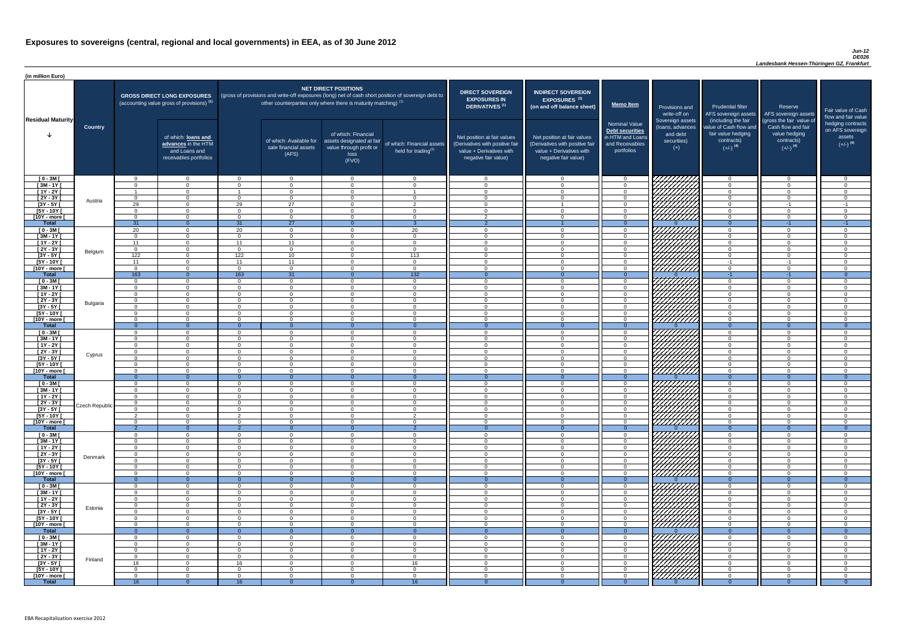| (in million Euro)             |                       |                            |                                                                                             |                            |                                                                   |                                                                                              |                                                                                                     |                                                                                                                    |                                                                                                                    |                                                                                              |                                                                                                                      |                                                                                                             |                                                                                                         |                                          |
|-------------------------------|-----------------------|----------------------------|---------------------------------------------------------------------------------------------|----------------------------|-------------------------------------------------------------------|----------------------------------------------------------------------------------------------|-----------------------------------------------------------------------------------------------------|--------------------------------------------------------------------------------------------------------------------|--------------------------------------------------------------------------------------------------------------------|----------------------------------------------------------------------------------------------|----------------------------------------------------------------------------------------------------------------------|-------------------------------------------------------------------------------------------------------------|---------------------------------------------------------------------------------------------------------|------------------------------------------|
|                               |                       |                            | <b>GROSS DIRECT LONG EXPOSURES</b><br>(accounting value gross of provisions) <sup>(1)</sup> |                            | other counterparties only where there is maturity matching) $(1)$ | <b>NET DIRECT POSITIONS</b>                                                                  | (gross of provisions and write-off exposures (long) net of cash short position of sovereign debt to | <b>DIRECT SOVEREIGN</b><br><b>EXPOSURES IN</b><br><b>DERIVATIVES<sup>(1)</sup></b>                                 | <b>INDIRECT SOVEREIGN</b><br>EXPOSURES <sup>(3)</sup><br>(on and off balance sheet)                                | Memo Item                                                                                    | Provisions and<br>write-off on                                                                                       | <b>Prudential filter</b><br>AFS sovereign assets                                                            | Reserve<br>AFS sovereign assets                                                                         | Fair value<br>flow and f                 |
| <b>Residual Maturity</b>      | <b>Country</b>        |                            | of which: loans and<br>advances in the HTM<br>and Loans and<br>receivables portfolios       |                            | of which: Available for<br>sale financial assets<br>(AFS)         | of which: Financial<br>assets designated at fair<br>value through profit or<br>loss<br>(FVO) | of which: Financial assets<br>held for trading $(2)$                                                | Net position at fair values<br>(Derivatives with positive fair<br>value + Derivatives with<br>negative fair value) | Net position at fair values<br>(Derivatives with positive fair<br>value + Derivatives with<br>negative fair value) | <b>Nominal Value</b><br>Debt securities<br>in HTM and Loans<br>and Receivables<br>portfolios | Sovereign assets<br>(loans, advances<br>and debt<br>securities)<br>$(+)$                                             | (including the fair<br>value of Cash flow and<br>fair value hedging<br>contracts)<br>$(+/-)$ <sup>(4)</sup> | (gross the fair value of<br>Cash flow and fair<br>value hedging<br>contracts)<br>$(+/-)$ <sup>(4)</sup> | hedging c<br>on AFS so<br>ass<br>$(+/-)$ |
| $[0 - 3M]$                    |                       | $\Omega$                   | $\Omega$                                                                                    | $\Omega$                   | $\overline{0}$                                                    | $\Omega$                                                                                     | $\overline{0}$                                                                                      | $\overline{0}$                                                                                                     | $\Omega$                                                                                                           | $\overline{0}$                                                                               | THE MAIN                                                                                                             | $\Omega$                                                                                                    | $\overline{0}$                                                                                          |                                          |
| $[3M - 1Y]$<br>$[1Y - 2Y]$    |                       | $\Omega$                   | $\Omega$<br>$\Omega$                                                                        | $\Omega$                   | $\Omega$<br>$\Omega$                                              | $\Omega$<br>$\Omega$                                                                         | $\Omega$                                                                                            | $\Omega$<br>$\Omega$                                                                                               | $\Omega$<br>$\Omega$                                                                                               | $\overline{0}$<br>$\overline{0}$                                                             |                                                                                                                      | $\Omega$<br>$\Omega$                                                                                        | $\overline{0}$<br>$\overline{0}$                                                                        |                                          |
| $[2Y - 3Y]$                   |                       | $\Omega$                   | $\Omega$                                                                                    | $\Omega$                   | $\overline{0}$                                                    | $\Omega$                                                                                     | $\Omega$                                                                                            | $\overline{0}$                                                                                                     | $\cap$                                                                                                             | $\overline{0}$                                                                               |                                                                                                                      | $\Omega$                                                                                                    | $\overline{0}$                                                                                          |                                          |
| $[3Y - 5Y]$                   | Austria               | $\overline{29}$            | $\Omega$                                                                                    | 29                         | $\overline{27}$                                                   | $\Omega$                                                                                     | $\overline{2}$                                                                                      | $\overline{0}$                                                                                                     |                                                                                                                    | $\overline{0}$                                                                               |                                                                                                                      | $\cap$                                                                                                      | $-1$                                                                                                    |                                          |
| $[5Y - 10Y]$                  |                       | $\cap$                     | $\Omega$                                                                                    | $\Omega$                   | $\Omega$                                                          | $\Omega$                                                                                     | $\Omega$                                                                                            | $\Omega$                                                                                                           | $\Omega$                                                                                                           | $\Omega$                                                                                     |                                                                                                                      |                                                                                                             | $\Omega$                                                                                                |                                          |
| [10Y - more [<br><b>Total</b> |                       | $\cap$<br>31               | $\Omega$<br>$\Omega$                                                                        | $\Omega$<br>31             | $\Omega$<br>27                                                    | $\Omega$<br>$\Omega$                                                                         | $\Omega$                                                                                            | $\mathcal{P}$<br>$\overline{2}$                                                                                    |                                                                                                                    | $\overline{0}$<br>$\overline{0}$                                                             |                                                                                                                      | $\cap$<br>$\Omega$                                                                                          | $\Omega$<br>$-1$                                                                                        |                                          |
| $[0 - 3M]$                    |                       | 20                         | $\Omega$                                                                                    | 20                         | $\Omega$                                                          | $\Omega$                                                                                     | 20                                                                                                  | $\Omega$                                                                                                           | $\Omega$                                                                                                           | $\Omega$                                                                                     |                                                                                                                      | $\cap$                                                                                                      | $\Omega$                                                                                                |                                          |
| $[3M - 1Y]$                   |                       | $\Omega$                   | $\Omega$                                                                                    | $\Omega$                   | $\Omega$                                                          | $\Omega$                                                                                     | $\Omega$                                                                                            | $\Omega$                                                                                                           | റ                                                                                                                  | $\Omega$                                                                                     | THAT A                                                                                                               | $\cap$                                                                                                      | $\Omega$                                                                                                |                                          |
| $[1Y - 2Y]$                   |                       | 11                         | $\Omega$<br>$\Omega$                                                                        | 11                         | 11<br>$\Omega$                                                    | $\Omega$                                                                                     | $\mathbf{0}$<br>$\overline{0}$                                                                      | $\Omega$                                                                                                           | $\Omega$<br>$\Omega$                                                                                               | $\overline{0}$                                                                               |                                                                                                                      | $\Omega$<br>$\Omega$                                                                                        | $\Omega$<br>$\Omega$                                                                                    |                                          |
| $[2Y - 3Y]$<br>$[3Y - 5Y]$    | Belgium               | $\overline{0}$<br>122      | $\Omega$                                                                                    | $\Omega$<br>122            | 10                                                                | $\Omega$<br>$\Omega$                                                                         | 113                                                                                                 | $\overline{0}$<br>$\Omega$                                                                                         | $\cap$                                                                                                             | $\overline{0}$<br>$\overline{0}$                                                             |                                                                                                                      | $\Omega$                                                                                                    | $\overline{0}$                                                                                          |                                          |
| $[5Y - 10Y]$                  |                       | 11                         | $\Omega$                                                                                    | 11                         | 11                                                                | $\Omega$                                                                                     | $\overline{0}$                                                                                      | $\overline{0}$                                                                                                     | $\Omega$                                                                                                           | $\overline{0}$                                                                               |                                                                                                                      | $-1$                                                                                                        | $-1$                                                                                                    |                                          |
| [10Y - more [                 |                       | $\overline{0}$             | $\Omega$                                                                                    | $\Omega$                   | $\Omega$                                                          | $\Omega$                                                                                     | $\overline{0}$                                                                                      | $\Omega$                                                                                                           | $\Omega$                                                                                                           | $\overline{0}$                                                                               |                                                                                                                      | $\Omega$                                                                                                    | $\overline{0}$                                                                                          |                                          |
| <b>Total</b><br>$[0 - 3M]$    |                       | 163<br>$\Omega$            | $\Omega$<br>$\overline{0}$                                                                  | 163<br>$\Omega$            | 31<br>$\overline{0}$                                              | $\Omega$<br>$\Omega$                                                                         | $\overline{132}$<br>$\overline{0}$                                                                  | $\Omega$<br>$\Omega$                                                                                               | $\Omega$<br>$\cap$                                                                                                 | $\overline{0}$<br>$\overline{0}$                                                             |                                                                                                                      | $-1$<br>$\cap$                                                                                              | $-1$<br>$\overline{0}$                                                                                  |                                          |
| $[3M - 1Y]$                   |                       | $\Omega$                   | $\Omega$                                                                                    | $\Omega$                   | $\Omega$                                                          | $\Omega$                                                                                     | $\Omega$                                                                                            | $\Omega$                                                                                                           | $\Omega$                                                                                                           | $\Omega$                                                                                     | HHHHA                                                                                                                | $\cap$                                                                                                      | $\Omega$                                                                                                |                                          |
| $[1Y - 2Y]$                   |                       | $\cap$                     | $\Omega$                                                                                    | $\Omega$                   | $\Omega$                                                          | $\Omega$                                                                                     | $\Omega$                                                                                            | $\Omega$                                                                                                           |                                                                                                                    | $\Omega$                                                                                     |                                                                                                                      |                                                                                                             | $\Omega$                                                                                                |                                          |
| $[2Y - 3Y]$                   | <b>Bulgaria</b>       | $\Omega$                   | $\Omega$                                                                                    | $\Omega$                   | $\Omega$                                                          | $\Omega$                                                                                     | $\Omega$                                                                                            | $\Omega$                                                                                                           |                                                                                                                    | $\Omega$                                                                                     | <i>VHHHA</i> N                                                                                                       | $\Omega$                                                                                                    | $\Omega$                                                                                                |                                          |
| $[3Y - 5Y]$<br>$[5Y - 10Y]$   |                       |                            | $\Omega$                                                                                    | - 0<br>$\Omega$            | $\cap$                                                            | -0<br>$\Omega$                                                                               | 0<br>$\Omega$                                                                                       | 0<br>$\Omega$                                                                                                      |                                                                                                                    | $\cap$                                                                                       | VIIII AN                                                                                                             |                                                                                                             | $\Omega$                                                                                                |                                          |
| [10Y - more [                 |                       | $\Omega$                   | $\Omega$                                                                                    | $\Omega$                   | $\Omega$                                                          | $\Omega$                                                                                     | $\Omega$                                                                                            | $\Omega$                                                                                                           | റ                                                                                                                  | $\cap$                                                                                       | 777777777                                                                                                            | $\cap$                                                                                                      | $\Omega$                                                                                                |                                          |
| <b>Total</b>                  |                       | $\Omega$                   | -0                                                                                          | -C                         | $\Omega$                                                          | - റ                                                                                          |                                                                                                     |                                                                                                                    |                                                                                                                    | - വ                                                                                          |                                                                                                                      | - വ                                                                                                         | $\Omega$                                                                                                |                                          |
| $[0 - 3M]$<br>$[3M - 1Y]$     |                       | $\cap$<br>$\Omega$         | $\Omega$<br>$\overline{0}$                                                                  | $\Omega$<br>$\Omega$       | $\Omega$<br>$\overline{0}$                                        | $\cap$<br>$\Omega$                                                                           | $\Omega$<br>$\overline{0}$                                                                          | $\Omega$<br>$\overline{0}$                                                                                         | $\cap$<br>$\Omega$                                                                                                 | $\cap$<br>$\overline{0}$                                                                     | <i>VIIIIIII</i> A                                                                                                    | $\cap$<br>$\Omega$                                                                                          | $\Omega$<br>$\overline{0}$                                                                              |                                          |
| $[1Y - 2Y]$                   |                       | $\Omega$                   | $\Omega$                                                                                    | $\Omega$                   | $\overline{0}$                                                    | $\Omega$                                                                                     | $\Omega$                                                                                            | $\overline{0}$                                                                                                     | $\Omega$                                                                                                           | $\Omega$                                                                                     | .V <i>HHHIID</i>                                                                                                     | $\cap$                                                                                                      | $\Omega$                                                                                                |                                          |
| $[2Y - 3Y]$                   | Cyprus                | $\Omega$                   | $\Omega$                                                                                    | $\Omega$                   | $\overline{0}$                                                    | $\Omega$                                                                                     | $\Omega$                                                                                            | $\overline{0}$                                                                                                     | $\Omega$                                                                                                           | $\Omega$                                                                                     | VII.                                                                                                                 | $\Omega$                                                                                                    | $\Omega$                                                                                                |                                          |
| $[3Y - 5Y]$                   |                       | $\Omega$                   | $\Omega$                                                                                    | $\Omega$                   | $\Omega$                                                          | $\Omega$                                                                                     | $\Omega$                                                                                            | $\Omega$                                                                                                           | $\Omega$                                                                                                           | $\Omega$                                                                                     | 17777<br><i>VIIIIIII</i> A                                                                                           |                                                                                                             | $\overline{0}$                                                                                          |                                          |
| $T5Y - 10YT$<br>[10Y - more [ |                       |                            | $\Omega$<br>$\Omega$                                                                        | $\Omega$<br>$\Omega$       | $\Omega$<br>$\cap$                                                | $\Omega$<br>$\Omega$                                                                         | $\Omega$<br>$\Omega$                                                                                | $\Omega$<br>$\Omega$                                                                                               |                                                                                                                    | $\cap$                                                                                       | 77777777                                                                                                             |                                                                                                             | $\Omega$<br>$\Omega$                                                                                    |                                          |
| <b>Total</b>                  |                       | $\Omega$                   |                                                                                             | $\Omega$                   | $\Omega$                                                          |                                                                                              | $\Omega$                                                                                            |                                                                                                                    | $\Omega$                                                                                                           | $\Omega$                                                                                     |                                                                                                                      | $\Omega$                                                                                                    | $\Omega$                                                                                                |                                          |
| $[0 - 3M]$                    |                       | $\cap$                     | $\Omega$                                                                                    | $\Omega$                   | $\Omega$                                                          | - 0                                                                                          | $\Omega$                                                                                            | $\Omega$                                                                                                           | $\Omega$                                                                                                           | $\Omega$                                                                                     | THAT A                                                                                                               | റ                                                                                                           | $\Omega$                                                                                                |                                          |
| $[3M - 1Y]$<br>$[1Y - 2Y]$    |                       | $\Omega$<br>$\cap$         | $\Omega$<br>$\Omega$                                                                        | $\Omega$<br>$\Omega$       | $\Omega$<br>$\Omega$                                              | $\Omega$<br>$\Omega$                                                                         | $\Omega$<br>$\Omega$                                                                                | $\Omega$<br>$\Omega$                                                                                               | $\Omega$<br>$\Omega$                                                                                               | $\Omega$<br>$\cap$                                                                           |                                                                                                                      | $\cap$<br>$\cap$                                                                                            | $\Omega$<br>$\Omega$                                                                                    |                                          |
| $[2Y - 3Y]$                   |                       | $\Omega$                   | $\Omega$                                                                                    | $\Omega$                   | $\Omega$                                                          | $\Omega$                                                                                     | $\Omega$                                                                                            | $\Omega$                                                                                                           | $\Omega$                                                                                                           | $\cap$                                                                                       |                                                                                                                      | $\cap$                                                                                                      | $\Omega$                                                                                                |                                          |
| $\sqrt{3Y - 5Y}$              | <b>Czech Republic</b> | $\Omega$                   | $\Omega$                                                                                    | $\Omega$                   | $\Omega$                                                          | $\Omega$                                                                                     | $\Omega$                                                                                            | $\Omega$                                                                                                           | $\Omega$                                                                                                           | $\Omega$                                                                                     |                                                                                                                      | $\Omega$                                                                                                    | $\Omega$                                                                                                |                                          |
| $[5Y - 10Y]$                  |                       | $\mathcal{D}$              | $\Omega$                                                                                    | $\mathcal{P}$              | $\Omega$                                                          | $\Omega$                                                                                     | $\mathcal{P}$                                                                                       | $\Omega$                                                                                                           | $\Omega$                                                                                                           | $\Omega$                                                                                     |                                                                                                                      | $\Omega$                                                                                                    | $\Omega$                                                                                                |                                          |
| [10Y - more [<br><b>Total</b> |                       | $\Omega$<br>$\overline{2}$ | $\Omega$<br>$\Omega$                                                                        | $\Omega$<br>$\overline{2}$ | $\Omega$<br>$\overline{0}$                                        | $\Omega$                                                                                     | $\Omega$<br>$\overline{2}$                                                                          | $\Omega$                                                                                                           | $\Omega$<br>$\Omega$                                                                                               | $\Omega$<br>$\Omega$                                                                         |                                                                                                                      | $\Omega$<br>$\Omega$                                                                                        | $\Omega$<br>$\Omega$                                                                                    |                                          |
| $[0 - 3M]$                    |                       | $\Omega$                   | $\Omega$                                                                                    | $\Omega$                   | $\Omega$                                                          | - 0                                                                                          | $\Omega$                                                                                            | $\Omega$                                                                                                           | $\Omega$                                                                                                           | $\Omega$                                                                                     |                                                                                                                      | $\cap$                                                                                                      | $\Omega$                                                                                                |                                          |
| $[3M - 1Y]$                   |                       |                            | $\Omega$                                                                                    | - 0                        | $\Omega$                                                          | $\Omega$                                                                                     | $\Omega$                                                                                            | $\Omega$                                                                                                           |                                                                                                                    | $\Omega$                                                                                     | HAHARA KARENDARAN                                                                                                    |                                                                                                             | $\Omega$                                                                                                |                                          |
| $[1Y - 2Y]$<br>$[2Y - 3Y]$    |                       | $\Omega$<br>$\Omega$       | $\overline{0}$<br>$\overline{0}$                                                            | $\Omega$<br>$\Omega$       | $\overline{0}$<br>$\Omega$                                        | $\Omega$<br>- 0                                                                              | $\mathbf 0$<br>$\Omega$                                                                             | $\Omega$<br>$\Omega$                                                                                               |                                                                                                                    | $\Omega$                                                                                     |                                                                                                                      | $\cap$                                                                                                      | $\mathbf 0$<br>$\Omega$                                                                                 |                                          |
| $[3Y - 5Y]$                   | Denmark               |                            | $\Omega$                                                                                    | $\Omega$                   | $\Omega$                                                          | $\Omega$                                                                                     | $\Omega$                                                                                            | $\Omega$                                                                                                           | $\cap$                                                                                                             | $\cap$                                                                                       |                                                                                                                      |                                                                                                             | $\Omega$                                                                                                |                                          |
| $T5Y - 10YT$                  |                       | $\Omega$                   | $\overline{0}$                                                                              | $\Omega$                   | $\Omega$                                                          | - 0                                                                                          | $\Omega$                                                                                            | $\Omega$                                                                                                           | $\Omega$                                                                                                           | $\Omega$                                                                                     |                                                                                                                      | $\cap$                                                                                                      | $\overline{0}$                                                                                          |                                          |
| [10Y - more [<br><b>Total</b> |                       | $\cap$<br>$\overline{0}$   | $\Omega$<br>-0                                                                              | $\Omega$<br>-C             | $\Omega$<br>- 0                                                   | $\Omega$                                                                                     | $\Omega$                                                                                            | $\Omega$                                                                                                           | $\cap$                                                                                                             | $\cap$<br>$\Omega$                                                                           | VIIIIIIII                                                                                                            | $\cap$<br>$\Omega$                                                                                          | $\Omega$<br>$\overline{0}$                                                                              |                                          |
| $[0 - 3M]$                    |                       | $\Omega$                   | $\Omega$                                                                                    | $\Omega$                   | $\Omega$                                                          | $\Omega$                                                                                     | $\Omega$                                                                                            | $\Omega$                                                                                                           | $\cap$                                                                                                             | $\cap$                                                                                       |                                                                                                                      | $\cap$                                                                                                      | $\overline{0}$                                                                                          |                                          |
| $[3M - 1Y]$                   |                       | $\Omega$                   | $\Omega$                                                                                    | $\Omega$                   | $\Omega$                                                          | $\Omega$                                                                                     | $\Omega$                                                                                            | $\Omega$                                                                                                           | $\Omega$                                                                                                           | $\Omega$                                                                                     | FIFITINA<br>VITATION                                                                                                 | $\cap$                                                                                                      | $\Omega$                                                                                                |                                          |
| $[1Y - 2Y]$                   |                       | $\Omega$                   | $\Omega$                                                                                    | $\Omega$                   | $\Omega$                                                          | $\Omega$                                                                                     | $\Omega$                                                                                            | $\Omega$                                                                                                           | $\Omega$                                                                                                           | $\Omega$                                                                                     |                                                                                                                      | $\Omega$                                                                                                    | $\Omega$                                                                                                |                                          |
| $[2Y - 3Y]$<br>$[3Y - 5Y]$    | Estonia               | $\Omega$<br>$\Omega$       | $\overline{0}$<br>$\Omega$                                                                  | $\Omega$<br>- 0            | $\mathbf 0$<br>$\Omega$                                           | $\Omega$<br>റ                                                                                | $\mathbf 0$<br>$\Omega$                                                                             | $\mathbf 0$<br>$\Omega$                                                                                            | $\Omega$<br>$\Omega$                                                                                               | $\mathbf 0$<br>$\Omega$                                                                      | 64777                                                                                                                | $\cap$                                                                                                      | $\overline{0}$<br>$\overline{0}$                                                                        |                                          |
| $[5Y - 10Y]$                  |                       | $\Omega$                   | $\Omega$                                                                                    | $\Omega$                   | $\Omega$                                                          | $\Omega$                                                                                     | $\Omega$                                                                                            | $\Omega$                                                                                                           | $\cap$                                                                                                             | $\cap$                                                                                       | .W////////                                                                                                           |                                                                                                             | $\Omega$                                                                                                |                                          |
| [10Y - more [                 |                       | $\Omega$                   | $\Omega$                                                                                    | - 0                        | $\Omega$                                                          | $\Omega$                                                                                     | $\Omega$                                                                                            | $\Omega$                                                                                                           |                                                                                                                    | $\Omega$                                                                                     | <u>//////////</u>                                                                                                    |                                                                                                             | $\Omega$                                                                                                |                                          |
| <b>Total</b>                  |                       | $\Omega$                   |                                                                                             |                            | $\Omega$                                                          |                                                                                              |                                                                                                     |                                                                                                                    |                                                                                                                    |                                                                                              |                                                                                                                      |                                                                                                             | $\Omega$                                                                                                |                                          |
| $[0 - 3M]$<br>$[3M - 1Y]$     |                       | $\Omega$                   | $\Omega$<br>$\overline{0}$                                                                  | $\Omega$<br>$\Omega$       | $\Omega$<br>$\Omega$                                              | $\Omega$<br>$\Omega$                                                                         | $\Omega$<br>$\mathbf 0$                                                                             | $\Omega$<br>$\overline{0}$                                                                                         | $\overline{0}$                                                                                                     | $\Omega$                                                                                     | <i>VIIIIIII</i>                                                                                                      | $\Omega$                                                                                                    | $\Omega$<br>$\overline{0}$                                                                              |                                          |
| $[1Y - 2Y]$                   |                       | $\Omega$                   | $\Omega$                                                                                    | $\Omega$                   | $\overline{0}$                                                    | $\Omega$                                                                                     | $\overline{0}$                                                                                      | $\Omega$                                                                                                           | $\Omega$                                                                                                           | $\Omega$                                                                                     |                                                                                                                      | $\cap$                                                                                                      | $\overline{0}$                                                                                          |                                          |
| $[2Y - 3Y]$                   | Finland               | $\Omega$                   | $\Omega$                                                                                    | $\Omega$                   | $\overline{0}$                                                    | $\Omega$                                                                                     | $\overline{0}$                                                                                      | $\Omega$                                                                                                           | $\overline{0}$                                                                                                     | $\Omega$                                                                                     |                                                                                                                      | $\Omega$                                                                                                    | $\overline{0}$                                                                                          |                                          |
| $[3Y - 5Y]$<br>[5Y - 10Y [    |                       | 16<br>$\Omega$             | $\overline{0}$<br>$\overline{0}$                                                            | 16<br>$\Omega$             | $\overline{0}$<br>$\Omega$                                        | $\overline{0}$<br>$\Omega$                                                                   | 16<br>$\overline{0}$                                                                                | $\overline{0}$<br>$\Omega$                                                                                         | $\overline{0}$<br>$\Omega$                                                                                         | $\overline{0}$<br>$\overline{0}$                                                             |                                                                                                                      | $\Omega$<br>$\Omega$                                                                                        | $\overline{0}$<br>$\Omega$                                                                              |                                          |
| [10Y - more [                 |                       |                            | $\Omega$                                                                                    | $\Omega$                   | $\Omega$                                                          | $\Omega$                                                                                     | $\Omega$                                                                                            | $\Omega$                                                                                                           | $\Omega$                                                                                                           | $\Omega$                                                                                     | <b>Contract of the Contract of the Contract of the Contract of the Contract of The Contract of The Contract of T</b> | $\Omega$                                                                                                    | $\Omega$                                                                                                |                                          |
| <b>Total</b>                  |                       | 16                         | $\Omega$                                                                                    | 16                         | $\Omega$                                                          | -0                                                                                           | 16                                                                                                  |                                                                                                                    |                                                                                                                    |                                                                                              |                                                                                                                      |                                                                                                             |                                                                                                         | $\overline{0}$                           |

#### *Jun-12 DE026*

| <b>DIRECT SOVEREIGN</b><br><b>EXPOSURES IN</b><br><b>DERIVATIVES<sup>(1)</sup></b><br>Net position at fair values<br>(Derivatives with positive fair<br>value + Derivatives with<br>negative fair value) | <b>INDIRECT SOVEREIGN</b><br>EXPOSURES <sup>(3)</sup><br>(on and off balance sheet)<br>Net position at fair values<br>(Derivatives with positive fair<br>value + Derivatives with<br>negative fair value) | <b>Memo Item</b><br><b>Nominal Value</b><br>Debt securities<br>in HTM and Loans<br>and Receivables<br>portfolios | Provisions and<br>write-off on<br>Sovereign assets<br>(loans, advances<br>and debt<br>securities)<br>$(+)$ | <b>Prudential filter</b><br>AFS sovereign assets<br>(including the fair<br>value of Cash flow and<br>fair value hedging<br>contracts)<br>$(+/-)$ <sup>(4)</sup> | Reserve<br>AFS sovereign assets<br>(gross the fair value of<br>Cash flow and fair<br>value hedging<br>contracts)<br>$(+/-)$ <sup>(4)</sup> | Fair value of Cash<br>flow and fair value<br>hedging contracts<br>on AFS sovereign<br>assets<br>$(+/-)$ <sup>(4)</sup> |
|----------------------------------------------------------------------------------------------------------------------------------------------------------------------------------------------------------|-----------------------------------------------------------------------------------------------------------------------------------------------------------------------------------------------------------|------------------------------------------------------------------------------------------------------------------|------------------------------------------------------------------------------------------------------------|-----------------------------------------------------------------------------------------------------------------------------------------------------------------|--------------------------------------------------------------------------------------------------------------------------------------------|------------------------------------------------------------------------------------------------------------------------|
| $\mathbf 0$                                                                                                                                                                                              | $\overline{0}$                                                                                                                                                                                            | 0                                                                                                                |                                                                                                            | $\mathbf 0$                                                                                                                                                     | $\mathbf 0$                                                                                                                                | 0                                                                                                                      |
| $\mathbf 0$                                                                                                                                                                                              | $\mathbf 0$                                                                                                                                                                                               | 0                                                                                                                |                                                                                                            | $\mathbf 0$                                                                                                                                                     | $\overline{0}$                                                                                                                             | 0                                                                                                                      |
| $\mathbf 0$                                                                                                                                                                                              | $\mathbf 0$                                                                                                                                                                                               | 0                                                                                                                |                                                                                                            | $\mathbf 0$                                                                                                                                                     | $\mathbf 0$                                                                                                                                | $\mathbf 0$                                                                                                            |
| $\mathbf 0$                                                                                                                                                                                              | $\mathbf 0$                                                                                                                                                                                               | $\boldsymbol{0}$                                                                                                 |                                                                                                            | $\mathbf 0$                                                                                                                                                     | $\mathbf 0$                                                                                                                                | $\mathbf 0$                                                                                                            |
| $\mathbf 0$                                                                                                                                                                                              | 1                                                                                                                                                                                                         | $\mathbf 0$                                                                                                      |                                                                                                            | $\mathbf 0$                                                                                                                                                     | $-1$                                                                                                                                       | $-1$                                                                                                                   |
| $\mathbf 0$                                                                                                                                                                                              | $\mathbf 0$                                                                                                                                                                                               | $\mathbf 0$                                                                                                      |                                                                                                            | $\mathbf 0$                                                                                                                                                     | $\overline{0}$                                                                                                                             | $\mathbf 0$                                                                                                            |
| $\mathbf{2}$                                                                                                                                                                                             | 0                                                                                                                                                                                                         | $\pmb{0}$                                                                                                        |                                                                                                            | 0                                                                                                                                                               | $\mathbf 0$                                                                                                                                | $\mathbf 0$                                                                                                            |
| $\overline{2}$                                                                                                                                                                                           |                                                                                                                                                                                                           | $\overline{0}$                                                                                                   | $\Omega$                                                                                                   | $\overline{0}$                                                                                                                                                  | $-1$                                                                                                                                       | $-1$                                                                                                                   |
| $\mathbf 0$<br>$\mathbf 0$                                                                                                                                                                               | $\mathbf 0$                                                                                                                                                                                               | $\mathbf 0$<br>$\mathbf 0$                                                                                       |                                                                                                            | $\mathbf 0$                                                                                                                                                     | $\mathbf 0$<br>$\overline{0}$                                                                                                              | $\mathbf 0$<br>$\mathbf 0$                                                                                             |
| $\mathbf 0$                                                                                                                                                                                              | $\mathbf 0$<br>$\mathbf 0$                                                                                                                                                                                | $\mathbf 0$                                                                                                      |                                                                                                            | $\mathbf 0$<br>$\mathbf 0$                                                                                                                                      | $\mathbf 0$                                                                                                                                | $\mathbf 0$                                                                                                            |
| $\mathbf 0$                                                                                                                                                                                              | $\mathbf 0$                                                                                                                                                                                               | $\mathbf 0$                                                                                                      |                                                                                                            | $\mathbf 0$                                                                                                                                                     | $\overline{0}$                                                                                                                             | $\mathbf 0$                                                                                                            |
| $\mathbf 0$                                                                                                                                                                                              | $\mathbf 0$                                                                                                                                                                                               | $\boldsymbol{0}$                                                                                                 |                                                                                                            | $\mathbf 0$                                                                                                                                                     | $\mathbf 0$                                                                                                                                | $\mathbf 0$                                                                                                            |
| $\mathbf 0$                                                                                                                                                                                              | $\mathbf 0$                                                                                                                                                                                               | $\mathbf 0$                                                                                                      |                                                                                                            | $-1$                                                                                                                                                            | $-1$                                                                                                                                       | $\mathbf 0$                                                                                                            |
| $\mathbf 0$                                                                                                                                                                                              | $\mathbf 0$                                                                                                                                                                                               | $\mathbf 0$                                                                                                      |                                                                                                            | $\mathbf 0$                                                                                                                                                     | $\mathbf 0$                                                                                                                                | $\mathbf 0$                                                                                                            |
| $\mathbf{0}$                                                                                                                                                                                             | $\overline{0}$                                                                                                                                                                                            | $\overline{0}$                                                                                                   | $\Omega$                                                                                                   | $-1$                                                                                                                                                            | $-1$                                                                                                                                       | $\overline{0}$                                                                                                         |
| $\mathbf 0$                                                                                                                                                                                              | $\mathbf 0$                                                                                                                                                                                               | $\pmb{0}$                                                                                                        |                                                                                                            | $\mathbf 0$                                                                                                                                                     | $\overline{0}$                                                                                                                             | $\mathbf 0$                                                                                                            |
| $\mathbf 0$                                                                                                                                                                                              | $\mathbf 0$                                                                                                                                                                                               | $\mathbf 0$                                                                                                      |                                                                                                            | $\mathbf 0$                                                                                                                                                     | $\overline{0}$                                                                                                                             | $\mathbf 0$                                                                                                            |
| $\mathbf 0$                                                                                                                                                                                              | $\mathbf 0$                                                                                                                                                                                               | $\mathbf 0$                                                                                                      |                                                                                                            | $\mathbf 0$                                                                                                                                                     | $\mathbf 0$                                                                                                                                | $\mathbf 0$                                                                                                            |
| $\pmb{0}$                                                                                                                                                                                                | $\mathbf 0$                                                                                                                                                                                               | $\mathbf 0$                                                                                                      |                                                                                                            | $\mathbf 0$                                                                                                                                                     | $\mathbf 0$                                                                                                                                | $\mathbf 0$                                                                                                            |
| $\mathbf 0$                                                                                                                                                                                              | $\mathbf 0$                                                                                                                                                                                               | $\mathbf 0$                                                                                                      |                                                                                                            | $\mathbf 0$                                                                                                                                                     | $\overline{0}$                                                                                                                             | $\mathbf 0$                                                                                                            |
| O                                                                                                                                                                                                        | 0                                                                                                                                                                                                         | 0                                                                                                                |                                                                                                            | $\mathbf{0}$                                                                                                                                                    | 0                                                                                                                                          | O                                                                                                                      |
| 0<br>$\mathbf{0}$                                                                                                                                                                                        | $\mathbf 0$<br>$\overline{0}$                                                                                                                                                                             | $\mathbf 0$<br>$\overline{0}$                                                                                    | $\overline{0}$                                                                                             | $\overline{0}$<br>$\overline{0}$                                                                                                                                | 0<br>$\overline{0}$                                                                                                                        | 0<br>$\overline{0}$                                                                                                    |
| $\mathbf 0$                                                                                                                                                                                              | 0                                                                                                                                                                                                         | 0                                                                                                                |                                                                                                            | 0                                                                                                                                                               | 0                                                                                                                                          | 0                                                                                                                      |
| $\mathbf 0$                                                                                                                                                                                              | $\mathbf 0$                                                                                                                                                                                               | $\mathbf 0$                                                                                                      |                                                                                                            | $\mathbf 0$                                                                                                                                                     | $\mathbf 0$                                                                                                                                | 0                                                                                                                      |
| $\mathbf 0$                                                                                                                                                                                              | 0                                                                                                                                                                                                         | 0                                                                                                                |                                                                                                            | $\mathbf 0$                                                                                                                                                     | 0                                                                                                                                          | 0                                                                                                                      |
| 0                                                                                                                                                                                                        | 0                                                                                                                                                                                                         | 0                                                                                                                |                                                                                                            | 0                                                                                                                                                               | 0                                                                                                                                          | 0                                                                                                                      |
| 0                                                                                                                                                                                                        | 0                                                                                                                                                                                                         | $\mathbf 0$                                                                                                      |                                                                                                            | 0                                                                                                                                                               | 0                                                                                                                                          | 0                                                                                                                      |
| $\mathbf 0$                                                                                                                                                                                              | 0                                                                                                                                                                                                         | 0                                                                                                                |                                                                                                            | $\mathbf{0}$                                                                                                                                                    | $\Omega$                                                                                                                                   | 0                                                                                                                      |
| $\mathbf 0$                                                                                                                                                                                              | 0                                                                                                                                                                                                         | 0                                                                                                                |                                                                                                            | 0                                                                                                                                                               | 0                                                                                                                                          | $\mathbf 0$                                                                                                            |
| $\mathbf{0}$                                                                                                                                                                                             | $\overline{0}$                                                                                                                                                                                            | $\overline{0}$                                                                                                   | $\overline{0}$                                                                                             | $\overline{0}$                                                                                                                                                  | $\overline{0}$                                                                                                                             | $\overline{0}$                                                                                                         |
| $\mathbf 0$<br>$\mathbf 0$                                                                                                                                                                               | 0<br>$\mathbf 0$                                                                                                                                                                                          | 0<br>0                                                                                                           |                                                                                                            | $\mathbf 0$<br>$\mathbf 0$                                                                                                                                      | 0<br>$\overline{0}$                                                                                                                        | 0<br>$\mathbf 0$                                                                                                       |
| $\mathbf 0$                                                                                                                                                                                              | $\mathbf 0$                                                                                                                                                                                               | $\mathbf 0$                                                                                                      |                                                                                                            | $\overline{0}$                                                                                                                                                  | $\overline{0}$                                                                                                                             | $\mathbf 0$                                                                                                            |
| 0                                                                                                                                                                                                        | 0                                                                                                                                                                                                         | 0                                                                                                                |                                                                                                            | $\mathbf 0$                                                                                                                                                     | $\Omega$                                                                                                                                   | 0                                                                                                                      |
| 0                                                                                                                                                                                                        | 0                                                                                                                                                                                                         | 0                                                                                                                |                                                                                                            | $\mathbf 0$                                                                                                                                                     | $\Omega$                                                                                                                                   | 0                                                                                                                      |
| $\mathbf 0$                                                                                                                                                                                              | $\mathbf 0$                                                                                                                                                                                               | $\mathbf 0$                                                                                                      |                                                                                                            | $\mathbf 0$                                                                                                                                                     | $\mathbf 0$                                                                                                                                | $\mathbf 0$                                                                                                            |
| $\mathbf 0$                                                                                                                                                                                              | $\mathbf 0$                                                                                                                                                                                               | 0                                                                                                                |                                                                                                            | 0                                                                                                                                                               | $\overline{0}$                                                                                                                             | $\mathbf 0$                                                                                                            |
| $\mathbf{0}$                                                                                                                                                                                             | $\overline{0}$                                                                                                                                                                                            | $\overline{0}$                                                                                                   | $\overline{0}$                                                                                             | $\overline{0}$                                                                                                                                                  | $\overline{0}$                                                                                                                             | $\overline{0}$                                                                                                         |
| $\mathbf 0$                                                                                                                                                                                              | 0                                                                                                                                                                                                         | 0                                                                                                                |                                                                                                            | $\mathbf 0$                                                                                                                                                     | 0                                                                                                                                          | 0                                                                                                                      |
| $\mathbf 0$<br>0                                                                                                                                                                                         | 0<br>0                                                                                                                                                                                                    | 0<br>0                                                                                                           |                                                                                                            | $\mathbf 0$<br>$\mathbf 0$                                                                                                                                      | 0<br>0                                                                                                                                     | 0<br>0                                                                                                                 |
| $\mathbf 0$                                                                                                                                                                                              | 0                                                                                                                                                                                                         | $\pmb{0}$                                                                                                        |                                                                                                            | $\mathbf 0$                                                                                                                                                     | 0                                                                                                                                          | $\mathbf 0$                                                                                                            |
| $\mathbf 0$                                                                                                                                                                                              | 0                                                                                                                                                                                                         | $\boldsymbol{0}$                                                                                                 |                                                                                                            | 0                                                                                                                                                               | 0                                                                                                                                          | 0                                                                                                                      |
| $\mathbf 0$                                                                                                                                                                                              | 0                                                                                                                                                                                                         | $\boldsymbol{0}$                                                                                                 |                                                                                                            | 0                                                                                                                                                               | 0                                                                                                                                          | 0                                                                                                                      |
| $\mathbf 0$                                                                                                                                                                                              | 0                                                                                                                                                                                                         | 0                                                                                                                |                                                                                                            | $\mathbf 0$                                                                                                                                                     | 0                                                                                                                                          | 0                                                                                                                      |
| $\mathbf{0}$                                                                                                                                                                                             | $\overline{0}$                                                                                                                                                                                            | $\mathbf 0$                                                                                                      | $\mathbf{0}$                                                                                               | $\overline{0}$                                                                                                                                                  | $\overline{0}$                                                                                                                             | $\overline{0}$                                                                                                         |
| $\mathbf 0$                                                                                                                                                                                              | 0                                                                                                                                                                                                         | 0                                                                                                                |                                                                                                            | 0                                                                                                                                                               | 0                                                                                                                                          | 0                                                                                                                      |
| 0                                                                                                                                                                                                        | 0                                                                                                                                                                                                         | 0                                                                                                                |                                                                                                            | 0                                                                                                                                                               | 0                                                                                                                                          | 0                                                                                                                      |
| 0<br>$\mathbf 0$                                                                                                                                                                                         | 0<br>0                                                                                                                                                                                                    | 0<br>0                                                                                                           |                                                                                                            | 0<br>0                                                                                                                                                          | 0<br>0                                                                                                                                     | 0<br>0                                                                                                                 |
| 0                                                                                                                                                                                                        | 0                                                                                                                                                                                                         | 0                                                                                                                |                                                                                                            | 0                                                                                                                                                               | 0                                                                                                                                          | 0                                                                                                                      |
| 0                                                                                                                                                                                                        | 0                                                                                                                                                                                                         | 0                                                                                                                |                                                                                                            | $\Omega$                                                                                                                                                        | $\Omega$                                                                                                                                   | 0                                                                                                                      |
| 0                                                                                                                                                                                                        | 0                                                                                                                                                                                                         | 0                                                                                                                |                                                                                                            | 0                                                                                                                                                               | 0                                                                                                                                          | 0                                                                                                                      |
| $\mathbf{0}$                                                                                                                                                                                             | $\overline{0}$                                                                                                                                                                                            | $\overline{0}$                                                                                                   | $\overline{0}$                                                                                             | $\overline{0}$                                                                                                                                                  | $\overline{0}$                                                                                                                             | $\overline{0}$                                                                                                         |
| $\mathbf 0$                                                                                                                                                                                              | 0                                                                                                                                                                                                         | 0                                                                                                                |                                                                                                            | 0                                                                                                                                                               | 0                                                                                                                                          | $\Omega$                                                                                                               |
| $\mathbf 0$                                                                                                                                                                                              | $\mathbf 0$                                                                                                                                                                                               | 0                                                                                                                |                                                                                                            | $\mathbf 0$                                                                                                                                                     | 0                                                                                                                                          | 0                                                                                                                      |
| $\mathbf 0$                                                                                                                                                                                              | $\mathbf 0$                                                                                                                                                                                               | 0                                                                                                                |                                                                                                            | $\overline{0}$                                                                                                                                                  | 0                                                                                                                                          | $\mathbf 0$                                                                                                            |
| $\mathbf 0$                                                                                                                                                                                              | $\overline{0}$                                                                                                                                                                                            | $\mathbf 0$                                                                                                      |                                                                                                            | $\overline{0}$                                                                                                                                                  | $\overline{0}$                                                                                                                             | $\overline{0}$                                                                                                         |
| $\overline{0}$                                                                                                                                                                                           | $\mathbf 0$                                                                                                                                                                                               | $\mathbf 0$                                                                                                      |                                                                                                            | $\overline{0}$                                                                                                                                                  | $\overline{0}$                                                                                                                             | $\overline{0}$                                                                                                         |
| $\mathbf 0$                                                                                                                                                                                              | $\mathbf 0$                                                                                                                                                                                               | $\mathbf 0$                                                                                                      |                                                                                                            | $\overline{0}$                                                                                                                                                  | $\mathbf 0$                                                                                                                                | $\overline{0}$                                                                                                         |
| $\mathbf 0$<br>$\overline{0}$                                                                                                                                                                            | $\mathbf 0$<br>$\overline{0}$                                                                                                                                                                             | $\pmb{0}$<br>$\overline{0}$                                                                                      | $\Omega$                                                                                                   | $\overline{0}$<br>$\overline{0}$                                                                                                                                | $\mathbf 0$<br>$\overline{0}$                                                                                                              | $\mathbf 0$<br>$\overline{0}$                                                                                          |
|                                                                                                                                                                                                          |                                                                                                                                                                                                           |                                                                                                                  |                                                                                                            |                                                                                                                                                                 |                                                                                                                                            |                                                                                                                        |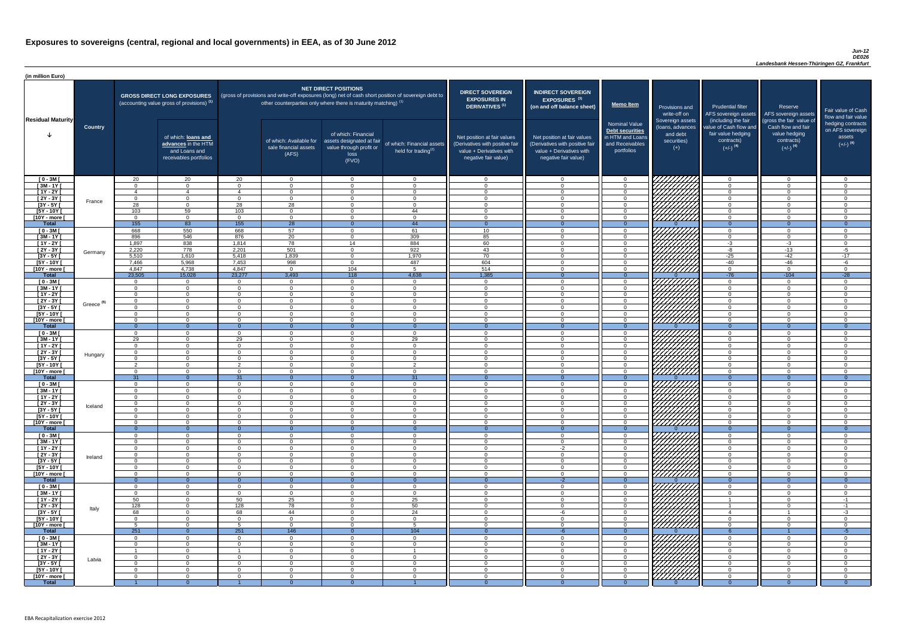#### *Jun-12 DE026*

| (in million Euro)             |                       |                  |                                                                                             |                      |                                                           |                                                                                                                                                                                                           |                                                         |                                                                                                                    |                                                                                                                    |                                                                                              |                                                                          |                                                                                      |                                                                                  |                                                                           |
|-------------------------------|-----------------------|------------------|---------------------------------------------------------------------------------------------|----------------------|-----------------------------------------------------------|-----------------------------------------------------------------------------------------------------------------------------------------------------------------------------------------------------------|---------------------------------------------------------|--------------------------------------------------------------------------------------------------------------------|--------------------------------------------------------------------------------------------------------------------|----------------------------------------------------------------------------------------------|--------------------------------------------------------------------------|--------------------------------------------------------------------------------------|----------------------------------------------------------------------------------|---------------------------------------------------------------------------|
| <b>Residual Maturity</b>      |                       |                  | <b>GROSS DIRECT LONG EXPOSURES</b><br>(accounting value gross of provisions) <sup>(1)</sup> |                      |                                                           | NET DIRECT POSITIONS<br>(gross of provisions and write-off exposures (long) net of cash short position of sovereign debt to<br>other counterparties only where there is maturity matching) <sup>(1)</sup> |                                                         | <b>DIRECT SOVEREIGN</b><br><b>EXPOSURES IN</b><br><b>DERIVATIVES (1)</b>                                           | <b>INDIRECT SOVEREIGN</b><br><b>EXPOSURES<sup>(3)</sup></b><br>(on and off balance sheet)                          | <b>Memo Item</b>                                                                             | Provisions and<br>write-off on                                           | <b>Prudential filter</b><br>(including the fair                                      | Reserve<br>AFS sovereign assets AFS sovereign assets<br>(gross the fair value of | Fair value of Cash<br>flow and fair value                                 |
|                               | <b>Country</b>        |                  | of which: loans and<br>advances in the HTM<br>and Loans and<br>receivables portfolios       |                      | of which: Available for<br>sale financial assets<br>(AFS) | of which: Financial<br>assets designated at fair<br>value through profit or<br>loss<br>(FVO)                                                                                                              | of which: Financial assets<br>held for trading $^{(2)}$ | Net position at fair values<br>(Derivatives with positive fair<br>value + Derivatives with<br>negative fair value) | Net position at fair values<br>(Derivatives with positive fair<br>value + Derivatives with<br>negative fair value) | <b>Nominal Value</b><br>Debt securities<br>in HTM and Loans<br>and Receivables<br>portfolios | Sovereign assets<br>(Ioans, advances<br>and debt<br>securities)<br>$(+)$ | value of Cash flow and<br>fair value hedging<br>contracts)<br>$(+/-)$ <sup>(4)</sup> | Cash flow and fair<br>value hedging<br>contracts)<br>$(+/-)$ <sup>(4)</sup>      | hedging contracts<br>on AFS sovereign<br>assets<br>$(+/-)$ <sup>(4)</sup> |
| $[0 - 3M]$                    |                       | 20               | 20                                                                                          | 20                   | $\Omega$                                                  | $\Omega$                                                                                                                                                                                                  | $\overline{0}$                                          | - 0                                                                                                                | $\cap$                                                                                                             | $\Omega$                                                                                     |                                                                          | $\overline{0}$                                                                       | $\Omega$                                                                         | - റ                                                                       |
| $[3M - 1Y]$                   |                       | $\cap$           | $\Omega$<br>$\overline{4}$                                                                  | 4                    | $\Omega$<br>$\Omega$                                      | $\Omega$<br>$\Omega$                                                                                                                                                                                      | $\Omega$<br>$\Omega$                                    | - 0<br>റ                                                                                                           |                                                                                                                    | $\Omega$<br>$\Omega$                                                                         |                                                                          | $\overline{0}$<br>$\Omega$                                                           | $\Omega$<br>$\Omega$                                                             | $\cap$<br>$\cap$                                                          |
| $[1Y - 2Y]$<br>$[2Y - 3Y]$    |                       | $\cap$           | $\Omega$                                                                                    | $\cap$               | $\Omega$                                                  | $\Omega$                                                                                                                                                                                                  | $\overline{0}$                                          | $\cap$                                                                                                             | $\Omega$                                                                                                           | $\Omega$                                                                                     |                                                                          | $\overline{0}$                                                                       | $\Omega$                                                                         | $\cap$                                                                    |
| $[3Y - 5Y]$                   | France                | 28               | $\overline{0}$                                                                              | 28                   | $\overline{28}$                                           | $\Omega$                                                                                                                                                                                                  | $\overline{0}$                                          | $\bigcap$                                                                                                          |                                                                                                                    | $\Omega$                                                                                     |                                                                          | $\Omega$                                                                             | $\Omega$                                                                         | $\cap$                                                                    |
| $I5Y - 10Y$                   |                       | 103              | 59                                                                                          | 103                  | $\Omega$                                                  | $\Omega$                                                                                                                                                                                                  | 44                                                      | $\Omega$                                                                                                           |                                                                                                                    | $\Omega$                                                                                     | ШШЛ                                                                      | $\Omega$                                                                             | $\Omega$                                                                         | $\Omega$                                                                  |
| [10Y - more [                 |                       | $\cap$           | $\overline{0}$                                                                              | $\cap$               | $\overline{0}$                                            | $\Omega$                                                                                                                                                                                                  | $\overline{0}$                                          | $\sqrt{ }$                                                                                                         | $\Omega$                                                                                                           | $\overline{0}$                                                                               |                                                                          | $\overline{0}$                                                                       | $\Omega$                                                                         | $\Omega$                                                                  |
| Total                         |                       | 155              | 83                                                                                          | 155                  | $\overline{28}$                                           | $\Omega$                                                                                                                                                                                                  | 44                                                      | $\overline{0}$                                                                                                     | $\Omega$<br>$\Omega$                                                                                               | $\Omega$                                                                                     |                                                                          | $\Omega$                                                                             | $\Omega$<br>$\Omega$                                                             | $\overline{0}$                                                            |
| $[0 - 3M]$<br>$[3M-1Y]$       |                       | 668<br>896       | 550<br>546                                                                                  | 668<br>876           | 57<br>$\overline{20}$                                     | $\Omega$<br>$\Omega$                                                                                                                                                                                      | 61<br>309                                               | 10<br>85                                                                                                           |                                                                                                                    | $\overline{0}$<br>$\overline{0}$                                                             |                                                                          | $\overline{0}$<br>$\overline{0}$                                                     | $\Omega$                                                                         | - റ<br>$\cap$                                                             |
| $[1Y - 2Y]$                   |                       | 1,897            | 838                                                                                         | 1,814                | $\overline{78}$                                           | 14                                                                                                                                                                                                        | 884                                                     | 60                                                                                                                 |                                                                                                                    | $\Omega$                                                                                     |                                                                          | $-3$                                                                                 | $-3$                                                                             | $\cap$                                                                    |
| $[2Y - 3Y]$                   | Germany               | 2,220            | 778                                                                                         | 2,201                | 501                                                       | $\Omega$                                                                                                                                                                                                  | 922                                                     | 43                                                                                                                 |                                                                                                                    | $\overline{0}$                                                                               |                                                                          | $-8$                                                                                 | $-13$                                                                            | $-5$                                                                      |
| $[3Y - 5Y]$                   |                       | 5,510            | 1,610                                                                                       | 5,418                | 1,839                                                     | 0                                                                                                                                                                                                         | 1,970                                                   | 70                                                                                                                 |                                                                                                                    | $\Omega$                                                                                     |                                                                          | $-25$                                                                                | $-42$                                                                            | $-17$                                                                     |
| $[5Y - 10Y]$                  |                       | 7,466            | 5,968                                                                                       | 7,453                | 998                                                       | $\Omega$                                                                                                                                                                                                  | 487<br>. 5                                              | 604                                                                                                                |                                                                                                                    | $\Omega$                                                                                     |                                                                          | $-40$                                                                                | $-46$<br>$\Omega$                                                                | -6<br>$\cap$                                                              |
| [10Y - more [<br><b>Total</b> |                       | 4,847<br>23,505  | 4,738<br>15,028                                                                             | 4,847<br>23,277      | $\Omega$<br>3,493                                         | 104<br>118                                                                                                                                                                                                | 4,638                                                   | 514<br>1,385                                                                                                       |                                                                                                                    | $\Omega$<br>$\Omega$                                                                         | ////////////                                                             | $\overline{0}$<br>$-76$                                                              | $-104$                                                                           | $-28$                                                                     |
| $[0 - 3M]$                    |                       | $\cap$           | $\overline{0}$                                                                              | $\Omega$             | $\Omega$                                                  | $\Omega$                                                                                                                                                                                                  | $\overline{0}$                                          | $\cap$                                                                                                             |                                                                                                                    | $\Omega$                                                                                     |                                                                          | $\overline{0}$                                                                       | $\cap$                                                                           | . വ                                                                       |
| $[3M-1Y]$                     |                       | $\cap$           | $\overline{0}$                                                                              | $\Omega$             | $\Omega$                                                  | $\Omega$                                                                                                                                                                                                  | $\Omega$                                                | $\sqrt{ }$                                                                                                         | $\cap$                                                                                                             | $\Omega$                                                                                     | HHHHA                                                                    | $\overline{0}$                                                                       | $\Omega$                                                                         | $\cap$                                                                    |
| $[1Y - 2Y]$                   |                       | റ                | $\overline{0}$                                                                              | $\cap$               | $\Omega$                                                  | $\Omega$                                                                                                                                                                                                  | $\Omega$                                                | - 0                                                                                                                | $\cap$                                                                                                             | $\overline{0}$                                                                               |                                                                          | $\overline{0}$                                                                       | $\Omega$                                                                         | $\overline{0}$                                                            |
| $[2Y - 3Y]$                   | Greece <sup>(5)</sup> | $\Omega$         | $\Omega$                                                                                    | $\cap$               | $\Omega$                                                  | $\Omega$                                                                                                                                                                                                  | $\Omega$                                                | $\cap$                                                                                                             | $\cap$                                                                                                             | $\overline{0}$                                                                               | <i>ШША</i>                                                               | $\Omega$                                                                             | $\Omega$                                                                         | - റ                                                                       |
| $[3Y - 5Y]$<br>$[5Y - 10Y]$   |                       | $\cap$           | $\Omega$                                                                                    | $\cap$               | $\overline{0}$                                            | $\Omega$                                                                                                                                                                                                  | $\Omega$                                                | - 0                                                                                                                |                                                                                                                    | $\Omega$                                                                                     | <i>UMMA</i>                                                              | 0<br>$\overline{0}$                                                                  | $\Omega$                                                                         | - 0                                                                       |
| [10Y - more [                 |                       |                  | $\Omega$                                                                                    | $\Omega$             | $\Omega$                                                  | $\Omega$                                                                                                                                                                                                  | $\Omega$                                                | - 0                                                                                                                |                                                                                                                    | $\Omega$                                                                                     | 7777777777                                                               | $\Omega$                                                                             | $\Omega$                                                                         | ി                                                                         |
| <b>Total</b>                  |                       |                  | $\Omega$                                                                                    |                      |                                                           |                                                                                                                                                                                                           | $\Omega$                                                |                                                                                                                    |                                                                                                                    |                                                                                              |                                                                          | $\Omega$                                                                             |                                                                                  |                                                                           |
| $[0 - 3M]$                    |                       |                  | $\Omega$                                                                                    | $\Omega$             | $\Omega$                                                  | $\Omega$                                                                                                                                                                                                  | $\Omega$                                                | $\Omega$                                                                                                           | ∩                                                                                                                  | $\Omega$                                                                                     |                                                                          | $\overline{0}$                                                                       | $\Omega$                                                                         | $\Omega$                                                                  |
| $[3M - 1Y]$                   |                       | 29<br>$\Omega$   | $\Omega$                                                                                    | 29<br>$\Omega$       | $\Omega$                                                  | $\Omega$<br>$\Omega$                                                                                                                                                                                      | 29                                                      | - 0<br>- 0                                                                                                         | $\cap$<br>$\cap$                                                                                                   | $\Omega$                                                                                     |                                                                          | $\overline{0}$                                                                       | $\Omega$                                                                         | ി<br>- 0                                                                  |
| $[1Y - 2Y]$<br>$[2Y - 3Y]$    |                       | റ                | $\Omega$<br>$\Omega$                                                                        | $\Omega$             | $\Omega$<br>$\Omega$                                      | $\Omega$                                                                                                                                                                                                  | $\Omega$<br>$\Omega$                                    | - 0                                                                                                                | $\cap$                                                                                                             | $\Omega$<br>$\Omega$                                                                         |                                                                          | $\overline{0}$<br>$\overline{0}$                                                     | $\Omega$<br>$\Omega$                                                             | $\cap$                                                                    |
| $[3Y - 5Y]$                   | Hungary               |                  | $\Omega$                                                                                    | $\cap$               | $\Omega$                                                  | $\Omega$                                                                                                                                                                                                  | $\Omega$                                                | റ                                                                                                                  | $\cap$                                                                                                             | $\Omega$                                                                                     |                                                                          | $\Omega$                                                                             | $\Omega$                                                                         | $\cap$                                                                    |
| $[5Y - 10Y]$                  |                       | ົດ               | $\overline{0}$                                                                              | $\mathcal{P}$        | $\Omega$                                                  | $\Omega$                                                                                                                                                                                                  | $\mathcal{D}$                                           | $\Omega$                                                                                                           | $\cap$                                                                                                             | $\Omega$                                                                                     | HHHH                                                                     | $\Omega$                                                                             | $\Omega$                                                                         | $\Omega$                                                                  |
| [10Y - more [                 |                       | $\cap$           | $\Omega$                                                                                    | $\cap$               | $\Omega$                                                  | $\Omega$                                                                                                                                                                                                  | $\Omega$                                                | $\cap$                                                                                                             | $\Omega$                                                                                                           | $\Omega$                                                                                     |                                                                          | $\Omega$                                                                             | $\Omega$                                                                         | $\Omega$                                                                  |
| <b>Total</b>                  |                       | 31<br>$\cap$     | $\Omega$<br>$\Omega$                                                                        | 31<br>$\Omega$       | $\Omega$<br>$\overline{0}$                                | $\Omega$<br>$\Omega$                                                                                                                                                                                      | 31<br>$\Omega$                                          | $\Omega$<br>$\Omega$                                                                                               | $\cap$                                                                                                             | $\Omega$<br>$\Omega$                                                                         |                                                                          | $\Omega$<br>$\overline{0}$                                                           | $\Omega$<br>$\Omega$                                                             | $\Omega$<br>- 0                                                           |
| $[0 - 3M]$<br>$[3M - 1Y]$     |                       |                  | $\overline{0}$                                                                              | $\Omega$             | $\Omega$                                                  | $\Omega$                                                                                                                                                                                                  | $\Omega$                                                | - 0                                                                                                                |                                                                                                                    | $\Omega$                                                                                     | 7777                                                                     | $\overline{0}$                                                                       | $\Omega$                                                                         | $\Omega$                                                                  |
| $[1Y - 2Y]$                   |                       |                  | $\Omega$                                                                                    |                      | $\Omega$                                                  | $\Omega$                                                                                                                                                                                                  | $\Omega$                                                | - 0                                                                                                                |                                                                                                                    | $\Omega$                                                                                     |                                                                          | $\Omega$                                                                             | $\Omega$                                                                         | $\Omega$                                                                  |
| $[2Y - 3Y]$                   | Iceland               |                  | $\Omega$                                                                                    |                      | $\Omega$                                                  | $\Omega$                                                                                                                                                                                                  | $\Omega$                                                | - 0                                                                                                                |                                                                                                                    | $\Omega$                                                                                     |                                                                          | $\overline{0}$                                                                       | $\Omega$                                                                         | $\cap$                                                                    |
| $[3Y - 5Y]$                   |                       |                  | $\Omega$                                                                                    |                      | $\Omega$                                                  | $\Omega$                                                                                                                                                                                                  | $\Omega$                                                |                                                                                                                    |                                                                                                                    | $\Omega$                                                                                     |                                                                          | $\Omega$                                                                             |                                                                                  |                                                                           |
| [5Y - 10Y [<br>[10Y - more [  |                       |                  | $\Omega$<br>$\Omega$                                                                        |                      | $\Omega$<br>$\Omega$                                      | $\Omega$<br>$\Omega$                                                                                                                                                                                      | $\Omega$<br>$\Omega$                                    | - 0                                                                                                                |                                                                                                                    | $\Omega$<br>$\Omega$                                                                         | <u> 77777777</u>                                                         | $\Omega$<br>$\overline{0}$                                                           |                                                                                  | $\cap$                                                                    |
| <b>Total</b>                  |                       | . വ              | $\Omega$                                                                                    |                      | $\Omega$                                                  |                                                                                                                                                                                                           | $\Omega$                                                | - 0                                                                                                                |                                                                                                                    | $\Omega$                                                                                     |                                                                          | $\Omega$                                                                             | $\Omega$                                                                         | $\Omega$                                                                  |
| $[0 - 3M]$                    |                       |                  | $\Omega$                                                                                    |                      | $\Omega$                                                  | $\Omega$                                                                                                                                                                                                  | $\Omega$                                                | - വ                                                                                                                |                                                                                                                    | $\Omega$                                                                                     |                                                                          | $\overline{0}$                                                                       | $\Omega$                                                                         | $\Omega$                                                                  |
| $[3M - 1Y]$                   |                       |                  | $\overline{0}$                                                                              | $\Omega$             | $\Omega$                                                  | $\Omega$                                                                                                                                                                                                  | $\overline{0}$                                          | - വ                                                                                                                | $\cap$                                                                                                             | $\overline{0}$                                                                               | 777777777                                                                | $\overline{0}$                                                                       | $\Omega$                                                                         | $\cap$                                                                    |
| $[1Y - 2Y]$<br>$[2Y - 3Y]$    |                       | $\cap$<br>$\cap$ | $\overline{0}$<br>$\Omega$                                                                  | $\Omega$<br>$\Omega$ | $\Omega$<br>$\Omega$                                      | $\Omega$<br>$\Omega$                                                                                                                                                                                      | $\Omega$<br>$\Omega$                                    | $\Omega$<br>$\Omega$                                                                                               | $-2$<br>$\Omega$                                                                                                   | $\overline{0}$<br>$\Omega$                                                                   | VIIIIIII<br>VIIIIIIII                                                    | $\overline{0}$<br>$\overline{0}$                                                     | $\Omega$<br>$\Omega$                                                             | $\cap$<br>$\Omega$                                                        |
| $[3Y - 5Y]$                   | Ireland               | $\sqrt{ }$       | $\Omega$                                                                                    | $\cap$               | $\Omega$                                                  | $\Omega$                                                                                                                                                                                                  | $\Omega$                                                | - 0                                                                                                                | $\cap$                                                                                                             | $\overline{0}$                                                                               | VIIIIIIII                                                                | $\overline{0}$                                                                       | $\Omega$                                                                         | $\Omega$                                                                  |
| $[5Y - 10Y]$                  |                       | $\cap$           | $\Omega$                                                                                    | $\cap$               | $\Omega$                                                  | $\Omega$                                                                                                                                                                                                  | $\Omega$                                                | - 0                                                                                                                | $\cap$                                                                                                             | $\overline{0}$                                                                               | 7777777777                                                               | $\overline{0}$                                                                       | $\Omega$                                                                         | $\Omega$                                                                  |
| [10Y - more ]                 |                       |                  | $\Omega$                                                                                    | $\Omega$             | $\Omega$                                                  | $\Omega$                                                                                                                                                                                                  | $\Omega$                                                | $\Omega$                                                                                                           | $\Omega$                                                                                                           | $\Omega$                                                                                     | 77777777                                                                 | $\overline{0}$                                                                       | $\Omega$                                                                         | $\Omega$                                                                  |
| <b>Total</b>                  |                       |                  | $\Omega$                                                                                    |                      |                                                           |                                                                                                                                                                                                           |                                                         | $\Omega$                                                                                                           | $-2$                                                                                                               |                                                                                              | 7777,                                                                    | $\Omega$                                                                             |                                                                                  | $\Omega$<br>$\cap$                                                        |
| $[0 - 3M]$<br>$[3M - 1Y]$     |                       |                  | $\Omega$<br>$\Omega$                                                                        | $\cap$<br>$\Omega$   | $\Omega$<br>$\Omega$                                      | $\Omega$<br>$\Omega$                                                                                                                                                                                      | $\Omega$<br>$\Omega$                                    | - 0<br>- 0                                                                                                         |                                                                                                                    | $\Omega$<br>$\Omega$                                                                         |                                                                          | $\overline{0}$<br>$\overline{0}$                                                     | $\Omega$<br>$\Omega$                                                             | $\Omega$                                                                  |
| $[1Y - 2Y]$                   |                       | 50               | $\Omega$                                                                                    | 50                   | 25                                                        | $\Omega$                                                                                                                                                                                                  | 25                                                      | - 0                                                                                                                | $\cap$                                                                                                             | $\Omega$                                                                                     |                                                                          | $\mathbf 1$                                                                          | $\Omega$                                                                         | $-1$                                                                      |
| $[2Y - 3Y]$                   | Italy                 | 128              | $\overline{0}$                                                                              | 128                  | 78                                                        | $\Omega$                                                                                                                                                                                                  | 50                                                      | - 0                                                                                                                | $\cap$                                                                                                             | $\Omega$                                                                                     | HAAAA<br>HAAAA                                                           | $\mathbf 1$                                                                          | $\Omega$                                                                         | $-1$                                                                      |
| $[3Y - 5Y]$                   |                       | 68               | $\Omega$                                                                                    | 68                   | 44                                                        | $\Omega$                                                                                                                                                                                                  | 24                                                      | $\cap$                                                                                                             | -6                                                                                                                 | $\Omega$                                                                                     |                                                                          | -4                                                                                   | -1                                                                               | $-3$                                                                      |
| $[5Y - 10Y]$                  |                       | $\cap$           | $\overline{0}$<br>$\Omega$                                                                  | $\cap$<br>_Б         | $\Omega$<br>$\Omega$                                      | $\Omega$<br>$\Omega$                                                                                                                                                                                      | $\Omega$<br>$5^{\circ}$                                 | - 0<br>$\cap$                                                                                                      | $\cap$<br>$\cap$                                                                                                   | $\Omega$<br>$\Omega$                                                                         |                                                                          | $\Omega$                                                                             | $\Omega$<br>$\Omega$                                                             | - 0<br>$\Omega$                                                           |
| [10Y - more [<br><b>Total</b> |                       | 251              | $\Omega$                                                                                    | 251                  | 146                                                       |                                                                                                                                                                                                           | 104                                                     |                                                                                                                    |                                                                                                                    |                                                                                              |                                                                          | $\Omega$                                                                             |                                                                                  | $-5$                                                                      |
| $[0 - 3M]$                    |                       |                  | $\Omega$                                                                                    |                      | $\cap$                                                    | $\Omega$                                                                                                                                                                                                  | $\Omega$                                                | $\cap$                                                                                                             |                                                                                                                    | $\Omega$                                                                                     | VIIIIIIII                                                                | $\Omega$                                                                             |                                                                                  |                                                                           |
| $[3M - 1Y]$                   |                       |                  | $\Omega$                                                                                    | $\cap$               | $\overline{0}$                                            | $\Omega$                                                                                                                                                                                                  | $\Omega$                                                | $\Omega$                                                                                                           |                                                                                                                    | $\Omega$                                                                                     |                                                                          | $\overline{0}$                                                                       | $\Omega$                                                                         | $\cap$                                                                    |
| $[1Y - 2Y]$                   |                       |                  | $\overline{0}$                                                                              |                      | $\Omega$                                                  | $\Omega$                                                                                                                                                                                                  |                                                         | - 0                                                                                                                |                                                                                                                    | $\Omega$                                                                                     |                                                                          | $\Omega$                                                                             | $\Omega$                                                                         | $\Omega$                                                                  |
| $[2Y - 3Y]$<br>$[3Y - 5Y]$    | Latvia                |                  | $\overline{0}$<br>$\Omega$                                                                  | $\cap$               | $\Omega$<br>$\Omega$                                      | $\Omega$<br>$\Omega$                                                                                                                                                                                      | $\Omega$<br>$\Omega$                                    | - 0<br>$\cap$                                                                                                      |                                                                                                                    | $\Omega$<br>$\Omega$                                                                         |                                                                          | $\Omega$<br>$\Omega$                                                                 | $\Omega$                                                                         | $\Omega$<br>$\cap$                                                        |
| $[5Y - 10Y]$                  |                       |                  | $\Omega$                                                                                    |                      | $\Omega$                                                  | $\Omega$                                                                                                                                                                                                  | $\Omega$                                                | - 0                                                                                                                |                                                                                                                    | $\Omega$                                                                                     | <b>Children</b>                                                          | $\Omega$                                                                             |                                                                                  | $\Omega$                                                                  |
| [10Y - more [                 |                       |                  | $\Omega$                                                                                    |                      | $\Omega$                                                  | $\Omega$                                                                                                                                                                                                  | $\Omega$                                                | - 0                                                                                                                |                                                                                                                    | $\Omega$                                                                                     |                                                                          | $\Omega$                                                                             |                                                                                  | $\Omega$                                                                  |
| <b>Total</b>                  |                       |                  | $\Omega$                                                                                    |                      | $\Omega$                                                  | $\Omega$                                                                                                                                                                                                  |                                                         |                                                                                                                    |                                                                                                                    | $\Omega$                                                                                     |                                                                          | $\Omega$                                                                             |                                                                                  | $\Omega$                                                                  |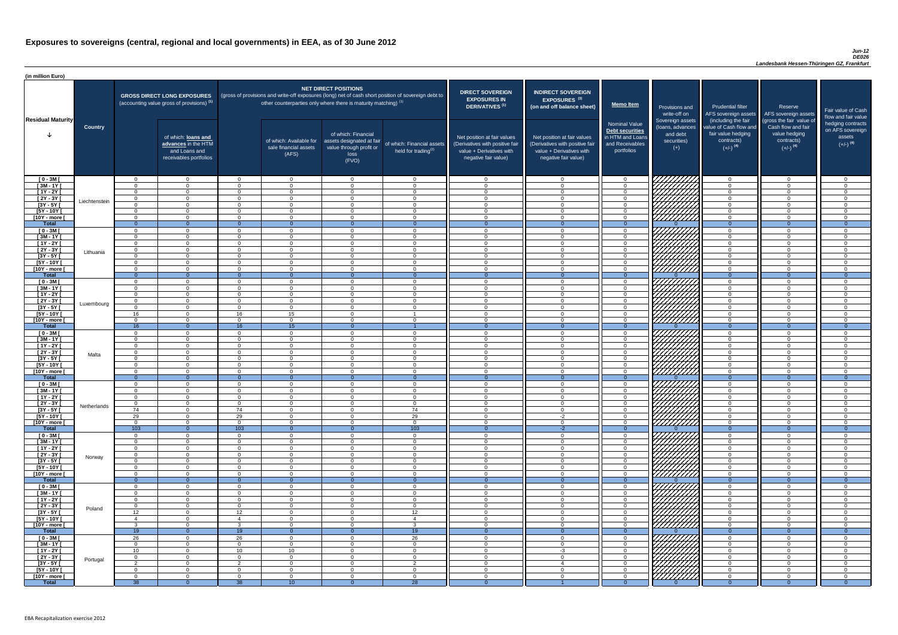#### *Jun-12 DE026*

| <b>DIRECT SOVEREIGN</b><br><b>EXPOSURES IN</b><br><b>DERIVATIVES<sup>(1)</sup></b><br>Net position at fair values<br>(Derivatives with positive fair<br>value + Derivatives with<br>negative fair value) | <b>INDIRECT SOVEREIGN</b><br>EXPOSURES <sup>(3)</sup><br>(on and off balance sheet)<br>Net position at fair values<br>(Derivatives with positive fair<br>value + Derivatives with<br>negative fair value) | <b>Memo Item</b><br><b>Nominal Value</b><br><b>Debt securities</b><br>in HTM and Loans<br>and Receivables<br>portfolios | Provisions and<br>write-off on<br>Sovereign assets<br>(loans, advances<br>and debt<br>securities)<br>$(+)$ | <b>Prudential filter</b><br>AFS sovereign assets<br>(including the fair<br>value of Cash flow and<br>fair value hedging<br>contracts)<br>$(+/-)$ <sup>(4)</sup> | Reserve<br>AFS sovereign assets<br>(gross the fair value of<br>Cash flow and fair<br>value hedging<br>contracts)<br>$(+/-)$ <sup>(4)</sup> | Fair value of Cash<br>flow and fair value<br>hedging contracts<br>on AFS sovereign<br>assets<br>$(+/-)$ <sup>(4)</sup> |
|----------------------------------------------------------------------------------------------------------------------------------------------------------------------------------------------------------|-----------------------------------------------------------------------------------------------------------------------------------------------------------------------------------------------------------|-------------------------------------------------------------------------------------------------------------------------|------------------------------------------------------------------------------------------------------------|-----------------------------------------------------------------------------------------------------------------------------------------------------------------|--------------------------------------------------------------------------------------------------------------------------------------------|------------------------------------------------------------------------------------------------------------------------|
| $\mathbf 0$                                                                                                                                                                                              | $\overline{0}$                                                                                                                                                                                            | $\mathbf 0$                                                                                                             |                                                                                                            | $\overline{0}$                                                                                                                                                  | $\overline{0}$                                                                                                                             | 0                                                                                                                      |
| $\mathbf 0$                                                                                                                                                                                              | $\mathbf 0$                                                                                                                                                                                               | $\mathbf 0$                                                                                                             |                                                                                                            | $\mathbf 0$                                                                                                                                                     | $\mathbf 0$                                                                                                                                | 0                                                                                                                      |
| $\mathbf 0$                                                                                                                                                                                              | $\mathbf 0$                                                                                                                                                                                               | $\mathbf 0$                                                                                                             |                                                                                                            | $\mathbf 0$                                                                                                                                                     | $\overline{0}$                                                                                                                             | 0                                                                                                                      |
| $\mathbf 0$                                                                                                                                                                                              | $\mathbf 0$<br>$\mathbf 0$                                                                                                                                                                                | $\mathbf 0$                                                                                                             |                                                                                                            | $\mathbf 0$                                                                                                                                                     | $\mathbf 0$<br>$\mathbf 0$                                                                                                                 | 0<br>$\overline{0}$                                                                                                    |
| $\pmb{0}$<br>$\mathbf 0$                                                                                                                                                                                 | $\mathbf 0$                                                                                                                                                                                               | $\mathbf 0$<br>$\mathbf 0$                                                                                              |                                                                                                            | $\pmb{0}$<br>$\mathbf 0$                                                                                                                                        | $\mathbf 0$                                                                                                                                | 0                                                                                                                      |
| $\mathbf 0$                                                                                                                                                                                              | $\mathbf 0$                                                                                                                                                                                               | $\mathbf 0$                                                                                                             |                                                                                                            | $\mathbf 0$                                                                                                                                                     | $\mathbf 0$                                                                                                                                | 0                                                                                                                      |
| $\mathbf{0}$                                                                                                                                                                                             | $\overline{0}$                                                                                                                                                                                            | $\overline{0}$                                                                                                          | O                                                                                                          | $\overline{0}$                                                                                                                                                  | $\overline{0}$                                                                                                                             | $\overline{0}$                                                                                                         |
| $\mathbf 0$                                                                                                                                                                                              | $\mathbf 0$                                                                                                                                                                                               | $\mathbf 0$                                                                                                             |                                                                                                            | $\mathbf 0$                                                                                                                                                     | $\mathbf 0$                                                                                                                                | 0                                                                                                                      |
| $\mathbf 0$                                                                                                                                                                                              | $\mathbf 0$                                                                                                                                                                                               | $\mathbf 0$                                                                                                             |                                                                                                            | $\mathbf 0$                                                                                                                                                     | $\mathbf 0$                                                                                                                                | 0                                                                                                                      |
| $\mathbf 0$<br>$\mathbf 0$                                                                                                                                                                               | $\mathbf 0$<br>$\mathbf 0$                                                                                                                                                                                | $\mathbf 0$<br>$\mathbf 0$                                                                                              |                                                                                                            | $\mathbf 0$<br>$\mathbf 0$                                                                                                                                      | $\mathbf 0$<br>$\mathbf 0$                                                                                                                 | 0<br>0                                                                                                                 |
| $\pmb{0}$                                                                                                                                                                                                | $\mathbf 0$                                                                                                                                                                                               | $\mathbf 0$                                                                                                             |                                                                                                            | $\mathbf 0$                                                                                                                                                     | $\mathbf 0$                                                                                                                                | 0                                                                                                                      |
| $\mathbf 0$                                                                                                                                                                                              | $\mathbf 0$                                                                                                                                                                                               | $\mathbf 0$                                                                                                             |                                                                                                            | $\mathbf 0$                                                                                                                                                     | $\mathbf 0$                                                                                                                                | 0                                                                                                                      |
| $\mathbf 0$                                                                                                                                                                                              | $\mathbf 0$                                                                                                                                                                                               | $\mathbf 0$                                                                                                             |                                                                                                            | $\mathbf 0$                                                                                                                                                     | $\mathbf 0$                                                                                                                                | 0                                                                                                                      |
| $\mathbf{0}$                                                                                                                                                                                             | $\overline{0}$                                                                                                                                                                                            | $\overline{0}$                                                                                                          | $\Omega$                                                                                                   | $\overline{0}$                                                                                                                                                  | $\overline{0}$                                                                                                                             | $\overline{0}$                                                                                                         |
| $\mathbf 0$<br>$\mathbf 0$                                                                                                                                                                               | $\mathbf 0$<br>$\mathbf 0$                                                                                                                                                                                | $\mathbf 0$<br>$\mathbf 0$                                                                                              |                                                                                                            | $\mathbf 0$<br>$\mathbf 0$                                                                                                                                      | $\mathbf 0$<br>$\mathbf 0$                                                                                                                 | 0<br>0                                                                                                                 |
| $\mathbf 0$                                                                                                                                                                                              | $\mathbf 0$                                                                                                                                                                                               | $\mathbf 0$                                                                                                             |                                                                                                            | $\mathbf 0$                                                                                                                                                     | $\mathbf 0$                                                                                                                                | 0                                                                                                                      |
| $\mathbf 0$                                                                                                                                                                                              | 0                                                                                                                                                                                                         | $\mathbf 0$                                                                                                             |                                                                                                            | $\mathbf 0$                                                                                                                                                     | 0                                                                                                                                          | 0                                                                                                                      |
| $\mathbf 0$                                                                                                                                                                                              | $\mathbf 0$                                                                                                                                                                                               | $\mathbf 0$                                                                                                             |                                                                                                            | 0                                                                                                                                                               | $\Omega$                                                                                                                                   | 0                                                                                                                      |
| 0                                                                                                                                                                                                        | 0                                                                                                                                                                                                         | $\mathbf 0$                                                                                                             |                                                                                                            | 0                                                                                                                                                               | 0                                                                                                                                          | 0                                                                                                                      |
| $\mathbf 0$<br>$\mathbf{0}$                                                                                                                                                                              | $\mathbf 0$<br>$\overline{0}$                                                                                                                                                                             | $\mathbf 0$<br>$\overline{0}$                                                                                           | 7777 A<br>$\mathbf{0}$                                                                                     | 0<br>$\overline{0}$                                                                                                                                             | $\overline{0}$<br>$\overline{0}$                                                                                                           | 0<br>$\overline{0}$                                                                                                    |
| $\boldsymbol{0}$                                                                                                                                                                                         | $\mathbf 0$                                                                                                                                                                                               | $\mathbf 0$                                                                                                             |                                                                                                            | $\mathbf 0$                                                                                                                                                     | $\overline{0}$                                                                                                                             | 0                                                                                                                      |
| $\mathbf 0$                                                                                                                                                                                              | $\mathbf 0$                                                                                                                                                                                               | $\mathbf 0$                                                                                                             |                                                                                                            | $\mathbf 0$                                                                                                                                                     | $\mathbf 0$                                                                                                                                | 0                                                                                                                      |
| $\mathbf 0$                                                                                                                                                                                              | $\boldsymbol{0}$                                                                                                                                                                                          | $\mathbf 0$                                                                                                             |                                                                                                            | $\pmb{0}$                                                                                                                                                       | $\mathbf 0$                                                                                                                                | 0                                                                                                                      |
| 0                                                                                                                                                                                                        | $\mathbf 0$                                                                                                                                                                                               | $\mathbf 0$                                                                                                             |                                                                                                            | $\mathbf 0$                                                                                                                                                     | $\overline{0}$                                                                                                                             | 0                                                                                                                      |
| $\mathbf 0$<br>$\mathbf 0$                                                                                                                                                                               | $\boldsymbol{0}$<br>$\mathbf 0$                                                                                                                                                                           | $\pmb{0}$<br>$\mathbf 0$                                                                                                |                                                                                                            | $\mathbf 0$<br>$\pmb{0}$                                                                                                                                        | $\mathbf 0$<br>$\mathbf{0}$                                                                                                                | 0<br>0                                                                                                                 |
| $\mathbf 0$                                                                                                                                                                                              | $\mathbf 0$                                                                                                                                                                                               | $\mathbf 0$                                                                                                             |                                                                                                            | $\mathbf 0$                                                                                                                                                     | $\mathbf 0$                                                                                                                                | 0                                                                                                                      |
| $\mathbf{0}$                                                                                                                                                                                             | $\overline{0}$                                                                                                                                                                                            | $\mathbf 0$                                                                                                             | $\overline{0}$                                                                                             | $\overline{0}$                                                                                                                                                  | $\overline{0}$                                                                                                                             | $\mathbf{0}$                                                                                                           |
| $\mathbf 0$                                                                                                                                                                                              | $\mathbf 0$                                                                                                                                                                                               | $\mathbf 0$                                                                                                             |                                                                                                            | $\mathbf 0$                                                                                                                                                     | 0                                                                                                                                          | 0                                                                                                                      |
| 0                                                                                                                                                                                                        | $\mathbf 0$                                                                                                                                                                                               | $\mathbf 0$                                                                                                             |                                                                                                            | 0                                                                                                                                                               | 0                                                                                                                                          | 0                                                                                                                      |
| $\mathbf 0$<br>$\mathbf 0$                                                                                                                                                                               | $\mathbf 0$<br>$\mathbf 0$                                                                                                                                                                                | $\pmb{0}$<br>$\mathbf 0$                                                                                                |                                                                                                            | 0<br>$\mathbf 0$                                                                                                                                                | $\mathbf 0$<br>$\mathbf 0$                                                                                                                 | 0<br>0                                                                                                                 |
| $\mathbf 0$                                                                                                                                                                                              | $\overline{0}$                                                                                                                                                                                            | $\boldsymbol{0}$                                                                                                        |                                                                                                            | $\mathbf 0$                                                                                                                                                     | 0                                                                                                                                          | 0                                                                                                                      |
| $\mathbf 0$                                                                                                                                                                                              | $-2$                                                                                                                                                                                                      | $\mathbf 0$                                                                                                             |                                                                                                            | $\mathbf 0$                                                                                                                                                     | $\mathbf 0$                                                                                                                                | 0                                                                                                                      |
| $\mathbf 0$                                                                                                                                                                                              | 0                                                                                                                                                                                                         | $\mathbf 0$                                                                                                             |                                                                                                            | $\mathbf 0$                                                                                                                                                     | $\mathbf 0$                                                                                                                                | 0                                                                                                                      |
| $\mathbf{0}$                                                                                                                                                                                             | $-2$                                                                                                                                                                                                      | $\overline{0}$                                                                                                          | $\mathbf 0$                                                                                                | $\overline{O}$                                                                                                                                                  | $\overline{0}$                                                                                                                             | $\boldsymbol{0}$                                                                                                       |
| 0<br>$\mathbf 0$                                                                                                                                                                                         | $\mathbf 0$<br>$\mathbf 0$                                                                                                                                                                                | $\mathbf 0$<br>$\mathbf 0$                                                                                              |                                                                                                            | $\mathbf 0$<br>$\mathbf 0$                                                                                                                                      | 0<br>$\mathbf 0$                                                                                                                           | 0<br>$\mathbf 0$                                                                                                       |
| 0                                                                                                                                                                                                        | 0                                                                                                                                                                                                         | $\mathbf 0$                                                                                                             |                                                                                                            | 0                                                                                                                                                               | 0                                                                                                                                          | 0                                                                                                                      |
| 0                                                                                                                                                                                                        | 0                                                                                                                                                                                                         | $\mathbf 0$                                                                                                             |                                                                                                            | 0                                                                                                                                                               | $\mathbf{0}$                                                                                                                               | 0                                                                                                                      |
| $\mathbf 0$                                                                                                                                                                                              | 0                                                                                                                                                                                                         | $\mathbf 0$                                                                                                             |                                                                                                            | 0                                                                                                                                                               | $\mathbf 0$                                                                                                                                | $\mathbf 0$                                                                                                            |
| 0                                                                                                                                                                                                        | 0                                                                                                                                                                                                         | $\mathbf 0$                                                                                                             |                                                                                                            | 0                                                                                                                                                               | 0                                                                                                                                          | 0                                                                                                                      |
| $\mathbf 0$<br>$\mathbf{0}$                                                                                                                                                                              | $\mathbf 0$<br>$\overline{0}$                                                                                                                                                                             | $\pmb{0}$<br>$\overline{0}$                                                                                             | $\overline{0}$                                                                                             | 0<br>$\overline{0}$                                                                                                                                             | $\mathbf 0$<br>$\overline{0}$                                                                                                              | 0<br>$\overline{0}$                                                                                                    |
| $\mathbf 0$                                                                                                                                                                                              | 0                                                                                                                                                                                                         | $\mathbf 0$                                                                                                             | 777,                                                                                                       | $\mathbf 0$                                                                                                                                                     | $\overline{0}$                                                                                                                             | 0                                                                                                                      |
| $\mathbf 0$                                                                                                                                                                                              | $\mathbf 0$                                                                                                                                                                                               | $\mathbf 0$                                                                                                             |                                                                                                            | $\mathbf 0$                                                                                                                                                     | $\overline{0}$                                                                                                                             | 0                                                                                                                      |
| $\mathbf 0$                                                                                                                                                                                              | $\mathbf 0$                                                                                                                                                                                               | $\mathbf 0$                                                                                                             |                                                                                                            | $\mathbf 0$                                                                                                                                                     | $\overline{0}$                                                                                                                             | 0                                                                                                                      |
| 0                                                                                                                                                                                                        | 0                                                                                                                                                                                                         | $\mathbf 0$                                                                                                             |                                                                                                            | 0                                                                                                                                                               | $\overline{0}$                                                                                                                             | 0                                                                                                                      |
| $\mathbf 0$<br>$\pmb{0}$                                                                                                                                                                                 | $\mathbf 0$<br>$\mathbf 0$                                                                                                                                                                                | $\pmb{0}$<br>$\boldsymbol{0}$                                                                                           |                                                                                                            | $\mathbf 0$<br>$\mathbf 0$                                                                                                                                      | $\overline{0}$<br>$\overline{0}$                                                                                                           | 0<br>$\overline{0}$                                                                                                    |
| $\mathbf 0$                                                                                                                                                                                              | $\mathbf 0$                                                                                                                                                                                               | $\mathbf 0$                                                                                                             |                                                                                                            | 0                                                                                                                                                               | 0                                                                                                                                          | 0                                                                                                                      |
| $\mathbf{0}$                                                                                                                                                                                             | $\overline{0}$                                                                                                                                                                                            | $\mathbf 0$                                                                                                             | $\overline{0}$                                                                                             | $\overline{0}$                                                                                                                                                  | $\overline{0}$                                                                                                                             | $\mathbf{0}$                                                                                                           |
| $\mathbf 0$                                                                                                                                                                                              | $\boldsymbol{0}$                                                                                                                                                                                          | $\mathbf 0$                                                                                                             |                                                                                                            | $\mathbf 0$                                                                                                                                                     | $\mathbf 0$                                                                                                                                | 0                                                                                                                      |
| $\Omega$                                                                                                                                                                                                 | $\Omega$                                                                                                                                                                                                  | $\mathbf 0$                                                                                                             |                                                                                                            | $\Omega$                                                                                                                                                        | $\overline{0}$                                                                                                                             | $\Omega$                                                                                                               |
| $\mathbf 0$                                                                                                                                                                                              | $-3$                                                                                                                                                                                                      | $\mathbf 0$                                                                                                             |                                                                                                            | $\mathbf 0$                                                                                                                                                     | $\overline{0}$                                                                                                                             | 0                                                                                                                      |
| $\mathbf 0$<br>$\mathbf 0$                                                                                                                                                                               | $\overline{0}$<br>$\overline{4}$                                                                                                                                                                          | $\mathbf 0$<br>$\mathbf 0$                                                                                              |                                                                                                            | $\mathbf 0$<br>$\mathbf 0$                                                                                                                                      | $\mathbf 0$<br>$\overline{0}$                                                                                                              | $\boldsymbol{0}$<br>$\overline{0}$                                                                                     |
| $\mathbf 0$                                                                                                                                                                                              | $\overline{0}$                                                                                                                                                                                            | $\mathbf 0$                                                                                                             |                                                                                                            | $\mathbf 0$                                                                                                                                                     | $\mathbf 0$                                                                                                                                | $\overline{0}$                                                                                                         |
| $\mathbf 0$                                                                                                                                                                                              | $\mathbf 0$                                                                                                                                                                                               | $\mathbf 0$                                                                                                             |                                                                                                            | $\mathbf 0$                                                                                                                                                     | $\overline{0}$                                                                                                                             | $\overline{0}$                                                                                                         |
| $\overline{0}$                                                                                                                                                                                           | $\overline{1}$                                                                                                                                                                                            | $\overline{0}$                                                                                                          | $\overline{0}$                                                                                             | $\overline{0}$                                                                                                                                                  | $\overline{0}$                                                                                                                             | $\overline{0}$                                                                                                         |

| (in million Euro)             |                |                                                                                             |                      |                                                                                                                                                                                                             |                                    |                                                           |                                                                                              |                                                                              |                                                                                                                    |                                                                                                                    |                                                                                              |                                                                          |                                                                                                             |                                                                                                         |
|-------------------------------|----------------|---------------------------------------------------------------------------------------------|----------------------|-------------------------------------------------------------------------------------------------------------------------------------------------------------------------------------------------------------|------------------------------------|-----------------------------------------------------------|----------------------------------------------------------------------------------------------|------------------------------------------------------------------------------|--------------------------------------------------------------------------------------------------------------------|--------------------------------------------------------------------------------------------------------------------|----------------------------------------------------------------------------------------------|--------------------------------------------------------------------------|-------------------------------------------------------------------------------------------------------------|---------------------------------------------------------------------------------------------------------|
| <b>Residual Maturity</b>      | <b>Country</b> | <b>GROSS DIRECT LONG EXPOSURES</b><br>(accounting value gross of provisions) <sup>(1)</sup> |                      | <b>NET DIRECT POSITIONS</b><br>gross of provisions and write-off exposures (long) net of cash short position of sovereign debt to<br>other counterparties only where there is maturity matching) $(1)^{-1}$ |                                    |                                                           |                                                                                              | <b>DIRECT SOVEREIGN</b><br><b>EXPOSURES IN</b><br>DERIVATIVES <sup>(1)</sup> | <b>INDIRECT SOVEREIGN</b><br><b>EXPOSURES<sup>(3)</sup></b><br>(on and off balance sheet)                          | <b>Memo Item</b>                                                                                                   | Provisions and<br>write-off on                                                               | <b>Prudential filter</b><br>AFS sovereign assets                         | Reserve<br>AFS sovereign assets                                                                             | Fair value<br>flow and t                                                                                |
|                               |                |                                                                                             |                      | of which: loans and<br>advances in the HTM<br>and Loans and<br>receivables portfolios                                                                                                                       |                                    | of which: Available for<br>sale financial assets<br>(AFS) | of which: Financial<br>assets designated at fair<br>value through profit or<br>loss<br>(FVO) | of which: Financial assets<br>held for trading <sup>(2)</sup>                | Net position at fair values<br>(Derivatives with positive fair<br>value + Derivatives with<br>negative fair value) | Net position at fair values<br>(Derivatives with positive fair<br>value + Derivatives with<br>negative fair value) | <b>Nominal Value</b><br>Debt securities<br>in HTM and Loans<br>and Receivables<br>portfolios | Sovereign assets<br>(Ioans, advances<br>and debt<br>securities)<br>$(+)$ | (including the fair<br>value of Cash flow and<br>fair value hedging<br>contracts)<br>$(+/-)$ <sup>(4)</sup> | (gross the fair value of<br>Cash flow and fair<br>value hedging<br>contracts)<br>$(+/-)$ <sup>(4)</sup> |
| $[0 - 3M]$                    |                | $\Omega$                                                                                    | $\Omega$             | $\Omega$                                                                                                                                                                                                    | $\overline{0}$                     | $\Omega$                                                  | $\cap$                                                                                       | $\cap$                                                                       | $\Omega$                                                                                                           | $\Omega$                                                                                                           |                                                                                              | $\overline{0}$                                                           | $\Omega$                                                                                                    |                                                                                                         |
| $[3M-1Y]$                     | Liechtenstein  | $\Omega$                                                                                    | $\Omega$             | $\Omega$                                                                                                                                                                                                    | $\overline{0}$                     | $\Omega$                                                  | - 0<br>$\Omega$                                                                              | $\Omega$                                                                     | $\Omega$                                                                                                           | $\Omega$                                                                                                           |                                                                                              | $\Omega$                                                                 | $\Omega$                                                                                                    |                                                                                                         |
| $[1Y - 2Y]$<br>$[2Y - 3Y]$    |                | $\Omega$<br>$\overline{0}$                                                                  | $\cap$<br>$\Omega$   | $\Omega$<br>$\Omega$                                                                                                                                                                                        | $\overline{0}$<br>$\overline{0}$   | $\Omega$<br>$\Omega$                                      | $\Omega$                                                                                     | $\cap$                                                                       | $\Omega$<br>$\Omega$                                                                                               | $\overline{0}$<br>$\Omega$                                                                                         |                                                                                              | $\overline{0}$<br>$\overline{0}$                                         | $\Omega$<br>$\Omega$                                                                                        |                                                                                                         |
| $[3Y - 5Y]$                   |                | $\Omega$                                                                                    | $\cap$               | $\Omega$                                                                                                                                                                                                    | $\Omega$                           | $\Omega$                                                  | $\Omega$                                                                                     | $\Omega$                                                                     | $\Omega$                                                                                                           | $\overline{0}$                                                                                                     | HAAAN<br>HAAAN                                                                               | $\overline{0}$                                                           | $\Omega$                                                                                                    |                                                                                                         |
| $[5Y - 10Y]$                  |                | $\Omega$                                                                                    | $\Omega$             | $\Omega$                                                                                                                                                                                                    | $\Omega$                           | $\Omega$                                                  | $\Omega$                                                                                     | $\Omega$                                                                     | $\cap$                                                                                                             | $\overline{0}$                                                                                                     |                                                                                              | $\overline{0}$                                                           | $\Omega$                                                                                                    |                                                                                                         |
| [10Y - more [<br><b>Total</b> |                | $\Omega$<br>$\overline{0}$                                                                  | $\cap$<br>$\Omega$   | $\Omega$<br>$\Omega$                                                                                                                                                                                        | $\overline{0}$<br>$\Omega$         | $\Omega$<br>$\Omega$                                      | $\Omega$<br>$\Omega$                                                                         | $\Omega$                                                                     | $\Omega$                                                                                                           | $\Omega$<br>$\overline{0}$                                                                                         |                                                                                              | $\overline{0}$<br>$\overline{0}$                                         | $\Omega$<br>$\Omega$                                                                                        |                                                                                                         |
| $[0 - 3M]$                    |                | $\overline{0}$                                                                              | $\cap$               | $\Omega$                                                                                                                                                                                                    | $\overline{0}$                     | $\Omega$                                                  | $\Omega$                                                                                     |                                                                              | $\Omega$                                                                                                           | $\Omega$                                                                                                           |                                                                                              | $\overline{0}$                                                           | $\Omega$                                                                                                    |                                                                                                         |
| $\sqrt{3M-1Y}$                | Lithuania      | $\Omega$                                                                                    | $\cap$               | $\Omega$                                                                                                                                                                                                    | $\overline{0}$                     | $\Omega$                                                  | $\Omega$                                                                                     |                                                                              | $\Omega$                                                                                                           | $\overline{0}$                                                                                                     |                                                                                              | $\Omega$                                                                 | $\Omega$                                                                                                    |                                                                                                         |
| $[1Y - 2Y]$                   |                | $\Omega$                                                                                    | $\cap$               | $\Omega$                                                                                                                                                                                                    | $\Omega$                           | $\Omega$                                                  |                                                                                              |                                                                              | $\Omega$                                                                                                           | $\Omega$                                                                                                           |                                                                                              | $\Omega$                                                                 | $\Omega$                                                                                                    |                                                                                                         |
| $[2Y - 3Y]$                   |                | $\Omega$<br>$\Omega$                                                                        | $\Omega$             | $\Omega$                                                                                                                                                                                                    | $\overline{0}$                     | $\Omega$                                                  |                                                                                              |                                                                              | $\Omega$                                                                                                           | $\Omega$                                                                                                           | 777777777                                                                                    | $\Omega$<br>$\Omega$                                                     | $\Omega$                                                                                                    |                                                                                                         |
| $[3Y - 5Y]$<br>$[5Y - 10Y]$   |                | $\Omega$                                                                                    | $\Omega$<br>$\cap$   | $\Omega$<br>$\Omega$                                                                                                                                                                                        | $\overline{0}$<br>$\Omega$         | $\Omega$<br>$\Omega$                                      |                                                                                              | $\Omega$                                                                     | $\Omega$<br>- റ                                                                                                    | $\Omega$<br>. റ                                                                                                    |                                                                                              | $\Omega$                                                                 | $\Omega$<br>$\Omega$                                                                                        |                                                                                                         |
| [10Y - more [                 |                | $\Omega$                                                                                    | $\cap$               | $\Omega$                                                                                                                                                                                                    | $\overline{0}$                     | $\Omega$                                                  |                                                                                              |                                                                              | $\cap$                                                                                                             | $\Omega$                                                                                                           | 777777777                                                                                    | $\overline{0}$                                                           | $\Omega$                                                                                                    |                                                                                                         |
| <b>Total</b>                  |                | $\Omega$                                                                                    | റ                    | $\Omega$                                                                                                                                                                                                    | $\Omega$                           | - റ                                                       | - വ                                                                                          |                                                                              | $\Omega$                                                                                                           | $\Omega$                                                                                                           |                                                                                              | $\Omega$                                                                 | $\Omega$                                                                                                    |                                                                                                         |
| $[0 - 3M]$                    |                | $\Omega$<br>$\Omega$                                                                        | $\cap$<br>$\cap$     | $\Omega$<br>$\Omega$                                                                                                                                                                                        | $\Omega$<br>$\Omega$               | $\Omega$<br>$\Omega$                                      | $\cap$                                                                                       | $\Omega$<br>$\Omega$                                                         | $\Omega$<br>$\cap$                                                                                                 | . റ<br>. റ                                                                                                         |                                                                                              | $\overline{0}$<br>$\Omega$                                               | $\Omega$<br>$\Omega$                                                                                        |                                                                                                         |
| $[3M - 1Y]$<br>$[1Y - 2Y]$    |                | $\Omega$                                                                                    | $\cap$               | $\Omega$                                                                                                                                                                                                    | $\overline{0}$                     | $\Omega$                                                  |                                                                                              | $\Omega$                                                                     | $\Omega$                                                                                                           | $\Omega$                                                                                                           |                                                                                              | $\overline{0}$                                                           | $\overline{0}$                                                                                              |                                                                                                         |
| $[2Y - 3Y]$                   |                | $\Omega$                                                                                    | $\cap$               | $\Omega$                                                                                                                                                                                                    | $\Omega$                           | $\Omega$                                                  | $\cap$                                                                                       | $\cap$                                                                       | $\Omega$                                                                                                           | $\Omega$                                                                                                           | <b>SANIA</b>                                                                                 | $\Omega$                                                                 | $\Omega$                                                                                                    |                                                                                                         |
| $[3Y - 5Y]$                   | Luxembourg     |                                                                                             |                      |                                                                                                                                                                                                             |                                    |                                                           |                                                                                              |                                                                              |                                                                                                                    |                                                                                                                    | <i>VIIIIIA</i>                                                                               |                                                                          |                                                                                                             |                                                                                                         |
| $[5Y - 10Y]$<br>[10Y - more [ |                | 16<br>$\Omega$                                                                              | $\Omega$             | 16<br>$\Omega$                                                                                                                                                                                              | 15 <sub>15</sub><br>$\overline{0}$ | $\Omega$<br>$\Omega$                                      |                                                                                              |                                                                              | $\Omega$<br>$\Omega$                                                                                               | $\overline{0}$<br>$\Omega$                                                                                         | 777777777                                                                                    | $\Omega$<br>$\Omega$                                                     | $\Omega$<br>$\Omega$                                                                                        |                                                                                                         |
| <b>Total</b>                  |                | 16                                                                                          |                      | 16                                                                                                                                                                                                          | 15                                 |                                                           |                                                                                              |                                                                              | $\Omega$                                                                                                           | $\Omega$                                                                                                           |                                                                                              | $\overline{0}$                                                           | $\Omega$                                                                                                    |                                                                                                         |
| $[0 - 3M]$                    |                | $\Omega$                                                                                    | $\Omega$             | $\Omega$                                                                                                                                                                                                    | $\overline{0}$                     | $\Omega$                                                  | $\cap$                                                                                       |                                                                              | $\Omega$                                                                                                           | $\Omega$                                                                                                           |                                                                                              | $\Omega$                                                                 | $\Omega$                                                                                                    |                                                                                                         |
| $[3M - 1Y]$                   |                | $\Omega$                                                                                    | $\Omega$             | $\Omega$                                                                                                                                                                                                    | $\overline{0}$                     | $\Omega$                                                  | ി                                                                                            |                                                                              | $\Omega$                                                                                                           | $\Omega$                                                                                                           | レンプ                                                                                          | $\Omega$                                                                 | $\Omega$                                                                                                    |                                                                                                         |
| $[1Y - 2Y]$<br>$[2Y - 3Y]$    |                | $\Omega$<br>$\cap$                                                                          | $\Omega$<br>$\cap$   | $\Omega$<br>$\Omega$                                                                                                                                                                                        | $\overline{0}$<br>$\Omega$         | $\Omega$<br>$\Omega$                                      | $\Omega$<br>$\Omega$                                                                         | $\cap$<br>$\Omega$                                                           | $\Omega$<br>$\Omega$                                                                                               | $\Omega$<br>$\Omega$                                                                                               |                                                                                              | $\Omega$<br>$\Omega$                                                     | $\Omega$<br>$\Omega$                                                                                        |                                                                                                         |
| $[3Y - 5Y]$                   | Malta          | $\Omega$                                                                                    | $\cap$               | $\Omega$                                                                                                                                                                                                    | $\overline{0}$                     | $\Omega$                                                  | $\Omega$                                                                                     | $\Omega$                                                                     | $\Omega$                                                                                                           | $\Omega$                                                                                                           |                                                                                              | $\Omega$                                                                 | $\Omega$                                                                                                    |                                                                                                         |
| $[5Y - 10Y]$                  |                | $\overline{0}$                                                                              | $\Omega$             | $\Omega$                                                                                                                                                                                                    | $\overline{0}$                     | $\Omega$                                                  | $\Omega$                                                                                     | $\cap$                                                                       | $\Omega$                                                                                                           | $\overline{0}$                                                                                                     |                                                                                              | $\overline{0}$                                                           | $\Omega$                                                                                                    |                                                                                                         |
| [10Y - more [                 |                | $\Omega$                                                                                    | $\Omega$             | $\Omega$                                                                                                                                                                                                    | $\overline{0}$                     | $\Omega$                                                  | $\Omega$                                                                                     | $\Omega$                                                                     | $\Omega$                                                                                                           | $\Omega$                                                                                                           |                                                                                              | $\overline{0}$                                                           | $\Omega$                                                                                                    |                                                                                                         |
| <b>Total</b><br>$[0 - 3M]$    |                | $\overline{0}$<br>$\overline{0}$                                                            | $\Omega$<br>$\Omega$ | $\Omega$<br>$\Omega$                                                                                                                                                                                        | $\Omega$<br>$\overline{0}$         | $\Omega$<br>$\overline{0}$                                | $\overline{0}$<br>$\Omega$                                                                   | $\Omega$<br>$\Omega$                                                         | $\Omega$<br>$\Omega$                                                                                               | $\overline{0}$<br>$\overline{0}$                                                                                   |                                                                                              | $\overline{0}$<br>$\overline{0}$                                         | $\Omega$<br>$\overline{0}$                                                                                  |                                                                                                         |
| $[3M - 1Y]$                   |                | $\Omega$                                                                                    | $\Omega$             | $\Omega$                                                                                                                                                                                                    | $\Omega$                           | $\Omega$                                                  | $\cap$                                                                                       |                                                                              | $\Omega$                                                                                                           | $\Omega$                                                                                                           |                                                                                              | $\Omega$                                                                 | $\Omega$                                                                                                    |                                                                                                         |
| $[1Y - 2Y]$                   |                | $\Omega$                                                                                    | $\Omega$             | $\Omega$                                                                                                                                                                                                    | $\Omega$                           | $\Omega$                                                  |                                                                                              |                                                                              | $\Omega$                                                                                                           | $\Omega$                                                                                                           |                                                                                              | $\Omega$                                                                 | $\Omega$                                                                                                    |                                                                                                         |
| $[2Y - 3Y]$                   | Netherlands    | $\overline{0}$                                                                              | $\Omega$             | $\Omega$                                                                                                                                                                                                    | $\Omega$                           | $\Omega$                                                  | $\Omega$                                                                                     |                                                                              | $\Omega$                                                                                                           | $\Omega$                                                                                                           |                                                                                              | $\Omega$                                                                 | $\Omega$                                                                                                    |                                                                                                         |
| $[3Y - 5Y]$<br>$[5Y - 10Y]$   |                | 74<br>29                                                                                    | . റ<br>$\Omega$      | 74<br>29                                                                                                                                                                                                    | $\overline{0}$<br>$\overline{0}$   | $\Omega$<br>$\Omega$                                      | 74<br>29                                                                                     |                                                                              | $\Omega$<br>$-2$                                                                                                   | $\Omega$<br>$\Omega$                                                                                               |                                                                                              | $\Omega$<br>$\Omega$                                                     | $\Omega$<br>$\Omega$                                                                                        |                                                                                                         |
| [10Y - more [                 |                | $\Omega$                                                                                    | . റ                  | $\Omega$                                                                                                                                                                                                    | $\overline{0}$                     | $\Omega$                                                  | $\Omega$                                                                                     |                                                                              | $\Omega$                                                                                                           | $\Omega$                                                                                                           | /////////                                                                                    | $\overline{0}$                                                           | $\Omega$                                                                                                    |                                                                                                         |
| <b>Total</b>                  |                | 103                                                                                         | -0                   | 103                                                                                                                                                                                                         | -0                                 |                                                           | 103                                                                                          |                                                                              | $-2$                                                                                                               | $\Omega$                                                                                                           |                                                                                              | $\overline{0}$                                                           | - 0                                                                                                         |                                                                                                         |
| $[0 - 3M]$                    | Norway         | $\Omega$                                                                                    | $\cap$               | $\Omega$                                                                                                                                                                                                    | $\overline{0}$                     | $\Omega$                                                  | $\cap$                                                                                       | $\Omega$                                                                     | $\Omega$                                                                                                           | $\Omega$                                                                                                           |                                                                                              | $\Omega$                                                                 | $\Omega$                                                                                                    |                                                                                                         |
| $[3M-1Y]$<br>$[1Y - 2Y]$      |                | $\overline{0}$<br>$\Omega$                                                                  | $\Omega$<br>. റ      | $\Omega$<br>$\Omega$                                                                                                                                                                                        | $\overline{0}$<br>$\overline{0}$   | $\Omega$<br>$\Omega$                                      | $\Omega$<br>$\Omega$                                                                         | $\cap$                                                                       | $\Omega$<br>$\overline{0}$                                                                                         | $\overline{0}$<br>$\Omega$                                                                                         | 777777777                                                                                    | $\overline{0}$<br>$\overline{0}$                                         | $\Omega$<br>$\Omega$                                                                                        |                                                                                                         |
| [2Y - 3Y [                    |                | $\Omega$                                                                                    | . റ                  | $\Omega$                                                                                                                                                                                                    | $\overline{0}$                     | $\Omega$                                                  | $\Omega$                                                                                     | $\Omega$                                                                     | $\Omega$                                                                                                           | $\Omega$                                                                                                           |                                                                                              | $\Omega$                                                                 | $\Omega$                                                                                                    |                                                                                                         |
| $[3Y - 5Y]$                   |                | $\Omega$                                                                                    | $\Omega$             | $\Omega$                                                                                                                                                                                                    | $\overline{0}$                     | $\overline{0}$                                            | $\Omega$                                                                                     |                                                                              | $\Omega$                                                                                                           | $\Omega$                                                                                                           |                                                                                              | $\Omega$                                                                 | $\Omega$                                                                                                    |                                                                                                         |
| $[5Y - 10Y]$<br>[10Y - more [ |                | $\Omega$<br>$\Omega$                                                                        | $\Omega$<br>$\cap$   | $\Omega$<br>റ                                                                                                                                                                                               | $\Omega$<br>$\Omega$               | $\Omega$<br>$\Omega$                                      | $\cap$                                                                                       | $\Omega$                                                                     | $\Omega$<br>$\cap$                                                                                                 | $\Omega$<br>$\Omega$                                                                                               |                                                                                              | $\Omega$<br>$\Omega$                                                     | $\Omega$<br>$\Omega$                                                                                        |                                                                                                         |
| <b>Total</b>                  |                | $\Omega$                                                                                    |                      | - റ                                                                                                                                                                                                         | $\Omega$                           |                                                           | $\Omega$                                                                                     |                                                                              |                                                                                                                    | $\Omega$                                                                                                           | <u>////////</u>                                                                              | $\Omega$                                                                 | $\Omega$                                                                                                    |                                                                                                         |
| $[0 - 3M]$                    |                | $\Omega$                                                                                    | $\Omega$             | $\Omega$                                                                                                                                                                                                    | $\overline{0}$                     | $\Omega$                                                  |                                                                                              |                                                                              | $\Omega$                                                                                                           | $\Omega$                                                                                                           |                                                                                              | $\Omega$                                                                 | $\Omega$                                                                                                    |                                                                                                         |
| $[3M - 1Y]$                   | Poland         | $\Omega$                                                                                    | $\cap$               | - 0                                                                                                                                                                                                         | $\Omega$                           | $\Omega$                                                  |                                                                                              |                                                                              | $\Omega$                                                                                                           | $\Omega$                                                                                                           |                                                                                              | $\Omega$                                                                 | $\Omega$                                                                                                    |                                                                                                         |
| $\boxed{1Y - 2Y}$             |                | $\Omega$                                                                                    | $\Omega$             | $\Omega$                                                                                                                                                                                                    | $\overline{0}$                     | $\Omega$                                                  | $\Omega$                                                                                     |                                                                              | $\Omega$                                                                                                           | $\Omega$                                                                                                           |                                                                                              | $\overline{0}$                                                           | $\Omega$                                                                                                    |                                                                                                         |
| $\sqrt{2Y-3Y}$<br>$[3Y - 5Y]$ |                | $\Omega$<br>12                                                                              | $\cap$<br>$\cap$     | $\Omega$<br>12 <sup>°</sup>                                                                                                                                                                                 | $\Omega$<br>$\Omega$               | $\Omega$<br>$\Omega$                                      | $\Omega$<br>12                                                                               | $\Omega$                                                                     | $\Omega$<br>$\Omega$                                                                                               | $\Omega$<br>$\Omega$                                                                                               |                                                                                              | $\Omega$<br>$\overline{0}$                                               | $\Omega$<br>$\Omega$                                                                                        |                                                                                                         |
| $[5Y - 10Y]$                  |                |                                                                                             | $\cap$               | $\boldsymbol{\vartriangle}$                                                                                                                                                                                 | $\overline{0}$                     | $\Omega$                                                  | $\overline{4}$                                                                               | $\Omega$                                                                     | $\Omega$                                                                                                           | $\Omega$                                                                                                           |                                                                                              | $\Omega$                                                                 | $\Omega$                                                                                                    |                                                                                                         |
| [10Y - more [                 |                | ີ                                                                                           | $\cap$               | -3                                                                                                                                                                                                          | $\overline{0}$                     | $\Omega$                                                  | -3                                                                                           |                                                                              | $\Omega$                                                                                                           | $\Omega$                                                                                                           | 7777777777                                                                                   | $\Omega$                                                                 | $\Omega$                                                                                                    |                                                                                                         |
| <b>Total</b>                  |                | 19                                                                                          |                      | 19                                                                                                                                                                                                          | $\Omega$                           |                                                           | $\overline{19}$                                                                              |                                                                              |                                                                                                                    | $\Omega$                                                                                                           | <i>VIIIIIII</i>                                                                              | $\overline{0}$                                                           | $\Omega$                                                                                                    |                                                                                                         |
| $[0 - 3M]$<br>$[3M - 1Y]$     |                | 26<br>$\Omega$                                                                              | $\Omega$             | 26<br>- 0                                                                                                                                                                                                   | $\overline{0}$<br>$\overline{0}$   | $\Omega$<br>$\overline{0}$                                | 26                                                                                           |                                                                              | $\Omega$<br>$\Omega$                                                                                               | $\Omega$<br>$\overline{0}$                                                                                         |                                                                                              | $\Omega$<br>$\overline{0}$                                               | $\Omega$<br>$\Omega$                                                                                        |                                                                                                         |
| $[1Y - 2Y]$                   |                | 10 <sup>°</sup>                                                                             | $\Omega$             | 10                                                                                                                                                                                                          | 10                                 | $\overline{0}$                                            | $\Omega$                                                                                     | $\Omega$                                                                     | $-3$                                                                                                               | $\overline{0}$                                                                                                     | WATA KATARA KATARA 1997                                                                      | $\Omega$                                                                 | $\Omega$                                                                                                    |                                                                                                         |
| $[2Y - 3Y]$                   | Portugal       | $\overline{0}$                                                                              | $\overline{0}$       | $\Omega$                                                                                                                                                                                                    | $\overline{0}$                     | $\overline{0}$                                            | $\cap$                                                                                       | $\cap$                                                                       | $\Omega$                                                                                                           | $\Omega$                                                                                                           |                                                                                              | $\overline{0}$                                                           | $\Omega$                                                                                                    | $\cap$                                                                                                  |
| $[3Y - 5Y]$                   |                | ົາ                                                                                          | $\Omega$             | 2                                                                                                                                                                                                           | $\overline{0}$                     | $\Omega$                                                  | $\overline{2}$                                                                               |                                                                              | -4                                                                                                                 | $\Omega$                                                                                                           |                                                                                              | $\Omega$                                                                 | $\Omega$                                                                                                    |                                                                                                         |
| $[5Y - 10Y]$<br>[10Y - more [ |                | $\Omega$<br>$\Omega$                                                                        | - 0<br><u>റ</u>      | $\Omega$<br>$\Omega$                                                                                                                                                                                        | $\overline{0}$<br>$\overline{0}$   | $\Omega$<br>$\Omega$                                      | $\cap$<br>റ                                                                                  | $\cap$                                                                       | $\overline{0}$<br>$\Omega$                                                                                         | $\Omega$<br>$\Omega$                                                                                               | HAAAA K                                                                                      | $\Omega$<br>$\Omega$                                                     | $\Omega$<br>$\Omega$                                                                                        | $\Omega$                                                                                                |
| <b>Total</b>                  |                | 38                                                                                          | $\Omega$             | 38                                                                                                                                                                                                          | 10 <sup>°</sup>                    | $\Omega$                                                  | $\overline{28}$                                                                              |                                                                              |                                                                                                                    |                                                                                                                    |                                                                                              | $\Omega$                                                                 | $\Omega$                                                                                                    |                                                                                                         |